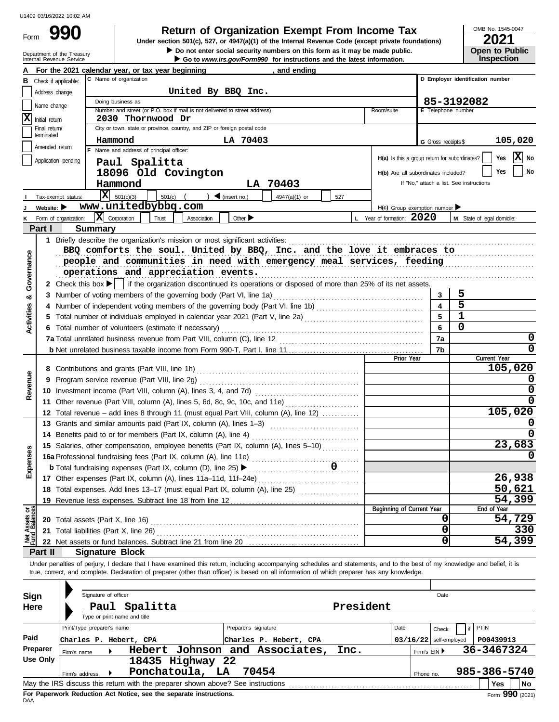Form

Department of the Treasury<br>Internal Revenue Service

### **990 2001 2020 2021 2021 2021 2021 2021 2021 2021 2021 2021 2021 2021 2021 2021 2021 2021 2021 2021 2021 2021 2021 2021 2021 2021 2021 2021 2021 2021 2021 2021**

▶ Go to *www.irs.gov/Form990* for instructions and the latest information.  $\triangleright$  Do not enter social security numbers on this form as it may be made public. **Under section 501(c), 527, or 4947(a)(1) of the Internal Revenue Code (except private foundations)** OMB No. 1545-0047

| LUL I |                       |
|-------|-----------------------|
|       | <b>Open to Public</b> |
|       | <b>Inspection</b>     |

|                                |                                | and ending<br>For the 2021 calendar year, or tax year beginning                                                                                                            |           |                                               |                          |                                          |
|--------------------------------|--------------------------------|----------------------------------------------------------------------------------------------------------------------------------------------------------------------------|-----------|-----------------------------------------------|--------------------------|------------------------------------------|
|                                |                                | C Name of organization<br><b>B</b> Check if applicable:                                                                                                                    |           |                                               |                          | D Employer identification number         |
|                                | Address change                 | United By BBQ Inc.                                                                                                                                                         |           |                                               |                          |                                          |
|                                |                                | Doing business as                                                                                                                                                          |           |                                               |                          | 85-3192082                               |
|                                | Name change                    | Number and street (or P.O. box if mail is not delivered to street address)                                                                                                 |           | Room/suite                                    | E Telephone number       |                                          |
| ΙX                             | Initial return                 | 2030 Thornwood Dr                                                                                                                                                          |           |                                               |                          |                                          |
|                                | Final return/<br>terminated    | City or town, state or province, country, and ZIP or foreign postal code                                                                                                   |           |                                               |                          |                                          |
|                                |                                | LA 70403<br>Hammond                                                                                                                                                        |           |                                               | G Gross receipts \$      | 105,020                                  |
|                                | Amended return                 | F Name and address of principal officer:                                                                                                                                   |           |                                               |                          |                                          |
|                                |                                | Application pending<br>Paul Spalitta                                                                                                                                       |           | H(a) Is this a group return for subordinates? |                          | $ \mathbf{X} $ No<br>Yes                 |
|                                |                                | 18096 Old Covington                                                                                                                                                        |           | H(b) Are all subordinates included?           |                          | <b>No</b><br>Yes                         |
|                                |                                | LA 70403<br>Hammond                                                                                                                                                        |           |                                               |                          | If "No," attach a list. See instructions |
|                                |                                | $\overline{\mathbf{X}}$ 501(c)(3)                                                                                                                                          |           |                                               |                          |                                          |
|                                |                                | $\bigcup$ (insert no.)<br>$501(c)$ $($<br>4947(a)(1) or<br>Tax-exempt status:                                                                                              | 527       |                                               |                          |                                          |
|                                | Website: $\blacktriangleright$ | www.unitedbybbq.com                                                                                                                                                        |           | H(c) Group exemption number                   |                          |                                          |
| κ                              |                                | $\mathbf{X}$ Corporation<br>Trust<br>Association<br>Other $\blacktriangleright$<br>Form of organization:                                                                   |           | L Year of formation: 2020                     |                          | M State of legal domicile:               |
|                                | Part I                         | <b>Summary</b>                                                                                                                                                             |           |                                               |                          |                                          |
|                                |                                | 1 Briefly describe the organization's mission or most significant activities:                                                                                              |           |                                               |                          |                                          |
|                                |                                | BBQ comforts the soul. United by BBQ, Inc. and the love it embraces to                                                                                                     |           |                                               |                          |                                          |
|                                |                                | people and communities in need with emergency meal services, feeding                                                                                                       |           |                                               |                          |                                          |
|                                |                                | operations and appreciation events.                                                                                                                                        |           |                                               |                          |                                          |
| Governance                     |                                | 2 Check this box   if the organization discontinued its operations or disposed of more than 25% of its net assets.                                                         |           |                                               |                          |                                          |
| ಯ                              |                                | 3 Number of voting members of the governing body (Part VI, line 1a)                                                                                                        |           |                                               | 3                        | 5                                        |
|                                |                                |                                                                                                                                                                            |           |                                               | $\overline{\mathbf{4}}$  | 5                                        |
|                                |                                |                                                                                                                                                                            |           |                                               | 5                        | $\mathbf{1}$                             |
| Activities                     |                                |                                                                                                                                                                            |           |                                               | 6                        | $\Omega$                                 |
|                                |                                | 6 Total number of volunteers (estimate if necessary)                                                                                                                       |           |                                               |                          |                                          |
|                                |                                | 7a Total unrelated business revenue from Part VIII, column (C), line 12                                                                                                    |           |                                               | 7a                       | 0                                        |
|                                |                                |                                                                                                                                                                            | 7b        | 0                                             |                          |                                          |
|                                |                                |                                                                                                                                                                            |           | Prior Year                                    |                          | Current Year<br>105,020                  |
|                                |                                |                                                                                                                                                                            |           |                                               |                          |                                          |
| Revenue                        |                                | 9 Program service revenue (Part VIII, line 2g)                                                                                                                             |           |                                               |                          |                                          |
|                                |                                |                                                                                                                                                                            |           |                                               |                          | 0                                        |
|                                |                                | 11 Other revenue (Part VIII, column (A), lines 5, 6d, 8c, 9c, 10c, and 11e)                                                                                                |           | 0                                             |                          |                                          |
|                                |                                | 12 Total revenue – add lines 8 through 11 (must equal Part VIII, column (A), line 12)                                                                                      |           |                                               |                          | 105,020                                  |
|                                |                                | 13 Grants and similar amounts paid (Part IX, column (A), lines 1-3)                                                                                                        |           |                                               |                          |                                          |
|                                |                                | 14 Benefits paid to or for members (Part IX, column (A), line 4)                                                                                                           |           |                                               |                          |                                          |
|                                |                                | 15 Salaries, other compensation, employee benefits (Part IX, column (A), lines 5-10)                                                                                       |           |                                               |                          | 23,683                                   |
| xpenses                        |                                |                                                                                                                                                                            |           |                                               |                          |                                          |
|                                |                                | <b>b</b> Total fundraising expenses (Part IX, column (D), line 25) ▶                                                                                                       |           |                                               |                          |                                          |
| ш                              |                                | 17 Other expenses (Part IX, column (A), lines 11a-11d, 11f-24e)                                                                                                            |           |                                               |                          | 26,938                                   |
|                                |                                | 18 Total expenses. Add lines 13-17 (must equal Part IX, column (A), line 25) [                                                                                             |           |                                               |                          | 50,621                                   |
|                                |                                | 19 Revenue less expenses. Subtract line 18 from line 12                                                                                                                    |           |                                               |                          | 54,399                                   |
|                                |                                |                                                                                                                                                                            |           | Beginning of Current Year                     |                          | End of Year                              |
| Net Assets or<br>Fund Balances |                                |                                                                                                                                                                            |           |                                               | 0                        | 54,729                                   |
|                                |                                |                                                                                                                                                                            |           |                                               | 0                        | 330                                      |
|                                |                                | 22 Net assets or fund balances. Subtract line 21 from line 20                                                                                                              |           |                                               | 0                        | 54,399                                   |
|                                | Part II                        | <b>Signature Block</b>                                                                                                                                                     |           |                                               |                          |                                          |
|                                |                                | Under penalties of perjury, I declare that I have examined this return, including accompanying schedules and statements, and to the best of my knowledge and belief, it is |           |                                               |                          |                                          |
|                                |                                | true, correct, and complete. Declaration of preparer (other than officer) is based on all information of which preparer has any knowledge.                                 |           |                                               |                          |                                          |
|                                |                                |                                                                                                                                                                            |           |                                               |                          |                                          |
|                                |                                | Signature of officer                                                                                                                                                       |           |                                               | Date                     |                                          |
| Sign                           |                                |                                                                                                                                                                            |           |                                               |                          |                                          |
| Here                           |                                | Paul Spalitta                                                                                                                                                              | President |                                               |                          |                                          |
|                                |                                | Type or print name and title                                                                                                                                               |           |                                               |                          |                                          |
|                                |                                | Print/Type preparer's name<br>Preparer's signature                                                                                                                         |           | Date                                          | Check                    | PTIN<br>if                               |
| Paid                           |                                | Charles P. Hebert, CPA<br>Charles P. Hebert, CPA                                                                                                                           |           |                                               | $03/16/22$ self-employed | P00439913                                |
|                                | Preparer                       | Hebert Johnson and Associates,<br>Firm's name                                                                                                                              | Inc.      |                                               | Firm's EIN ▶             | 36-3467324                               |
|                                | <b>Use Only</b>                | 18435 Highway 22                                                                                                                                                           |           |                                               |                          |                                          |
|                                |                                | Ponchatoula, LA<br>70454<br>Firm's address                                                                                                                                 |           |                                               | Phone no.                | 985-386-5740                             |
|                                |                                |                                                                                                                                                                            |           |                                               |                          | Yes<br><b>No</b>                         |

| Here     |                                                                       | Paul | Spalitta                                                                        | President              |      |  |                          |  |              |                 |  |  |
|----------|-----------------------------------------------------------------------|------|---------------------------------------------------------------------------------|------------------------|------|--|--------------------------|--|--------------|-----------------|--|--|
|          |                                                                       |      | Type or print name and title                                                    |                        |      |  |                          |  |              |                 |  |  |
|          | Print/Type preparer's name                                            |      |                                                                                 | Preparer's signature   | Date |  | Check                    |  | <b>PTIN</b>  |                 |  |  |
| Paid     | Charles P. Hebert, CPA                                                |      |                                                                                 | Charles P. Hebert, CPA |      |  | $03/16/22$ self-employed |  | P00439913    |                 |  |  |
| Preparer | Hebert Johnson and Associates,<br>Inc.<br>Firm's $EIN$<br>Firm's name |      |                                                                                 |                        |      |  |                          |  |              | 36-3467324      |  |  |
| Use Only |                                                                       |      | 18435 Highway 22                                                                |                        |      |  |                          |  |              |                 |  |  |
|          | Firm's address                                                        |      | Ponchatoula,<br>LA                                                              | 70454                  |      |  | Phone no.                |  | 985-386-5740 |                 |  |  |
|          |                                                                       |      | May the IRS discuss this return with the preparer shown above? See instructions |                        |      |  |                          |  |              | l No<br>Yes     |  |  |
| DAA      |                                                                       |      | For Paperwork Reduction Act Notice, see the separate instructions.              |                        |      |  |                          |  |              | Form 990 (2021) |  |  |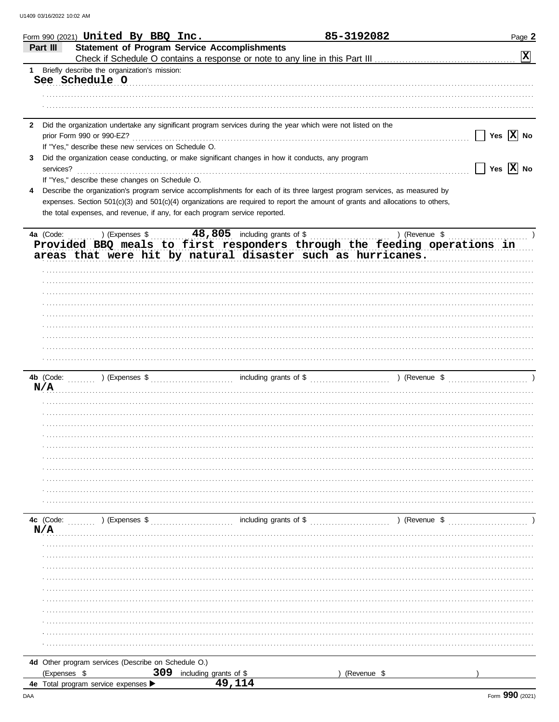|              | Form 990 (2021) $United$ By BBQ Inc.                                                                                           |                        |                               | <u>85-3192082</u> | Page 2                     |
|--------------|--------------------------------------------------------------------------------------------------------------------------------|------------------------|-------------------------------|-------------------|----------------------------|
|              | <b>Statement of Program Service Accomplishments</b><br>Part III                                                                |                        |                               |                   |                            |
|              |                                                                                                                                |                        |                               |                   | $ \mathbf{x} $             |
| 1            | Briefly describe the organization's mission:                                                                                   |                        |                               |                   |                            |
|              | See Schedule O                                                                                                                 |                        |                               |                   |                            |
|              |                                                                                                                                |                        |                               |                   |                            |
|              |                                                                                                                                |                        |                               |                   |                            |
|              |                                                                                                                                |                        |                               |                   |                            |
| $\mathbf{2}$ | Did the organization undertake any significant program services during the year which were not listed on the                   |                        |                               |                   |                            |
|              |                                                                                                                                |                        |                               |                   | Yes $ \mathbf{X} $ No      |
|              | prior Form 990 or 990-EZ?                                                                                                      |                        |                               |                   |                            |
|              | If "Yes," describe these new services on Schedule O.                                                                           |                        |                               |                   |                            |
| 3            | Did the organization cease conducting, or make significant changes in how it conducts, any program                             |                        |                               |                   |                            |
|              | services?                                                                                                                      |                        |                               |                   | $\sqrt{}$ Yes $\sqrt{}$ No |
|              | If "Yes," describe these changes on Schedule O.                                                                                |                        |                               |                   |                            |
|              | Describe the organization's program service accomplishments for each of its three largest program services, as measured by     |                        |                               |                   |                            |
|              | expenses. Section 501(c)(3) and 501(c)(4) organizations are required to report the amount of grants and allocations to others, |                        |                               |                   |                            |
|              | the total expenses, and revenue, if any, for each program service reported.                                                    |                        |                               |                   |                            |
|              |                                                                                                                                |                        |                               |                   |                            |
|              | 4a (Code:<br>) (Expenses \$                                                                                                    |                        | 48,805 including grants of \$ | ) (Revenue \$     |                            |
|              | Provided BBQ meals to first responders through the feeding operations in                                                       |                        |                               |                   |                            |
|              | areas that were hit by natural disaster such as hurricanes.                                                                    |                        |                               |                   |                            |
|              |                                                                                                                                |                        |                               |                   |                            |
|              |                                                                                                                                |                        |                               |                   |                            |
|              |                                                                                                                                |                        |                               |                   |                            |
|              |                                                                                                                                |                        |                               |                   |                            |
|              |                                                                                                                                |                        |                               |                   |                            |
|              |                                                                                                                                |                        |                               |                   |                            |
|              |                                                                                                                                |                        |                               |                   |                            |
|              |                                                                                                                                |                        |                               |                   |                            |
|              |                                                                                                                                |                        |                               |                   |                            |
|              |                                                                                                                                |                        |                               |                   |                            |
|              |                                                                                                                                |                        |                               |                   |                            |
|              |                                                                                                                                |                        |                               |                   |                            |
|              | N/A                                                                                                                            |                        |                               |                   |                            |
|              |                                                                                                                                |                        |                               |                   |                            |
|              |                                                                                                                                |                        |                               |                   |                            |
|              |                                                                                                                                |                        |                               |                   |                            |
|              |                                                                                                                                |                        |                               |                   |                            |
|              |                                                                                                                                |                        |                               |                   |                            |
|              |                                                                                                                                |                        |                               |                   |                            |
|              |                                                                                                                                |                        |                               |                   |                            |
|              |                                                                                                                                |                        |                               |                   |                            |
|              |                                                                                                                                |                        |                               |                   |                            |
|              |                                                                                                                                |                        |                               |                   |                            |
|              |                                                                                                                                |                        |                               |                   |                            |
|              |                                                                                                                                |                        |                               |                   |                            |
|              | $\ldots$ , $\ldots$ ) (Expenses \$<br>4c (Code:                                                                                |                        |                               |                   |                            |
|              | N/A                                                                                                                            |                        |                               |                   |                            |
|              |                                                                                                                                |                        |                               |                   |                            |
|              |                                                                                                                                |                        |                               |                   |                            |
|              |                                                                                                                                |                        |                               |                   |                            |
|              |                                                                                                                                |                        |                               |                   |                            |
|              |                                                                                                                                |                        |                               |                   |                            |
|              |                                                                                                                                |                        |                               |                   |                            |
|              |                                                                                                                                |                        |                               |                   |                            |
|              |                                                                                                                                |                        |                               |                   |                            |
|              |                                                                                                                                |                        |                               |                   |                            |
|              |                                                                                                                                |                        |                               |                   |                            |
|              |                                                                                                                                |                        |                               |                   |                            |
|              | 4d Other program services (Describe on Schedule O.)                                                                            |                        |                               |                   |                            |
|              |                                                                                                                                | 309                    |                               |                   |                            |
|              | (Expenses \$                                                                                                                   | including grants of \$ | 49,114                        | (Revenue \$       |                            |
|              | 4e Total program service expenses                                                                                              |                        |                               |                   |                            |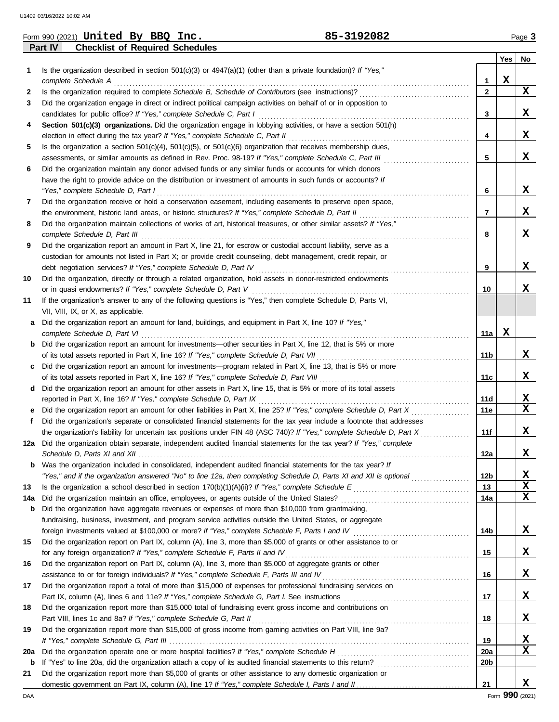| Form 990 (2021) | United | Bv. | <b>BBO</b><br>Inc.                     | 85-3192082 |     | $P$ aqe $\sim$ |
|-----------------|--------|-----|----------------------------------------|------------|-----|----------------|
| Part IV         |        |     | <b>Checklist of Required Schedules</b> |            |     |                |
|                 |        |     |                                        |            | Yes | No             |
|                 |        |     |                                        |            |     |                |

|     |                                                                                                                         |                 | Yes         | No                         |
|-----|-------------------------------------------------------------------------------------------------------------------------|-----------------|-------------|----------------------------|
| 1   | Is the organization described in section $501(c)(3)$ or $4947(a)(1)$ (other than a private foundation)? If "Yes,"       |                 |             |                            |
|     | complete Schedule A                                                                                                     | 1               | $\mathbf x$ |                            |
| 2   |                                                                                                                         | $\overline{2}$  |             | $\mathbf x$                |
| 3   | Did the organization engage in direct or indirect political campaign activities on behalf of or in opposition to        |                 |             |                            |
|     |                                                                                                                         | 3               |             | X                          |
| 4   | Section 501(c)(3) organizations. Did the organization engage in lobbying activities, or have a section 501(h)           |                 |             |                            |
|     |                                                                                                                         | 4               |             | x                          |
| 5   | Is the organization a section $501(c)(4)$ , $501(c)(5)$ , or $501(c)(6)$ organization that receives membership dues,    |                 |             |                            |
|     | assessments, or similar amounts as defined in Rev. Proc. 98-19? If "Yes," complete Schedule C, Part III                 | 5               |             | x                          |
| 6   | Did the organization maintain any donor advised funds or any similar funds or accounts for which donors                 |                 |             |                            |
|     | have the right to provide advice on the distribution or investment of amounts in such funds or accounts? If             |                 |             |                            |
|     | "Yes," complete Schedule D, Part I                                                                                      | 6               |             | x                          |
| 7   | Did the organization receive or hold a conservation easement, including easements to preserve open space,               |                 |             |                            |
|     |                                                                                                                         | 7               |             | x                          |
| 8   | Did the organization maintain collections of works of art, historical treasures, or other similar assets? If "Yes,"     |                 |             |                            |
|     |                                                                                                                         | 8               |             | X                          |
| 9   | Did the organization report an amount in Part X, line 21, for escrow or custodial account liability, serve as a         |                 |             |                            |
|     | custodian for amounts not listed in Part X; or provide credit counseling, debt management, credit repair, or            |                 |             | X                          |
|     | Did the organization, directly or through a related organization, hold assets in donor-restricted endowments            | 9               |             |                            |
| 10  |                                                                                                                         | 10              |             | x                          |
| 11  | If the organization's answer to any of the following questions is "Yes," then complete Schedule D, Parts VI,            |                 |             |                            |
|     | VII, VIII, IX, or X, as applicable.                                                                                     |                 |             |                            |
| а   | Did the organization report an amount for land, buildings, and equipment in Part X, line 10? If "Yes,"                  |                 |             |                            |
|     | complete Schedule D, Part VI                                                                                            | 11a             | x           |                            |
| b   | Did the organization report an amount for investments—other securities in Part X, line 12, that is 5% or more           |                 |             |                            |
|     | of its total assets reported in Part X, line 16? If "Yes," complete Schedule D, Part VII                                | 11b             |             | X                          |
| c   | Did the organization report an amount for investments—program related in Part X, line 13, that is 5% or more            |                 |             |                            |
|     |                                                                                                                         | 11c             |             | x                          |
| d   | Did the organization report an amount for other assets in Part X, line 15, that is 5% or more of its total assets       |                 |             |                            |
|     | reported in Part X, line 16? If "Yes," complete Schedule D, Part IX                                                     | 11d             |             | <u>x</u>                   |
| е   | Did the organization report an amount for other liabilities in Part X, line 25? If "Yes," complete Schedule D, Part X   | 11e             |             | $\overline{\mathbf{x}}$    |
| f   | Did the organization's separate or consolidated financial statements for the tax year include a footnote that addresses |                 |             |                            |
|     | the organization's liability for uncertain tax positions under FIN 48 (ASC 740)? If "Yes," complete Schedule D, Part X  | 11f             |             | x                          |
| 12a | Did the organization obtain separate, independent audited financial statements for the tax year? If "Yes," complete     |                 |             |                            |
|     |                                                                                                                         | 12a             |             | X                          |
| b   | Was the organization included in consolidated, independent audited financial statements for the tax year? If            |                 |             |                            |
|     | "Yes," and if the organization answered "No" to line 12a, then completing Schedule D, Parts XI and XII is optional      | 12 <sub>b</sub> |             | X                          |
| 13  |                                                                                                                         | 13              |             | $\mathbf x$<br>$\mathbf x$ |
| 14a | Did the organization maintain an office, employees, or agents outside of the United States?                             | 14a             |             |                            |
| b   | Did the organization have aggregate revenues or expenses of more than \$10,000 from grantmaking,                        |                 |             |                            |
|     | fundraising, business, investment, and program service activities outside the United States, or aggregate               | 14b             |             | $\mathbf{x}$               |
| 15  | Did the organization report on Part IX, column (A), line 3, more than \$5,000 of grants or other assistance to or       |                 |             |                            |
|     | for any foreign organization? If "Yes," complete Schedule F, Parts II and IV                                            | 15              |             | X                          |
| 16  | Did the organization report on Part IX, column (A), line 3, more than \$5,000 of aggregate grants or other              |                 |             |                            |
|     | assistance to or for foreign individuals? If "Yes," complete Schedule F, Parts III and IV                               | 16              |             | X                          |
| 17  | Did the organization report a total of more than \$15,000 of expenses for professional fundraising services on          |                 |             |                            |
|     |                                                                                                                         | 17              |             | X                          |
| 18  | Did the organization report more than \$15,000 total of fundraising event gross income and contributions on             |                 |             |                            |
|     | Part VIII, lines 1c and 8a? If "Yes," complete Schedule G, Part II                                                      | 18              |             | X                          |
| 19  | Did the organization report more than \$15,000 of gross income from gaming activities on Part VIII, line 9a?            |                 |             |                            |
|     |                                                                                                                         | 19              |             | <u>x</u>                   |
| 20a |                                                                                                                         | 20a             |             | X                          |
| b   |                                                                                                                         | 20 <sub>b</sub> |             |                            |
| 21  | Did the organization report more than \$5,000 of grants or other assistance to any domestic organization or             |                 |             |                            |
|     |                                                                                                                         | 21              |             | x                          |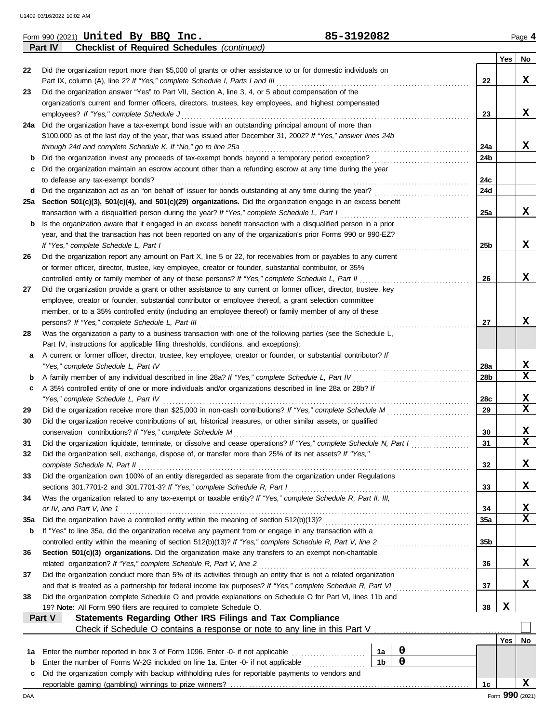|     | <b>Checklist of Required Schedules (continued)</b><br>Part IV                                                      |                 |                 |             |
|-----|--------------------------------------------------------------------------------------------------------------------|-----------------|-----------------|-------------|
|     |                                                                                                                    |                 | Yes             | No          |
| 22  | Did the organization report more than \$5,000 of grants or other assistance to or for domestic individuals on      |                 |                 |             |
|     | Part IX, column (A), line 2? If "Yes," complete Schedule I, Parts I and III                                        | 22              |                 | X           |
| 23  | Did the organization answer "Yes" to Part VII, Section A, line 3, 4, or 5 about compensation of the                |                 |                 |             |
|     | organization's current and former officers, directors, trustees, key employees, and highest compensated            |                 |                 |             |
|     | employees? If "Yes," complete Schedule J                                                                           | 23              |                 | X           |
|     | 24a Did the organization have a tax-exempt bond issue with an outstanding principal amount of more than            |                 |                 |             |
|     | \$100,000 as of the last day of the year, that was issued after December 31, 2002? If "Yes," answer lines 24b      |                 |                 |             |
|     | through 24d and complete Schedule K. If "No," go to line 25a                                                       | 24a             |                 | X           |
| b   | Did the organization invest any proceeds of tax-exempt bonds beyond a temporary period exception?                  | 24 <sub>b</sub> |                 |             |
|     |                                                                                                                    |                 |                 |             |
| c   | Did the organization maintain an escrow account other than a refunding escrow at any time during the year          |                 |                 |             |
|     | to defease any tax-exempt bonds?                                                                                   | 24c             |                 |             |
| d   |                                                                                                                    | 24d             |                 |             |
| 25a | Section 501(c)(3), 501(c)(4), and 501(c)(29) organizations. Did the organization engage in an excess benefit       |                 |                 |             |
|     | transaction with a disqualified person during the year? If "Yes," complete Schedule L, Part I                      | 25a             |                 | x           |
| b   | Is the organization aware that it engaged in an excess benefit transaction with a disqualified person in a prior   |                 |                 |             |
|     | year, and that the transaction has not been reported on any of the organization's prior Forms 990 or 990-EZ?       |                 |                 |             |
|     | If "Yes," complete Schedule L, Part I                                                                              | 25b             |                 | X           |
| 26  | Did the organization report any amount on Part X, line 5 or 22, for receivables from or payables to any current    |                 |                 |             |
|     | or former officer, director, trustee, key employee, creator or founder, substantial contributor, or 35%            |                 |                 |             |
|     | controlled entity or family member of any of these persons? If "Yes," complete Schedule L, Part II                 | 26              |                 | x           |
| 27  | Did the organization provide a grant or other assistance to any current or former officer, director, trustee, key  |                 |                 |             |
|     | employee, creator or founder, substantial contributor or employee thereof, a grant selection committee             |                 |                 |             |
|     | member, or to a 35% controlled entity (including an employee thereof) or family member of any of these             |                 |                 |             |
|     | persons? If "Yes," complete Schedule L, Part III                                                                   | 27              |                 | x           |
| 28  | Was the organization a party to a business transaction with one of the following parties (see the Schedule L,      |                 |                 |             |
|     |                                                                                                                    |                 |                 |             |
|     | Part IV, instructions for applicable filing thresholds, conditions, and exceptions):                               |                 |                 |             |
| а   | A current or former officer, director, trustee, key employee, creator or founder, or substantial contributor? If   |                 |                 |             |
|     | "Yes," complete Schedule L, Part IV                                                                                | 28a             |                 | X           |
| b   | A family member of any individual described in line 28a? If "Yes," complete Schedule L, Part IV                    | 28b             |                 | $\mathbf x$ |
| c   | A 35% controlled entity of one or more individuals and/or organizations described in line 28a or 28b? If           |                 |                 |             |
|     | "Yes," complete Schedule L, Part IV                                                                                | 28c             |                 | X           |
| 29  |                                                                                                                    | 29              |                 | $\mathbf x$ |
| 30  | Did the organization receive contributions of art, historical treasures, or other similar assets, or qualified     |                 |                 |             |
|     | conservation contributions? If "Yes," complete Schedule M                                                          | 30              |                 | X           |
| 31  | Did the organization liquidate, terminate, or dissolve and cease operations? If "Yes," complete Schedule N, Part I | 31              |                 | $\mathbf x$ |
| 32  | Did the organization sell, exchange, dispose of, or transfer more than 25% of its net assets? If "Yes,"            |                 |                 |             |
|     | complete Schedule N, Part II                                                                                       | 32              |                 | X           |
| 33  | Did the organization own 100% of an entity disregarded as separate from the organization under Regulations         |                 |                 |             |
|     | sections 301.7701-2 and 301.7701-3? If "Yes," complete Schedule R, Part I                                          | 33              |                 | X           |
|     |                                                                                                                    |                 |                 |             |
| 34  | Was the organization related to any tax-exempt or taxable entity? If "Yes," complete Schedule R, Part II, III,     |                 |                 |             |
|     | or IV, and Part V, line 1                                                                                          | 34              |                 | х           |
| 35a |                                                                                                                    | 35a             |                 | X           |
| b   | If "Yes" to line 35a, did the organization receive any payment from or engage in any transaction with a            |                 |                 |             |
|     |                                                                                                                    | 35 <sub>b</sub> |                 |             |
| 36  | Section 501(c)(3) organizations. Did the organization make any transfers to an exempt non-charitable               |                 |                 |             |
|     | related organization? If "Yes," complete Schedule R, Part V, line 2                                                | 36              |                 | x           |
| 37  | Did the organization conduct more than 5% of its activities through an entity that is not a related organization   |                 |                 |             |
|     |                                                                                                                    | 37              |                 | x           |
| 38  | Did the organization complete Schedule O and provide explanations on Schedule O for Part VI, lines 11b and         |                 |                 |             |
|     | 19? Note: All Form 990 filers are required to complete Schedule O.                                                 | 38              | X               |             |
|     | Statements Regarding Other IRS Filings and Tax Compliance<br>Part V                                                |                 |                 |             |
|     |                                                                                                                    |                 |                 |             |
|     |                                                                                                                    |                 | Yes             | No          |
|     | $\boldsymbol{0}$<br>Enter the number reported in box 3 of Form 1096. Enter -0- if not applicable<br>1a             |                 |                 |             |
| 1а  | $\mathbf 0$<br>1 <sub>b</sub>                                                                                      |                 |                 |             |
| b   | Enter the number of Forms W-2G included on line 1a. Enter -0- if not applicable                                    |                 |                 |             |
| c   | Did the organization comply with backup withholding rules for reportable payments to vendors and                   |                 |                 |             |
|     |                                                                                                                    | 1c              |                 | x           |
| DAA |                                                                                                                    |                 | Form 990 (2021) |             |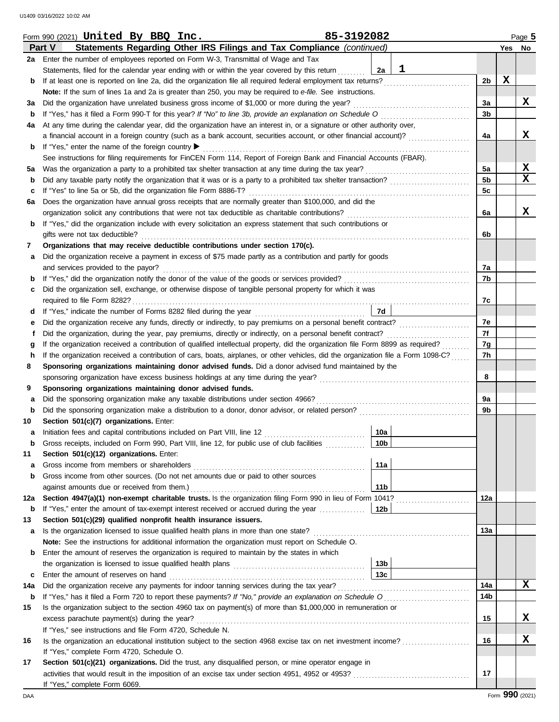|             | 85-3192082<br>Form 990 $(2021)$ United By BBQ Inc.                                                                                      |                 |                 |   | Page 5           |  |  |  |  |  |
|-------------|-----------------------------------------------------------------------------------------------------------------------------------------|-----------------|-----------------|---|------------------|--|--|--|--|--|
|             | Part V<br>Statements Regarding Other IRS Filings and Tax Compliance (continued)                                                         |                 |                 |   | Yes No           |  |  |  |  |  |
| 2a          | Enter the number of employees reported on Form W-3, Transmittal of Wage and Tax                                                         |                 |                 |   |                  |  |  |  |  |  |
|             | Statements, filed for the calendar year ending with or within the year covered by this return                                           | 1<br>2a         |                 |   |                  |  |  |  |  |  |
| b           | If at least one is reported on line 2a, did the organization file all required federal employment tax returns?                          |                 | 2b              | X |                  |  |  |  |  |  |
|             | Note: If the sum of lines 1a and 2a is greater than 250, you may be required to e-file. See instructions.                               |                 |                 |   |                  |  |  |  |  |  |
| за          | Did the organization have unrelated business gross income of \$1,000 or more during the year?                                           |                 | За              |   | x                |  |  |  |  |  |
| b           | If "Yes," has it filed a Form 990-T for this year? If "No" to line 3b, provide an explanation on Schedule O                             |                 | 3b              |   |                  |  |  |  |  |  |
| 4a          | At any time during the calendar year, did the organization have an interest in, or a signature or other authority over,                 |                 |                 |   |                  |  |  |  |  |  |
|             | a financial account in a foreign country (such as a bank account, securities account, or other financial account)?                      |                 | 4a              |   | X                |  |  |  |  |  |
| b           | If "Yes," enter the name of the foreign country ▶                                                                                       |                 |                 |   |                  |  |  |  |  |  |
|             |                                                                                                                                         |                 |                 |   |                  |  |  |  |  |  |
|             | See instructions for filing requirements for FinCEN Form 114, Report of Foreign Bank and Financial Accounts (FBAR).                     |                 |                 |   |                  |  |  |  |  |  |
| 5а          |                                                                                                                                         |                 | 5a              |   | X<br>$\mathbf x$ |  |  |  |  |  |
| $\mathbf b$ | Did any taxable party notify the organization that it was or is a party to a prohibited tax shelter transaction?                        |                 | 5 <sub>b</sub>  |   |                  |  |  |  |  |  |
| с           | If "Yes" to line 5a or 5b, did the organization file Form 8886-T?                                                                       |                 | 5c              |   |                  |  |  |  |  |  |
| 6а          | Does the organization have annual gross receipts that are normally greater than \$100,000, and did the                                  |                 |                 |   |                  |  |  |  |  |  |
|             | organization solicit any contributions that were not tax deductible as charitable contributions?                                        |                 | 6a              |   | X                |  |  |  |  |  |
| b           | If "Yes," did the organization include with every solicitation an express statement that such contributions or                          |                 |                 |   |                  |  |  |  |  |  |
|             | gifts were not tax deductible?                                                                                                          |                 | 6b              |   |                  |  |  |  |  |  |
| 7           | Organizations that may receive deductible contributions under section 170(c).                                                           |                 |                 |   |                  |  |  |  |  |  |
| а           | Did the organization receive a payment in excess of \$75 made partly as a contribution and partly for goods                             |                 |                 |   |                  |  |  |  |  |  |
|             | and services provided to the payor?                                                                                                     |                 | 7a              |   |                  |  |  |  |  |  |
| b           |                                                                                                                                         |                 | 7b              |   |                  |  |  |  |  |  |
| с           | Did the organization sell, exchange, or otherwise dispose of tangible personal property for which it was                                |                 |                 |   |                  |  |  |  |  |  |
|             |                                                                                                                                         |                 | 7с              |   |                  |  |  |  |  |  |
| d           |                                                                                                                                         | 7d              |                 |   |                  |  |  |  |  |  |
|             |                                                                                                                                         |                 | 7е              |   |                  |  |  |  |  |  |
|             | Did the organization, during the year, pay premiums, directly or indirectly, on a personal benefit contract?                            |                 | 7f              |   |                  |  |  |  |  |  |
|             | If the organization received a contribution of qualified intellectual property, did the organization file Form 8899 as required?        |                 | 7g              |   |                  |  |  |  |  |  |
|             | If the organization received a contribution of cars, boats, airplanes, or other vehicles, did the organization file a Form 1098-C?<br>h |                 |                 |   |                  |  |  |  |  |  |
| 8           | Sponsoring organizations maintaining donor advised funds. Did a donor advised fund maintained by the                                    |                 | 7h              |   |                  |  |  |  |  |  |
|             | sponsoring organization have excess business holdings at any time during the year?                                                      |                 | 8               |   |                  |  |  |  |  |  |
| 9           | Sponsoring organizations maintaining donor advised funds.                                                                               |                 |                 |   |                  |  |  |  |  |  |
| а           |                                                                                                                                         |                 | 9a              |   |                  |  |  |  |  |  |
| $\mathbf b$ |                                                                                                                                         |                 | 9b              |   |                  |  |  |  |  |  |
|             | Section 501(c)(7) organizations. Enter:                                                                                                 |                 |                 |   |                  |  |  |  |  |  |
| 10          |                                                                                                                                         | 10a             |                 |   |                  |  |  |  |  |  |
| а           | Gross receipts, included on Form 990, Part VIII, line 12, for public use of club facilities                                             | 10 <sub>b</sub> |                 |   |                  |  |  |  |  |  |
| b           |                                                                                                                                         |                 |                 |   |                  |  |  |  |  |  |
| 11          | Section 501(c)(12) organizations. Enter:                                                                                                |                 |                 |   |                  |  |  |  |  |  |
| а           | Gross income from members or shareholders                                                                                               | 11a             |                 |   |                  |  |  |  |  |  |
| b           | Gross income from other sources. (Do not net amounts due or paid to other sources                                                       |                 |                 |   |                  |  |  |  |  |  |
|             | against amounts due or received from them.)                                                                                             | 11 <sub>b</sub> |                 |   |                  |  |  |  |  |  |
| 12a         | Section 4947(a)(1) non-exempt charitable trusts. Is the organization filing Form 990 in lieu of Form 1041?                              |                 | 12a             |   |                  |  |  |  |  |  |
| b           | If "Yes," enter the amount of tax-exempt interest received or accrued during the year                                                   | 12b             |                 |   |                  |  |  |  |  |  |
| 13          | Section 501(c)(29) qualified nonprofit health insurance issuers.                                                                        |                 |                 |   |                  |  |  |  |  |  |
| а           | Is the organization licensed to issue qualified health plans in more than one state?                                                    |                 | 13a             |   |                  |  |  |  |  |  |
|             | Note: See the instructions for additional information the organization must report on Schedule O.                                       |                 |                 |   |                  |  |  |  |  |  |
| b           | Enter the amount of reserves the organization is required to maintain by the states in which                                            |                 |                 |   |                  |  |  |  |  |  |
|             |                                                                                                                                         | 13 <sub>b</sub> |                 |   |                  |  |  |  |  |  |
| c           | Enter the amount of reserves on hand                                                                                                    | 13 <sub>c</sub> |                 |   |                  |  |  |  |  |  |
| 14a         |                                                                                                                                         |                 | 14a             |   | X                |  |  |  |  |  |
| b           |                                                                                                                                         |                 | 14 <sub>b</sub> |   |                  |  |  |  |  |  |
| 15          | Is the organization subject to the section 4960 tax on payment(s) of more than \$1,000,000 in remuneration or                           |                 |                 |   |                  |  |  |  |  |  |
|             | excess parachute payment(s) during the year?                                                                                            |                 | 15              |   | x                |  |  |  |  |  |
|             | If "Yes," see instructions and file Form 4720, Schedule N.                                                                              |                 |                 |   |                  |  |  |  |  |  |
| 16          | Is the organization an educational institution subject to the section 4968 excise tax on net investment income?                         |                 | 16              |   | X                |  |  |  |  |  |
|             | If "Yes," complete Form 4720, Schedule O.                                                                                               |                 |                 |   |                  |  |  |  |  |  |
| 17          | Section 501(c)(21) organizations. Did the trust, any disqualified person, or mine operator engage in                                    |                 |                 |   |                  |  |  |  |  |  |
|             |                                                                                                                                         |                 | 17              |   |                  |  |  |  |  |  |
|             | If "Yes," complete Form 6069.                                                                                                           |                 |                 |   |                  |  |  |  |  |  |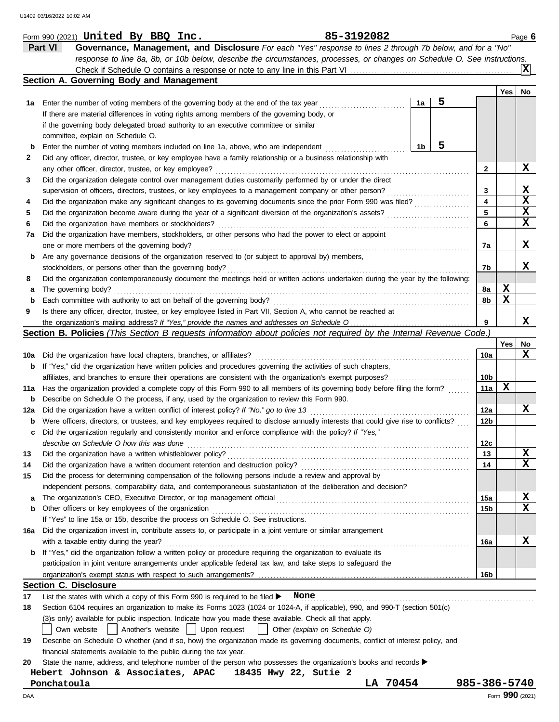|             | 85-3192082<br>Form 990 $(2021)$ United By BBQ Inc.                                                                                  |                 |                 | Page 6 |
|-------------|-------------------------------------------------------------------------------------------------------------------------------------|-----------------|-----------------|--------|
|             | Part VI<br>Governance, Management, and Disclosure For each "Yes" response to lines 2 through 7b below, and for a "No"               |                 |                 |        |
|             | response to line 8a, 8b, or 10b below, describe the circumstances, processes, or changes on Schedule O. See instructions.           |                 |                 |        |
|             |                                                                                                                                     |                 |                 | ΙXΙ    |
|             | Section A. Governing Body and Management                                                                                            |                 |                 |        |
|             |                                                                                                                                     |                 | Yes             | No     |
|             | 5<br>1a<br>1a Enter the number of voting members of the governing body at the end of the tax year                                   |                 |                 |        |
|             | If there are material differences in voting rights among members of the governing body, or                                          |                 |                 |        |
|             | if the governing body delegated broad authority to an executive committee or similar                                                |                 |                 |        |
|             | committee, explain on Schedule O.                                                                                                   |                 |                 |        |
| b           | 5<br>1b<br>Enter the number of voting members included on line 1a, above, who are independent                                       |                 |                 |        |
| 2           | Did any officer, director, trustee, or key employee have a family relationship or a business relationship with                      |                 |                 |        |
|             | any other officer, director, trustee, or key employee?                                                                              | $\mathbf{2}$    |                 | X      |
| 3           | Did the organization delegate control over management duties customarily performed by or under the direct                           |                 |                 |        |
|             | supervision of officers, directors, trustees, or key employees to a management company or other person?                             | 3               |                 | X      |
| 4           | Did the organization make any significant changes to its governing documents since the prior Form 990 was filed?                    | 4               |                 | X      |
| 5           | Did the organization become aware during the year of a significant diversion of the organization's assets?                          | 5               |                 | X      |
| 6           | Did the organization have members or stockholders?                                                                                  | 6               |                 | X      |
| 7a          | Did the organization have members, stockholders, or other persons who had the power to elect or appoint                             |                 |                 |        |
|             | one or more members of the governing body?                                                                                          | 7a              |                 | x      |
| b           | Are any governance decisions of the organization reserved to (or subject to approval by) members,                                   |                 |                 |        |
|             | stockholders, or persons other than the governing body?                                                                             | 7b              |                 | x      |
| 8           | Did the organization contemporaneously document the meetings held or written actions undertaken during the year by the following:   |                 |                 |        |
| а           | The governing body?                                                                                                                 | 8а              | X               |        |
| $\mathbf b$ | Each committee with authority to act on behalf of the governing body?                                                               | 8b              | X               |        |
| 9           | Is there any officer, director, trustee, or key employee listed in Part VII, Section A, who cannot be reached at                    |                 |                 |        |
|             | the organization's mailing address? If "Yes," provide the names and addresses on Schedule O                                         | 9               |                 | x      |
|             | Section B. Policies (This Section B requests information about policies not required by the Internal Revenue Code.)                 |                 |                 |        |
|             |                                                                                                                                     |                 | Yes             | No     |
| 10a         | Did the organization have local chapters, branches, or affiliates?                                                                  | 10a             |                 | x      |
| b           | If "Yes," did the organization have written policies and procedures governing the activities of such chapters,                      |                 |                 |        |
|             | affiliates, and branches to ensure their operations are consistent with the organization's exempt purposes?                         | 10b             |                 |        |
| 11a         | Has the organization provided a complete copy of this Form 990 to all members of its governing body before filing the form?         | 11a             | X               |        |
| b           | Describe on Schedule O the process, if any, used by the organization to review this Form 990.                                       |                 |                 |        |
| 12a         | Did the organization have a written conflict of interest policy? If "No," go to line 13                                             | 12a             |                 | x      |
| b           | Were officers, directors, or trustees, and key employees required to disclose annually interests that could give rise to conflicts? | 12b             |                 |        |
| c           | Did the organization regularly and consistently monitor and enforce compliance with the policy? If "Yes,"                           |                 |                 |        |
|             | describe on Schedule O how this was done                                                                                            | 12c             |                 |        |
| 13          | Did the organization have a written whistleblower policy?                                                                           | 13              |                 | x      |
| 14          | Did the organization have a written document retention and destruction policy?                                                      | 14              |                 | x      |
| 15          | Did the process for determining compensation of the following persons include a review and approval by                              |                 |                 |        |
|             | independent persons, comparability data, and contemporaneous substantiation of the deliberation and decision?                       |                 |                 |        |
| а           |                                                                                                                                     | 15a             |                 | X      |
| b           | Other officers or key employees of the organization                                                                                 | 15 <sub>b</sub> |                 | x      |
|             | If "Yes" to line 15a or 15b, describe the process on Schedule O. See instructions.                                                  |                 |                 |        |
| 16а         | Did the organization invest in, contribute assets to, or participate in a joint venture or similar arrangement                      |                 |                 |        |
|             | with a taxable entity during the year?                                                                                              | 16a             |                 | X      |
| b           | If "Yes," did the organization follow a written policy or procedure requiring the organization to evaluate its                      |                 |                 |        |
|             | participation in joint venture arrangements under applicable federal tax law, and take steps to safeguard the                       |                 |                 |        |
|             | organization's exempt status with respect to such arrangements?                                                                     | 16b             |                 |        |
|             | <b>Section C. Disclosure</b>                                                                                                        |                 |                 |        |
| 17          | List the states with which a copy of this Form 990 is required to be filed > None                                                   |                 |                 |        |
| 18          | Section 6104 requires an organization to make its Forms 1023 (1024 or 1024-A, if applicable), 990, and 990-T (section 501(c)        |                 |                 |        |
|             | (3)s only) available for public inspection. Indicate how you made these available. Check all that apply.                            |                 |                 |        |
|             | Another's website<br>Upon request<br>Other (explain on Schedule O)<br>Own website                                                   |                 |                 |        |
| 19          | Describe on Schedule O whether (and if so, how) the organization made its governing documents, conflict of interest policy, and     |                 |                 |        |
|             | financial statements available to the public during the tax year.                                                                   |                 |                 |        |
| 20          | State the name, address, and telephone number of the person who possesses the organization's books and records ▶                    |                 |                 |        |
|             | Hebert Johnson & Associates, APAC<br>18435 Hwy 22, Sutie 2                                                                          |                 |                 |        |
|             | LA 70454<br>Ponchatoula                                                                                                             | 985-386-5740    |                 |        |
| DAA         |                                                                                                                                     |                 | Form 990 (2021) |        |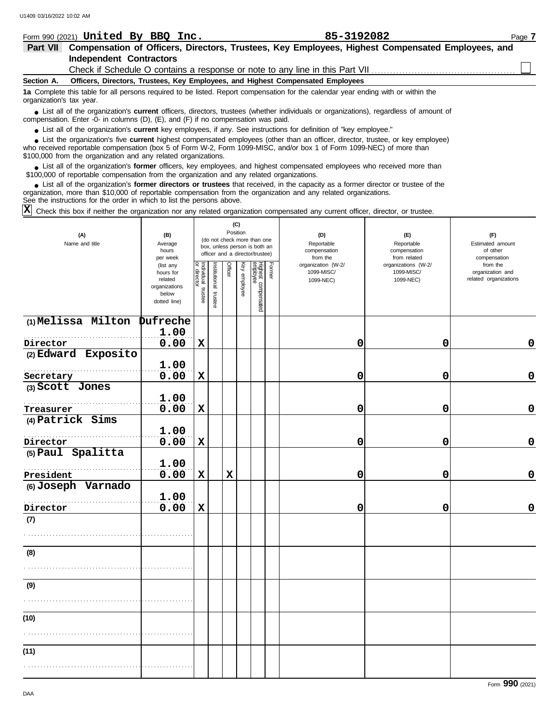|                          | Form 990 (2021) United By BBQ Inc.                                                | 85-3192082                                                                                                                             | Page 7 |
|--------------------------|-----------------------------------------------------------------------------------|----------------------------------------------------------------------------------------------------------------------------------------|--------|
| <b>Part VII</b>          |                                                                                   | Compensation of Officers, Directors, Trustees, Key Employees, Highest Compensated Employees, and                                       |        |
|                          | <b>Independent Contractors</b>                                                    |                                                                                                                                        |        |
|                          |                                                                                   |                                                                                                                                        |        |
| Section A.               | Officers, Directors, Trustees, Key Employees, and Highest Compensated Employees   |                                                                                                                                        |        |
| organization's tax year. |                                                                                   | 1a Complete this table for all persons required to be listed. Report compensation for the calendar year ending with or within the      |        |
|                          | compensation. Enter -0- in columns (D), (E), and (F) if no compensation was paid. | • List all of the organization's current officers, directors, trustees (whether individuals or organizations), regardless of amount of |        |

● List all of the organization's **current** key employees, if any. See instructions for definition of "key employee."

who received reportable compensation (box 5 of Form W-2, Form 1099-MISC, and/or box 1 of Form 1099-NEC) of more than \$100,000 from the organization and any related organizations. ■ List the organization's five **current** highest compensated employees (other than an officer, director, trustee, or key employee)<br> **•** Preceived reportable compensation (boy 5 of Form M/2, Form 1000 MISC, and/or boy 1 of

■ List all of the organization's **former** officers, key employees, and highest compensated employees who received more than<br>00,000 of reportable compensation from the organization and any related organizations \$100,000 of reportable compensation from the organization and any related organizations.

■ List all of the organization's **former directors or trustees** that received, in the capacity as a former director or trustee of the<br>enization more than \$10,000 of reportable compensation from the organization and any re organization, more than \$10,000 of reportable compensation from the organization and any related organizations. See the instructions for the order in which to list the persons above.

Check this box if neither the organization nor any related organization compensated any current officer, director, or trustee. **X**

| (A)<br>Name and title         | (B)<br>Average<br>hours<br>per week                                         |                         | (C)<br>Position<br>(do not check more than one<br>box, unless person is both an<br>officer and a director/trustee) |             |              |                                 |        | (D)<br>Reportable<br>compensation<br>from the | (E)<br>Reportable<br>compensation<br>from related | (F)<br>Estimated amount<br>of other<br>compensation   |
|-------------------------------|-----------------------------------------------------------------------------|-------------------------|--------------------------------------------------------------------------------------------------------------------|-------------|--------------|---------------------------------|--------|-----------------------------------------------|---------------------------------------------------|-------------------------------------------------------|
|                               | (list any<br>hours for<br>related<br>organizations<br>below<br>dotted line) | Individual trustee<br>g | nstitutional trustee                                                                                               | Officer     | Key employee | Highest compensated<br>employee | Former | organization (W-2/<br>1099-MISC/<br>1099-NEC) | organizations (W-2/<br>1099-MISC/<br>1099-NEC)    | from the<br>organization and<br>related organizations |
| (1) Melissa Milton            | <b>Dufreche</b>                                                             |                         |                                                                                                                    |             |              |                                 |        |                                               |                                                   |                                                       |
| Director                      | 1.00<br>0.00                                                                | $\mathbf x$             |                                                                                                                    |             |              |                                 |        | 0                                             | 0                                                 | 0                                                     |
| (2) Edward Exposito           |                                                                             |                         |                                                                                                                    |             |              |                                 |        |                                               |                                                   |                                                       |
|                               | 1.00                                                                        |                         |                                                                                                                    |             |              |                                 |        |                                               |                                                   |                                                       |
| Secretary                     | 0.00                                                                        | $\mathbf x$             |                                                                                                                    |             |              |                                 |        | 0                                             | 0                                                 | $\mathbf 0$                                           |
| (3) Scott Jones               |                                                                             |                         |                                                                                                                    |             |              |                                 |        |                                               |                                                   |                                                       |
|                               | 1.00                                                                        |                         |                                                                                                                    |             |              |                                 |        |                                               |                                                   |                                                       |
| Treasurer<br>(4) Patrick Sims | 0.00                                                                        | $\mathbf x$             |                                                                                                                    |             |              |                                 |        | 0                                             | 0                                                 | $\mathbf 0$                                           |
|                               | 1.00                                                                        |                         |                                                                                                                    |             |              |                                 |        |                                               |                                                   |                                                       |
| Director                      | 0.00                                                                        | $\mathbf x$             |                                                                                                                    |             |              |                                 |        | 0                                             | 0                                                 | $\mathbf 0$                                           |
| (5) Paul Spalitta             |                                                                             |                         |                                                                                                                    |             |              |                                 |        |                                               |                                                   |                                                       |
|                               | 1.00                                                                        |                         |                                                                                                                    |             |              |                                 |        |                                               |                                                   |                                                       |
| President                     | 0.00                                                                        | $\mathbf x$             |                                                                                                                    | $\mathbf x$ |              |                                 |        | 0                                             | 0                                                 | $\mathbf 0$                                           |
| (6) Joseph Varnado            | 1.00                                                                        |                         |                                                                                                                    |             |              |                                 |        |                                               |                                                   |                                                       |
|                               | 0.00                                                                        | $\mathbf x$             |                                                                                                                    |             |              |                                 |        | 0                                             | 0                                                 | $\mathbf 0$                                           |
| Director<br>(7)               |                                                                             |                         |                                                                                                                    |             |              |                                 |        |                                               |                                                   |                                                       |
|                               |                                                                             |                         |                                                                                                                    |             |              |                                 |        |                                               |                                                   |                                                       |
|                               |                                                                             |                         |                                                                                                                    |             |              |                                 |        |                                               |                                                   |                                                       |
| (8)                           |                                                                             |                         |                                                                                                                    |             |              |                                 |        |                                               |                                                   |                                                       |
|                               |                                                                             |                         |                                                                                                                    |             |              |                                 |        |                                               |                                                   |                                                       |
| (9)                           |                                                                             |                         |                                                                                                                    |             |              |                                 |        |                                               |                                                   |                                                       |
|                               |                                                                             |                         |                                                                                                                    |             |              |                                 |        |                                               |                                                   |                                                       |
| (10)                          |                                                                             |                         |                                                                                                                    |             |              |                                 |        |                                               |                                                   |                                                       |
|                               |                                                                             |                         |                                                                                                                    |             |              |                                 |        |                                               |                                                   |                                                       |
| (11)                          |                                                                             |                         |                                                                                                                    |             |              |                                 |        |                                               |                                                   |                                                       |
|                               |                                                                             |                         |                                                                                                                    |             |              |                                 |        |                                               |                                                   |                                                       |
|                               |                                                                             |                         |                                                                                                                    |             |              |                                 |        |                                               |                                                   |                                                       |

Form **990** (2021)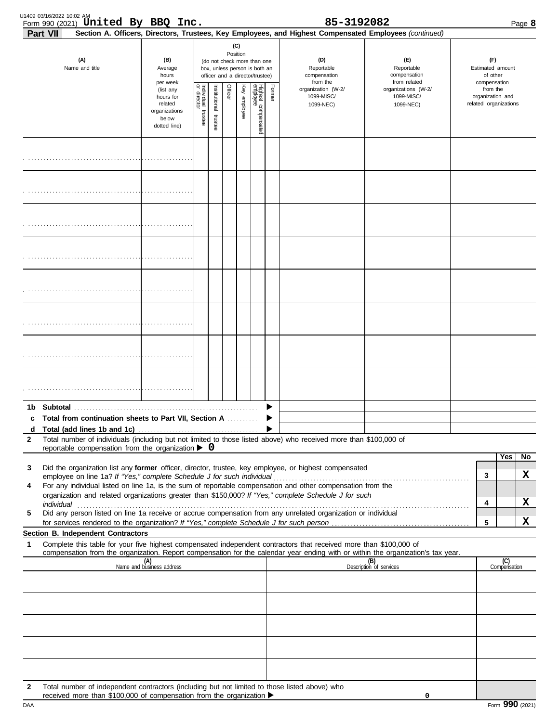| U1409 03/16/2022 10:02 AM | Form 990 (2021) United By BBQ Inc.                                                                                                                                                                                             |                                                                                         |                                  |                      |                                                                                                                    |              |                                 |        | 85-3192082                                                                                                                                                                                                           |                                                                                                                                             |                                              |                       | Page 8  |
|---------------------------|--------------------------------------------------------------------------------------------------------------------------------------------------------------------------------------------------------------------------------|-----------------------------------------------------------------------------------------|----------------------------------|----------------------|--------------------------------------------------------------------------------------------------------------------|--------------|---------------------------------|--------|----------------------------------------------------------------------------------------------------------------------------------------------------------------------------------------------------------------------|---------------------------------------------------------------------------------------------------------------------------------------------|----------------------------------------------|-----------------------|---------|
| Part VII                  | (A)<br>Name and title                                                                                                                                                                                                          | (B)<br>Average<br>hours                                                                 |                                  |                      | (C)<br>Position<br>(do not check more than one<br>box, unless person is both an<br>officer and a director/trustee) |              |                                 |        | (D)<br>Reportable<br>compensation                                                                                                                                                                                    | Section A. Officers, Directors, Trustees, Key Employees, and Highest Compensated Employees (continued)<br>(E)<br>Reportable<br>compensation | (F)<br>Estimated amount<br>of other          |                       |         |
|                           |                                                                                                                                                                                                                                | per week<br>(list any<br>hours for<br>related<br>organizations<br>below<br>dotted line) | ndividual trustee<br>or director | nstitutional trustee | Officer                                                                                                            | Key employee | Highest compensated<br>employee | Former | from the<br>organization (W-2/<br>1099-MISC/<br>1099-NEC)                                                                                                                                                            | from related<br>organizations (W-2/<br>1099-MISC/<br>1099-NEC)                                                                              | compensation<br>from the<br>organization and | related organizations |         |
|                           |                                                                                                                                                                                                                                |                                                                                         |                                  |                      |                                                                                                                    |              |                                 |        |                                                                                                                                                                                                                      |                                                                                                                                             |                                              |                       |         |
|                           |                                                                                                                                                                                                                                |                                                                                         |                                  |                      |                                                                                                                    |              |                                 |        |                                                                                                                                                                                                                      |                                                                                                                                             |                                              |                       |         |
|                           |                                                                                                                                                                                                                                |                                                                                         |                                  |                      |                                                                                                                    |              |                                 |        |                                                                                                                                                                                                                      |                                                                                                                                             |                                              |                       |         |
|                           |                                                                                                                                                                                                                                |                                                                                         |                                  |                      |                                                                                                                    |              |                                 |        |                                                                                                                                                                                                                      |                                                                                                                                             |                                              |                       |         |
|                           |                                                                                                                                                                                                                                |                                                                                         |                                  |                      |                                                                                                                    |              |                                 |        |                                                                                                                                                                                                                      |                                                                                                                                             |                                              |                       |         |
|                           |                                                                                                                                                                                                                                |                                                                                         |                                  |                      |                                                                                                                    |              |                                 |        |                                                                                                                                                                                                                      |                                                                                                                                             |                                              |                       |         |
|                           |                                                                                                                                                                                                                                |                                                                                         |                                  |                      |                                                                                                                    |              |                                 |        |                                                                                                                                                                                                                      |                                                                                                                                             |                                              |                       |         |
|                           |                                                                                                                                                                                                                                |                                                                                         |                                  |                      |                                                                                                                    |              |                                 |        |                                                                                                                                                                                                                      |                                                                                                                                             |                                              |                       |         |
| d                         | c Total from continuation sheets to Part VII, Section A                                                                                                                                                                        |                                                                                         |                                  |                      |                                                                                                                    |              |                                 |        |                                                                                                                                                                                                                      |                                                                                                                                             |                                              |                       |         |
| $\mathbf{2}$              | reportable compensation from the organization $\blacktriangleright$ 0                                                                                                                                                          |                                                                                         |                                  |                      |                                                                                                                    |              |                                 |        | Total number of individuals (including but not limited to those listed above) who received more than \$100,000 of                                                                                                    |                                                                                                                                             |                                              |                       |         |
| 3                         |                                                                                                                                                                                                                                |                                                                                         |                                  |                      |                                                                                                                    |              |                                 |        | Did the organization list any former officer, director, trustee, key employee, or highest compensated                                                                                                                |                                                                                                                                             |                                              | Yes                   | No<br>x |
| 4                         | employee on line 1a? If "Yes," complete Schedule J for such individual                                                                                                                                                         |                                                                                         |                                  |                      |                                                                                                                    |              |                                 |        | For any individual listed on line 1a, is the sum of reportable compensation and other compensation from the<br>organization and related organizations greater than \$150,000? If "Yes," complete Schedule J for such |                                                                                                                                             | 3                                            |                       |         |
| 5                         | individual communications and contact the contract of the contract of the contract of the contract of the contract of the contract of the contract of the contract of the contract of the contract of the contract of the cont |                                                                                         |                                  |                      |                                                                                                                    |              |                                 |        | Did any person listed on line 1a receive or accrue compensation from any unrelated organization or individual                                                                                                        |                                                                                                                                             | 4                                            |                       | X<br>X  |
|                           | Section B. Independent Contractors                                                                                                                                                                                             |                                                                                         |                                  |                      |                                                                                                                    |              |                                 |        |                                                                                                                                                                                                                      |                                                                                                                                             | 5                                            |                       |         |
| 1                         |                                                                                                                                                                                                                                |                                                                                         |                                  |                      |                                                                                                                    |              |                                 |        | Complete this table for your five highest compensated independent contractors that received more than \$100,000 of                                                                                                   | compensation from the organization. Report compensation for the calendar year ending with or within the organization's tax year.            |                                              |                       |         |
|                           | (A)<br>Name and business address                                                                                                                                                                                               |                                                                                         |                                  |                      |                                                                                                                    |              |                                 |        |                                                                                                                                                                                                                      | (B)<br>Description of services                                                                                                              |                                              | (C)<br>Compensation   |         |
|                           |                                                                                                                                                                                                                                |                                                                                         |                                  |                      |                                                                                                                    |              |                                 |        |                                                                                                                                                                                                                      |                                                                                                                                             |                                              |                       |         |
|                           |                                                                                                                                                                                                                                |                                                                                         |                                  |                      |                                                                                                                    |              |                                 |        |                                                                                                                                                                                                                      |                                                                                                                                             |                                              |                       |         |
|                           |                                                                                                                                                                                                                                |                                                                                         |                                  |                      |                                                                                                                    |              |                                 |        |                                                                                                                                                                                                                      |                                                                                                                                             |                                              |                       |         |
| 2                         | Total number of independent contractors (including but not limited to those listed above) who<br>received more than \$100,000 of compensation from the organization ▶                                                          |                                                                                         |                                  |                      |                                                                                                                    |              |                                 |        |                                                                                                                                                                                                                      | 0                                                                                                                                           |                                              |                       |         |

| Form 990 (2021)<br>DAA |  |  |  |  |  |
|------------------------|--|--|--|--|--|
|------------------------|--|--|--|--|--|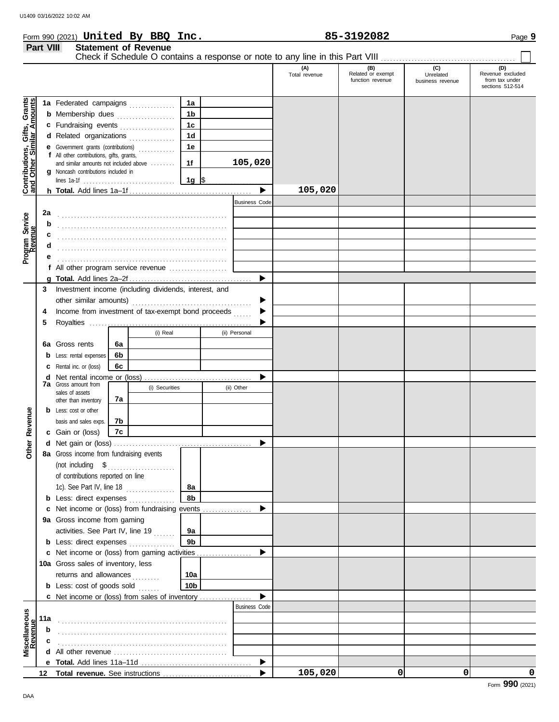| Form 990 (2021) <b>United By BBQ</b><br>85-3192082<br>Inc. | Page <b>9</b> |
|------------------------------------------------------------|---------------|
|------------------------------------------------------------|---------------|

|                                                                  | Part VIII |                                                                                     |    | <b>Statement of Revenue</b> |                 |                      | Check if Schedule O contains a response or note to any line in this Part VIII |                                       |                               |                                    |
|------------------------------------------------------------------|-----------|-------------------------------------------------------------------------------------|----|-----------------------------|-----------------|----------------------|-------------------------------------------------------------------------------|---------------------------------------|-------------------------------|------------------------------------|
|                                                                  |           |                                                                                     |    |                             |                 |                      | (A)                                                                           | (B)                                   | (C)                           | (D)                                |
|                                                                  |           |                                                                                     |    |                             |                 |                      | Total revenue                                                                 | Related or exempt<br>function revenue | Unrelated<br>business revenue | Revenue excluded<br>from tax under |
|                                                                  |           |                                                                                     |    |                             |                 |                      |                                                                               |                                       |                               | sections 512-514                   |
|                                                                  |           | 1a Federated campaigns                                                              |    |                             | 1a              |                      |                                                                               |                                       |                               |                                    |
| <b>Contributions, Gifts, Grants</b><br>and Other Similar Amounts |           | <b>b</b> Membership dues                                                            |    |                             | 1 <sub>b</sub>  |                      |                                                                               |                                       |                               |                                    |
|                                                                  |           | c Fundraising events                                                                |    |                             | $1c$            |                      |                                                                               |                                       |                               |                                    |
|                                                                  |           | d Related organizations                                                             |    |                             | 1 <sub>d</sub>  |                      |                                                                               |                                       |                               |                                    |
|                                                                  |           | <b>e</b> Government grants (contributions)                                          |    | .                           | 1е              |                      |                                                                               |                                       |                               |                                    |
|                                                                  |           | f All other contributions, gifts, grants,<br>and similar amounts not included above |    |                             | 1f              | 105,020              |                                                                               |                                       |                               |                                    |
|                                                                  |           | <b>g</b> Noncash contributions included in                                          |    |                             |                 |                      |                                                                               |                                       |                               |                                    |
|                                                                  |           |                                                                                     |    |                             | 1g $\sqrt{5}$   |                      |                                                                               |                                       |                               |                                    |
|                                                                  |           |                                                                                     |    |                             |                 | ▶                    | 105,020                                                                       |                                       |                               |                                    |
|                                                                  |           |                                                                                     |    |                             |                 | <b>Business Code</b> |                                                                               |                                       |                               |                                    |
|                                                                  | 2a        |                                                                                     |    |                             |                 |                      |                                                                               |                                       |                               |                                    |
|                                                                  | b         |                                                                                     |    |                             |                 |                      |                                                                               |                                       |                               |                                    |
|                                                                  |           |                                                                                     |    |                             |                 |                      |                                                                               |                                       |                               |                                    |
| Program Service<br>Revenue                                       |           |                                                                                     |    |                             |                 |                      |                                                                               |                                       |                               |                                    |
|                                                                  |           | f All other program service revenue                                                 |    |                             |                 |                      |                                                                               |                                       |                               |                                    |
|                                                                  |           |                                                                                     |    |                             |                 | ▶                    |                                                                               |                                       |                               |                                    |
|                                                                  | 3         | Investment income (including dividends, interest, and                               |    |                             |                 |                      |                                                                               |                                       |                               |                                    |
|                                                                  |           |                                                                                     |    |                             |                 |                      |                                                                               |                                       |                               |                                    |
|                                                                  | 4         | Income from investment of tax-exempt bond proceeds                                  |    |                             |                 |                      |                                                                               |                                       |                               |                                    |
|                                                                  | 5         |                                                                                     |    |                             |                 |                      |                                                                               |                                       |                               |                                    |
|                                                                  |           |                                                                                     |    | (i) Real                    |                 | (ii) Personal        |                                                                               |                                       |                               |                                    |
|                                                                  |           | 6a Gross rents                                                                      | 6a |                             |                 |                      |                                                                               |                                       |                               |                                    |
|                                                                  |           | <b>b</b> Less: rental expenses                                                      | 6b |                             |                 |                      |                                                                               |                                       |                               |                                    |
|                                                                  |           | <b>c</b> Rental inc. or (loss)                                                      | 6c |                             |                 |                      |                                                                               |                                       |                               |                                    |
|                                                                  |           | <b>d</b> Net rental income or (loss)                                                |    |                             |                 |                      |                                                                               |                                       |                               |                                    |
|                                                                  |           | <b>7a</b> Gross amount from<br>sales of assets                                      |    | (i) Securities              |                 | (ii) Other           |                                                                               |                                       |                               |                                    |
|                                                                  |           | other than inventory                                                                | 7a |                             |                 |                      |                                                                               |                                       |                               |                                    |
| Revenue                                                          |           | <b>b</b> Less: cost or other                                                        |    |                             |                 |                      |                                                                               |                                       |                               |                                    |
|                                                                  |           | basis and sales exps.                                                               | 7b |                             |                 |                      |                                                                               |                                       |                               |                                    |
|                                                                  |           | c Gain or (loss)                                                                    | 7c |                             |                 |                      |                                                                               |                                       |                               |                                    |
| ther                                                             |           |                                                                                     |    |                             |                 |                      |                                                                               |                                       |                               |                                    |
| Ò                                                                |           | 8a Gross income from fundraising events                                             |    |                             |                 |                      |                                                                               |                                       |                               |                                    |
|                                                                  |           | (not including $$$<br>of contributions reported on line                             |    |                             |                 |                      |                                                                               |                                       |                               |                                    |
|                                                                  |           | 1c). See Part IV, line $18$                                                         |    |                             | 8а              |                      |                                                                               |                                       |                               |                                    |
|                                                                  |           | <b>b</b> Less: direct expenses                                                      |    |                             | 8b              |                      |                                                                               |                                       |                               |                                    |
|                                                                  |           | c Net income or (loss) from fundraising events                                      |    |                             |                 |                      |                                                                               |                                       |                               |                                    |
|                                                                  |           | 9a Gross income from gaming                                                         |    |                             |                 |                      |                                                                               |                                       |                               |                                    |
|                                                                  |           | activities. See Part IV, line 19                                                    |    |                             | 9а              |                      |                                                                               |                                       |                               |                                    |
|                                                                  |           | <b>b</b> Less: direct expenses                                                      |    |                             | 9 <sub>b</sub>  |                      |                                                                               |                                       |                               |                                    |
|                                                                  |           | c Net income or (loss) from gaming activities                                       |    |                             |                 |                      |                                                                               |                                       |                               |                                    |
|                                                                  |           | 10a Gross sales of inventory, less                                                  |    |                             |                 |                      |                                                                               |                                       |                               |                                    |
|                                                                  |           | returns and allowances                                                              |    | .                           | 10a             |                      |                                                                               |                                       |                               |                                    |
|                                                                  |           | <b>b</b> Less: cost of goods sold                                                   |    |                             | 10 <sub>b</sub> |                      |                                                                               |                                       |                               |                                    |
|                                                                  |           | c Net income or (loss) from sales of inventory                                      |    |                             |                 |                      |                                                                               |                                       |                               |                                    |
|                                                                  |           |                                                                                     |    |                             |                 | <b>Business Code</b> |                                                                               |                                       |                               |                                    |
|                                                                  | 11a       |                                                                                     |    |                             |                 |                      |                                                                               |                                       |                               |                                    |
|                                                                  | b         |                                                                                     |    |                             |                 |                      |                                                                               |                                       |                               |                                    |
| Miscellaneous<br>Revenue                                         |           |                                                                                     |    |                             |                 |                      |                                                                               |                                       |                               |                                    |
|                                                                  |           |                                                                                     |    |                             |                 |                      |                                                                               |                                       |                               |                                    |
|                                                                  |           |                                                                                     |    |                             |                 | ▶                    | 105,020                                                                       | $\mathbf 0$                           | 0                             | 0                                  |
|                                                                  |           |                                                                                     |    |                             |                 |                      |                                                                               |                                       |                               |                                    |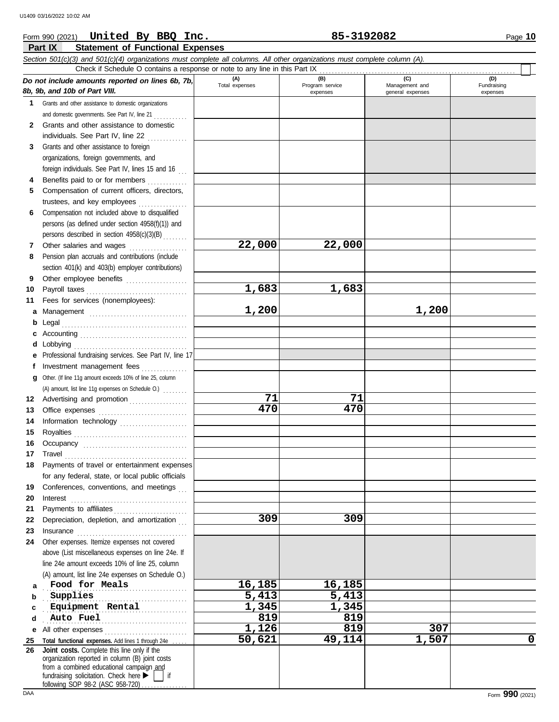#### **Part IX Statement of Functional Expenses** Form 990 (2021) Page **10 United By BBQ Inc. 85-3192082** *Section 501(c)(3) and 501(c)(4) organizations must complete all columns. All other organizations must complete column (A). Do not include amounts reported on lines 6b, 7b, 8b, 9b, and 10b of Part VIII.* **(A) (B) (C) (D)** Total expenses Program service Management and expenses and a general expenses Check if Schedule O contains a response or note to any line in this Part IX . . . . . . . . . . . . . . . . . . . . . . . . . . . . . . . . . . . . . . . . . . . . . . . . . . . . . . . . . . . . . . . .

|          | 8b, 9b, and 10b of Part VIII.                                                                                                                                                                                                  |        | expenses | general expenses | expenses    |
|----------|--------------------------------------------------------------------------------------------------------------------------------------------------------------------------------------------------------------------------------|--------|----------|------------------|-------------|
| 1        | Grants and other assistance to domestic organizations                                                                                                                                                                          |        |          |                  |             |
|          | and domestic governments. See Part IV, line 21                                                                                                                                                                                 |        |          |                  |             |
| 2        | Grants and other assistance to domestic                                                                                                                                                                                        |        |          |                  |             |
|          | individuals. See Part IV, line 22                                                                                                                                                                                              |        |          |                  |             |
| 3        | Grants and other assistance to foreign                                                                                                                                                                                         |        |          |                  |             |
|          | organizations, foreign governments, and                                                                                                                                                                                        |        |          |                  |             |
|          | foreign individuals. See Part IV, lines 15 and 16                                                                                                                                                                              |        |          |                  |             |
| 4        | Benefits paid to or for members                                                                                                                                                                                                |        |          |                  |             |
| 5        | Compensation of current officers, directors,                                                                                                                                                                                   |        |          |                  |             |
|          | trustees, and key employees                                                                                                                                                                                                    |        |          |                  |             |
| 6        | Compensation not included above to disqualified                                                                                                                                                                                |        |          |                  |             |
|          | persons (as defined under section 4958(f)(1)) and                                                                                                                                                                              |        |          |                  |             |
|          | persons described in section 4958(c)(3)(B)                                                                                                                                                                                     |        |          |                  |             |
| 7        | Other salaries and wages<br>.                                                                                                                                                                                                  | 22,000 | 22,000   |                  |             |
| 8        | Pension plan accruals and contributions (include                                                                                                                                                                               |        |          |                  |             |
|          | section 401(k) and 403(b) employer contributions)                                                                                                                                                                              |        |          |                  |             |
| 9        | Other employee benefits                                                                                                                                                                                                        |        |          |                  |             |
| 10       |                                                                                                                                                                                                                                | 1,683  | 1,683    |                  |             |
| 11       | Fees for services (nonemployees):                                                                                                                                                                                              |        |          |                  |             |
| а        |                                                                                                                                                                                                                                | 1,200  |          | 1,200            |             |
| b        |                                                                                                                                                                                                                                |        |          |                  |             |
|          |                                                                                                                                                                                                                                |        |          |                  |             |
| d        | Lobbying                                                                                                                                                                                                                       |        |          |                  |             |
| е        | Professional fundraising services. See Part IV, line 17                                                                                                                                                                        |        |          |                  |             |
| f        | Investment management fees                                                                                                                                                                                                     |        |          |                  |             |
| g        | Other. (If line 11g amount exceeds 10% of line 25, column                                                                                                                                                                      |        |          |                  |             |
|          | (A) amount, list line 11g expenses on Schedule O.)                                                                                                                                                                             |        |          |                  |             |
|          | 12 Advertising and promotion [1] [1] Advertising and promotion                                                                                                                                                                 | 71     | 71       |                  |             |
| 13       |                                                                                                                                                                                                                                | 470    | 470      |                  |             |
| 14       | Information technology                                                                                                                                                                                                         |        |          |                  |             |
| 15       |                                                                                                                                                                                                                                |        |          |                  |             |
| 16       |                                                                                                                                                                                                                                |        |          |                  |             |
| 17       | Travel                                                                                                                                                                                                                         |        |          |                  |             |
| 18       | Payments of travel or entertainment expenses                                                                                                                                                                                   |        |          |                  |             |
|          | for any federal, state, or local public officials                                                                                                                                                                              |        |          |                  |             |
| 19       | Conferences, conventions, and meetings                                                                                                                                                                                         |        |          |                  |             |
| 20       | Interest                                                                                                                                                                                                                       |        |          |                  |             |
| 21       |                                                                                                                                                                                                                                |        |          |                  |             |
| 22       | Depreciation, depletion, and amortization                                                                                                                                                                                      | 309    | 309      |                  |             |
| 23       | Insurance with a construction of the state of the state of the state of the state of the state of the state of the state of the state of the state of the state of the state of the state of the state of the state of the sta |        |          |                  |             |
| 24       | Other expenses. Itemize expenses not covered                                                                                                                                                                                   |        |          |                  |             |
|          | above (List miscellaneous expenses on line 24e. If                                                                                                                                                                             |        |          |                  |             |
|          | line 24e amount exceeds 10% of line 25, column                                                                                                                                                                                 |        |          |                  |             |
|          | (A) amount, list line 24e expenses on Schedule O.)<br>Food for Meals                                                                                                                                                           | 16,185 | 16,185   |                  |             |
| a        | Supplies                                                                                                                                                                                                                       | 5,413  | 5,413    |                  |             |
| b        | Equipment Rental                                                                                                                                                                                                               | 1,345  | 1,345    |                  |             |
| c<br>d   | Auto Fuel                                                                                                                                                                                                                      | 819    | 819      |                  |             |
|          | All other expenses                                                                                                                                                                                                             | 1,126  | 819      | 307              |             |
| е        | Total functional expenses. Add lines 1 through 24e                                                                                                                                                                             | 50,621 | 49,114   | 1,507            | $\mathbf 0$ |
| 25<br>26 | Joint costs. Complete this line only if the                                                                                                                                                                                    |        |          |                  |             |
|          | organization reported in column (B) joint costs                                                                                                                                                                                |        |          |                  |             |
|          | from a combined educational campaign and                                                                                                                                                                                       |        |          |                  |             |
|          | fundraising solicitation. Check here $\blacktriangleright$<br>∣if<br>following SOP 98-2 (ASC 958-720).                                                                                                                         |        |          |                  |             |
|          |                                                                                                                                                                                                                                |        |          |                  |             |

Fundraising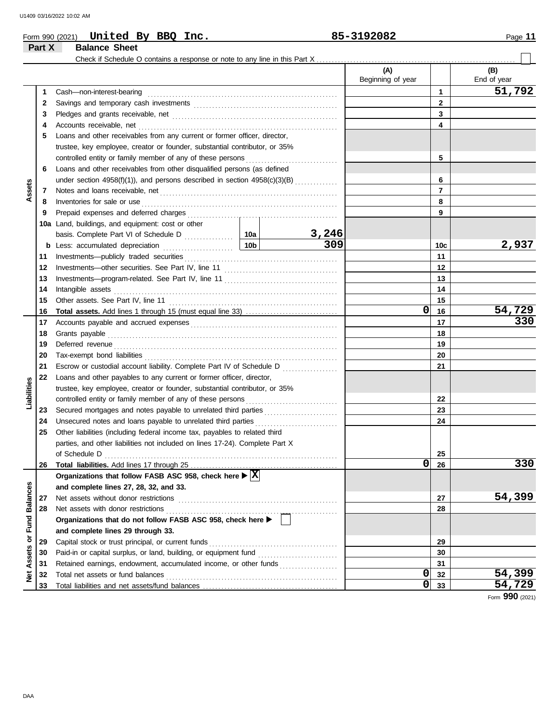**Part X Balance Sheet**

|  | Form 990 (2021) | United |  | By BBQ | Inc. | 5-3192082<br>oг | Page |
|--|-----------------|--------|--|--------|------|-----------------|------|
|--|-----------------|--------|--|--------|------|-----------------|------|

#### Check if Schedule O contains a response or note to any line in this Part X **(A) (B)** Beginning of year  $\parallel$  End of year Cash—non-interest-bearing . . . . . . . . . . . . . . . . . . . . . . . . . . . . . . . . . . . . . . . . . . . . . . . . . . . . . . . . . . . . . . **1 51,792 1** Savings and temporary cash investments . . . . . . . . . . . . . . . . . . . . . . . . . . . . . . . . . . . . . . . . . . . . . . . **2 2 3 3** Pledges and grants receivable, net . . . . . . . . . . . . . . . . . . . . . . . . . . . . . . . . . . . . . . . . . . . . . . . . . . . . . . **4 4** Accounts receivable, net . . . . . . . . . . . . . . . . . . . . . . . . . . . . . . . . . . . . . . . . . . . . . . . . . . . . . . . . . . . . . . . . . **5** Loans and other receivables from any current or former officer, director, trustee, key employee, creator or founder, substantial contributor, or 35% controlled entity or family member of any of these persons ............................. **5 6** Loans and other receivables from other disqualified persons (as defined **6** under section 4958(f)(1)), and persons described in section 4958(c)(3)(B) ............. **Assets 7 7** Notes and loans receivable, net . . . . . . . . . . . . . . . . . . . . . . . . . . . . . . . . . . . . . . . . . . . . . . . . . . . . . . . . . . **8 8** Inventories for sale or use . . . . . . . . . . . . . . . . . . . . . . . . . . . . . . . . . . . . . . . . . . . . . . . . . . . . . . . . . . . . . . . . Prepaid expenses and deferred charges . . . . . . . . . . . . . . . . . . . . . . . . . . . . . . . . . . . . . . . . . . . . . . . . . **9 9 10a** Land, buildings, and equipment: cost or other **10a** basis. Complete Part VI of Schedule D **3,246 10c 309 2,937 b** Less: accumulated depreciation . . . . . . . . . . . . . . . . . . . . . . . **10b** Investments—publicly traded securities . . . . . . . . . . . . . . . . . . . . . . . . . . . . . . . . . . . . . . . . . . . . . . . . . . **11 11 12 12** Investments—other securities. See Part IV, line 11 . . . . . . . . . . . . . . . . . . . . . . . . . . . . . . . . . . . . . **13 13** Investments—program-related. See Part IV, line 11 . . . . . . . . . . . . . . . . . . . . . . . . . . . . . . . . . . . . . **14 14** Intangible assets . . . . . . . . . . . . . . . . . . . . . . . . . . . . . . . . . . . . . . . . . . . . . . . . . . . . . . . . . . . . . . . . . . . . . . . . . **15 15** Other assets. See Part IV, line 11 . . . . . . . . . . . . . . . . . . . . . . . . . . . . . . . . . . . . . . . . . . . . . . . . . . . . . . . **0 54,729 16 Total assets.** Add lines 1 through 15 (must equal line 33) ................................. **16** Accounts payable and accrued expenses . . . . . . . . . . . . . . . . . . . . . . . . . . . . . . . . . . . . . . . . . . . . . . . . **17 330 17** Grants payable . . . . . . . . . . . . . . . . . . . . . . . . . . . . . . . . . . . . . . . . . . . . . . . . . . . . . . . . . . . . . . . . . . . . . . . . . . . **18 18 19 19** Deferred revenue . . . . . . . . . . . . . . . . . . . . . . . . . . . . . . . . . . . . . . . . . . . . . . . . . . . . . . . . . . . . . . . . . . . . . . . . . **20 20** Tax-exempt bond liabilities . . . . . . . . . . . . . . . . . . . . . . . . . . . . . . . . . . . . . . . . . . . . . . . . . . . . . . . . . . . . . . . **21 21** Escrow or custodial account liability. Complete Part IV of Schedule D . . . . . . . . . . . . . . . . . . **22** Loans and other payables to any current or former officer, director, **Liabilities** trustee, key employee, creator or founder, substantial contributor, or 35% controlled entity or family member of any of these persons . . . . . . . . . . . . . . . . . . . . . . . . . . . . . . **22 23** Secured mortgages and notes payable to unrelated third parties ........................ **23 24 24** Unsecured notes and loans payable to unrelated third parties . . . . . . . . . . . . . . . . . . . . . . . . . . . **25** Other liabilities (including federal income tax, payables to related third parties, and other liabilities not included on lines 17-24). Complete Part X of Schedule D . . . . . . . . . . . . . . . . . . . . . . . . . . . . . . . . . . . . . . . . . . . . . . . . . . . . . . . . . . . . . . . . . . . . . . . . . . . . **25 0 330 26 Total liabilities.** Add lines 17 through 25 **26** Organizations that follow FASB ASC 958, check here  $\blacktriangleright$   $\boxed{\text{X}}$ Net Assets or Fund Balances **Net Assets or Fund Balances and complete lines 27, 28, 32, and 33.** Net assets without donor restrictions . . . . . . . . . . . . . . . . . . . . . . . . . . . . . . . . . . . . . . . . . . . . . . . . . . . . **54,399 27 27 28** Net assets with donor restrictions **28** Organizations that do not follow FASB ASC 958, check here  $\blacktriangleright$ **and complete lines 29 through 33.** Capital stock or trust principal, or current funds . . . . . . . . . . . . . . . . . . . . . . . . . . . . . . . . . . . . . . . . . . **29 29 30** Paid-in or capital surplus, or land, building, or equipment fund ........................... **30** Retained earnings, endowment, accumulated income, or other funds .................... **31 31** Total net assets or fund balances . . . . . . . . . . . . . . . . . . . . . . . . . . . . . . . . . . . . . . . . . . . . . . . . . . . . . . . . **0 54,399 32 32** Total liabilities and net assets/fund balances . **0 54,729 33 33**

Form **990** (2021)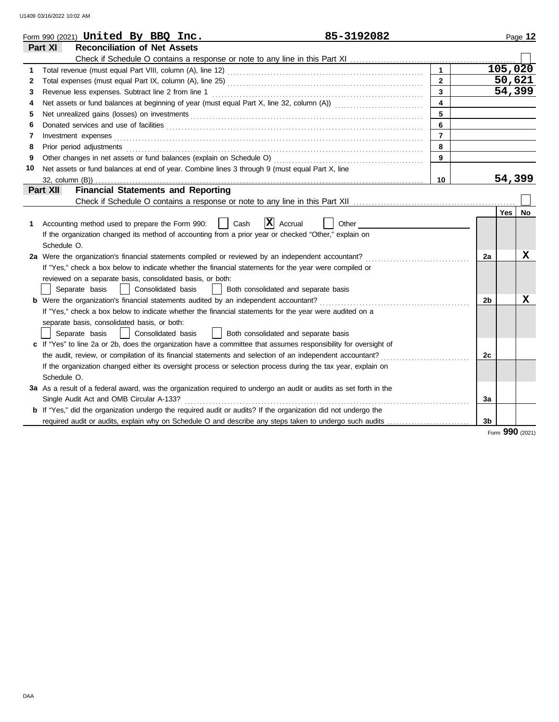|    | 85-3192082<br>Form 990 (2021) United By BBQ Inc.                                                                   |                |    |         | Page 12         |
|----|--------------------------------------------------------------------------------------------------------------------|----------------|----|---------|-----------------|
|    | <b>Reconciliation of Net Assets</b><br>Part XI                                                                     |                |    |         |                 |
|    |                                                                                                                    |                |    |         |                 |
| 1  |                                                                                                                    |                |    | 105,020 |                 |
| 2  |                                                                                                                    | $\mathbf{2}$   |    | 50,621  |                 |
| 3  |                                                                                                                    | 3              |    | 54,399  |                 |
| 4  |                                                                                                                    |                |    |         |                 |
| 5  |                                                                                                                    | 5              |    |         |                 |
| 6  |                                                                                                                    | 6              |    |         |                 |
| 7  | Investment expenses                                                                                                | $\overline{7}$ |    |         |                 |
| 8  | Prior period adjustments                                                                                           | 8              |    |         |                 |
| 9  |                                                                                                                    | 9              |    |         |                 |
| 10 | Net assets or fund balances at end of year. Combine lines 3 through 9 (must equal Part X, line                     |                |    |         |                 |
|    | 32, column (B))                                                                                                    | 10             |    | 54,399  |                 |
|    | <b>Financial Statements and Reporting</b><br>Part XII                                                              |                |    |         |                 |
|    |                                                                                                                    |                |    |         |                 |
|    |                                                                                                                    |                |    | Yes I   | No              |
| 1  | $ \mathbf{X} $ Accrual<br>Accounting method used to prepare the Form 990:<br>Cash<br>Other                         |                |    |         |                 |
|    | If the organization changed its method of accounting from a prior year or checked "Other," explain on              |                |    |         |                 |
|    | Schedule O.                                                                                                        |                |    |         |                 |
|    | 2a Were the organization's financial statements compiled or reviewed by an independent accountant?                 |                | 2a |         | X               |
|    | If "Yes," check a box below to indicate whether the financial statements for the year were compiled or             |                |    |         |                 |
|    | reviewed on a separate basis, consolidated basis, or both:                                                         |                |    |         |                 |
|    | Separate basis<br>Consolidated basis<br>Both consolidated and separate basis                                       |                |    |         |                 |
|    | <b>b</b> Were the organization's financial statements audited by an independent accountant?                        |                | 2b |         | x               |
|    | If "Yes," check a box below to indicate whether the financial statements for the year were audited on a            |                |    |         |                 |
|    | separate basis, consolidated basis, or both:                                                                       |                |    |         |                 |
|    | Both consolidated and separate basis<br>Separate basis<br>Consolidated basis                                       |                |    |         |                 |
|    | c If "Yes" to line 2a or 2b, does the organization have a committee that assumes responsibility for oversight of   |                |    |         |                 |
|    | the audit, review, or compilation of its financial statements and selection of an independent accountant?          |                | 2c |         |                 |
|    | If the organization changed either its oversight process or selection process during the tax year, explain on      |                |    |         |                 |
|    | Schedule O.                                                                                                        |                |    |         |                 |
|    | 3a As a result of a federal award, was the organization required to undergo an audit or audits as set forth in the |                |    |         |                 |
|    | Single Audit Act and OMB Circular A-133?                                                                           |                | 3a |         |                 |
|    | b If "Yes," did the organization undergo the required audit or audits? If the organization did not undergo the     |                |    |         |                 |
|    | required audit or audits, explain why on Schedule O and describe any steps taken to undergo such audits            |                | 3b |         |                 |
|    |                                                                                                                    |                |    |         | Form 990 (2021) |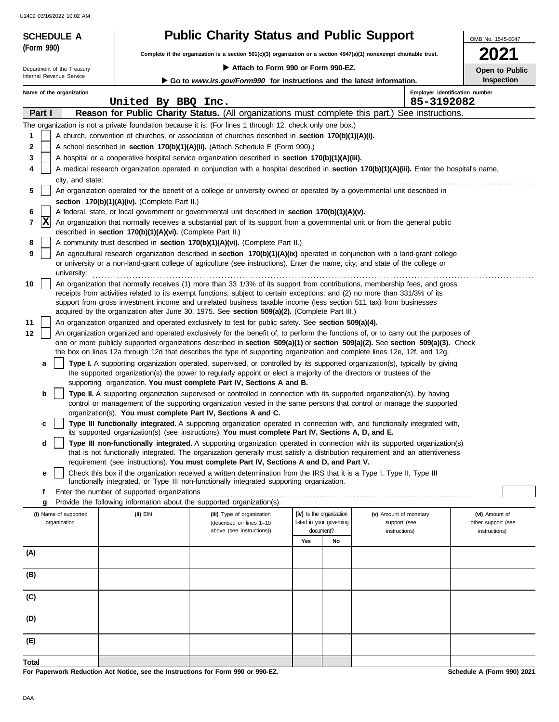| <b>SCHEDULE A</b>                                                                                                                  |                                                            | <b>Public Charity Status and Public Support</b>                                                                                                                                                                                             |     |                                       |                                              | OMB No. 1545-0047                   |
|------------------------------------------------------------------------------------------------------------------------------------|------------------------------------------------------------|---------------------------------------------------------------------------------------------------------------------------------------------------------------------------------------------------------------------------------------------|-----|---------------------------------------|----------------------------------------------|-------------------------------------|
| (Form 990)<br>Complete if the organization is a section 501(c)(3) organization or a section 4947(a)(1) nonexempt charitable trust. |                                                            |                                                                                                                                                                                                                                             |     |                                       |                                              | 2021                                |
| Department of the Treasury                                                                                                         |                                                            | Attach to Form 990 or Form 990-EZ.                                                                                                                                                                                                          |     |                                       |                                              | Open to Public                      |
| Internal Revenue Service                                                                                                           |                                                            | Go to www.irs.gov/Form990 for instructions and the latest information.                                                                                                                                                                      |     |                                       |                                              | <b>Inspection</b>                   |
| Name of the organization                                                                                                           | United By BBQ Inc.                                         |                                                                                                                                                                                                                                             |     |                                       | Employer identification number<br>85-3192082 |                                     |
| Part I                                                                                                                             |                                                            | Reason for Public Charity Status. (All organizations must complete this part.) See instructions.                                                                                                                                            |     |                                       |                                              |                                     |
|                                                                                                                                    |                                                            | The organization is not a private foundation because it is: (For lines 1 through 12, check only one box.)                                                                                                                                   |     |                                       |                                              |                                     |
| 1                                                                                                                                  |                                                            | A church, convention of churches, or association of churches described in section 170(b)(1)(A)(i).                                                                                                                                          |     |                                       |                                              |                                     |
| 2                                                                                                                                  |                                                            | A school described in <b>section 170(b)(1)(A)(ii).</b> (Attach Schedule E (Form 990).)                                                                                                                                                      |     |                                       |                                              |                                     |
| 3                                                                                                                                  |                                                            | A hospital or a cooperative hospital service organization described in section 170(b)(1)(A)(iii).                                                                                                                                           |     |                                       |                                              |                                     |
| 4                                                                                                                                  |                                                            | A medical research organization operated in conjunction with a hospital described in section 170(b)(1)(A)(iii). Enter the hospital's name,                                                                                                  |     |                                       |                                              |                                     |
| city, and state:                                                                                                                   |                                                            |                                                                                                                                                                                                                                             |     |                                       |                                              |                                     |
| 5                                                                                                                                  |                                                            | An organization operated for the benefit of a college or university owned or operated by a governmental unit described in                                                                                                                   |     |                                       |                                              |                                     |
| 6                                                                                                                                  | section 170(b)(1)(A)(iv). (Complete Part II.)              | A federal, state, or local government or governmental unit described in section 170(b)(1)(A)(v).                                                                                                                                            |     |                                       |                                              |                                     |
| $ {\bf x} $<br>$\overline{7}$                                                                                                      |                                                            | An organization that normally receives a substantial part of its support from a governmental unit or from the general public                                                                                                                |     |                                       |                                              |                                     |
|                                                                                                                                    | described in section 170(b)(1)(A)(vi). (Complete Part II.) |                                                                                                                                                                                                                                             |     |                                       |                                              |                                     |
| 8                                                                                                                                  |                                                            | A community trust described in section 170(b)(1)(A)(vi). (Complete Part II.)                                                                                                                                                                |     |                                       |                                              |                                     |
| 9                                                                                                                                  |                                                            | An agricultural research organization described in section 170(b)(1)(A)(ix) operated in conjunction with a land-grant college                                                                                                               |     |                                       |                                              |                                     |
| university:                                                                                                                        |                                                            | or university or a non-land-grant college of agriculture (see instructions). Enter the name, city, and state of the college or                                                                                                              |     |                                       |                                              |                                     |
| 10                                                                                                                                 |                                                            | An organization that normally receives (1) more than 33 1/3% of its support from contributions, membership fees, and gross                                                                                                                  |     |                                       |                                              |                                     |
|                                                                                                                                    |                                                            | receipts from activities related to its exempt functions, subject to certain exceptions; and (2) no more than 331/3% of its                                                                                                                 |     |                                       |                                              |                                     |
|                                                                                                                                    |                                                            | support from gross investment income and unrelated business taxable income (less section 511 tax) from businesses                                                                                                                           |     |                                       |                                              |                                     |
| 11                                                                                                                                 |                                                            | acquired by the organization after June 30, 1975. See section 509(a)(2). (Complete Part III.)                                                                                                                                               |     |                                       |                                              |                                     |
| 12                                                                                                                                 |                                                            | An organization organized and operated exclusively to test for public safety. See section 509(a)(4).<br>An organization organized and operated exclusively for the benefit of, to perform the functions of, or to carry out the purposes of |     |                                       |                                              |                                     |
|                                                                                                                                    |                                                            | one or more publicly supported organizations described in section 509(a)(1) or section 509(a)(2). See section 509(a)(3). Check                                                                                                              |     |                                       |                                              |                                     |
|                                                                                                                                    |                                                            | the box on lines 12a through 12d that describes the type of supporting organization and complete lines 12e, 12f, and 12g.                                                                                                                   |     |                                       |                                              |                                     |
|                                                                                                                                    |                                                            | Type I. A supporting organization operated, supervised, or controlled by its supported organization(s), typically by giving                                                                                                                 |     |                                       |                                              |                                     |
|                                                                                                                                    |                                                            | the supported organization(s) the power to regularly appoint or elect a majority of the directors or trustees of the<br>supporting organization. You must complete Part IV, Sections A and B.                                               |     |                                       |                                              |                                     |
| b                                                                                                                                  |                                                            | Type II. A supporting organization supervised or controlled in connection with its supported organization(s), by having                                                                                                                     |     |                                       |                                              |                                     |
|                                                                                                                                    |                                                            | control or management of the supporting organization vested in the same persons that control or manage the supported                                                                                                                        |     |                                       |                                              |                                     |
|                                                                                                                                    |                                                            | organization(s). You must complete Part IV, Sections A and C.                                                                                                                                                                               |     |                                       |                                              |                                     |
| c                                                                                                                                  |                                                            | Type III functionally integrated. A supporting organization operated in connection with, and functionally integrated with,<br>its supported organization(s) (see instructions). You must complete Part IV, Sections A, D, and E.            |     |                                       |                                              |                                     |
| d                                                                                                                                  |                                                            | Type III non-functionally integrated. A supporting organization operated in connection with its supported organization(s)                                                                                                                   |     |                                       |                                              |                                     |
|                                                                                                                                    |                                                            | that is not functionally integrated. The organization generally must satisfy a distribution requirement and an attentiveness                                                                                                                |     |                                       |                                              |                                     |
|                                                                                                                                    |                                                            | requirement (see instructions). You must complete Part IV, Sections A and D, and Part V.                                                                                                                                                    |     |                                       |                                              |                                     |
| е                                                                                                                                  |                                                            | Check this box if the organization received a written determination from the IRS that it is a Type I, Type II, Type III<br>functionally integrated, or Type III non-functionally integrated supporting organization.                        |     |                                       |                                              |                                     |
| f                                                                                                                                  | Enter the number of supported organizations                |                                                                                                                                                                                                                                             |     |                                       |                                              |                                     |
| g                                                                                                                                  |                                                            | Provide the following information about the supported organization(s).                                                                                                                                                                      |     |                                       |                                              |                                     |
| (i) Name of supported                                                                                                              | (ii) EIN                                                   | (iii) Type of organization                                                                                                                                                                                                                  |     | (iv) Is the organization              | (v) Amount of monetary                       | (vi) Amount of                      |
| organization                                                                                                                       |                                                            | (described on lines 1-10<br>above (see instructions))                                                                                                                                                                                       |     | listed in your governing<br>document? | support (see<br>instructions)                | other support (see<br>instructions) |
|                                                                                                                                    |                                                            |                                                                                                                                                                                                                                             | Yes | No                                    |                                              |                                     |
| (A)                                                                                                                                |                                                            |                                                                                                                                                                                                                                             |     |                                       |                                              |                                     |
|                                                                                                                                    |                                                            |                                                                                                                                                                                                                                             |     |                                       |                                              |                                     |
| (B)                                                                                                                                |                                                            |                                                                                                                                                                                                                                             |     |                                       |                                              |                                     |
|                                                                                                                                    |                                                            |                                                                                                                                                                                                                                             |     |                                       |                                              |                                     |

**Total**

**(E)**

**(D)**

**(C)**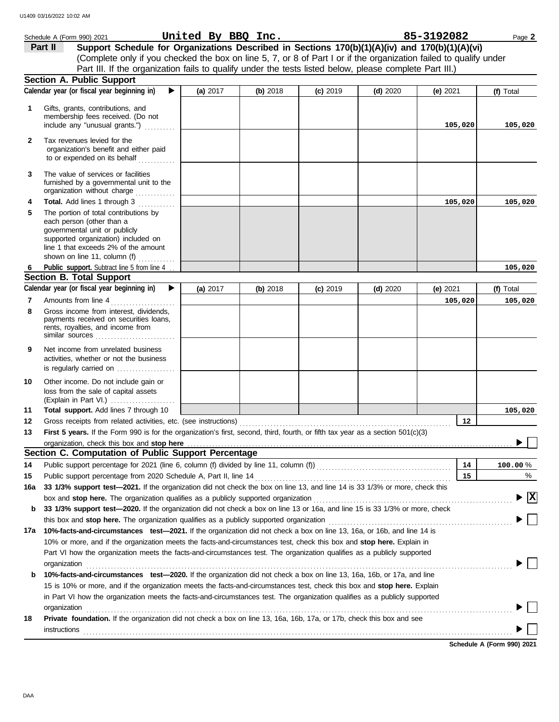|              | Schedule A (Form 990) 2021                                                                                                                                                                                                                                                                                                                                    | United By BBQ Inc. |          |            |            | 85-3192082 | Page 2                          |
|--------------|---------------------------------------------------------------------------------------------------------------------------------------------------------------------------------------------------------------------------------------------------------------------------------------------------------------------------------------------------------------|--------------------|----------|------------|------------|------------|---------------------------------|
|              | Support Schedule for Organizations Described in Sections 170(b)(1)(A)(iv) and 170(b)(1)(A)(vi)<br>Part II                                                                                                                                                                                                                                                     |                    |          |            |            |            |                                 |
|              | (Complete only if you checked the box on line 5, 7, or 8 of Part I or if the organization failed to qualify under                                                                                                                                                                                                                                             |                    |          |            |            |            |                                 |
|              | Part III. If the organization fails to qualify under the tests listed below, please complete Part III.)                                                                                                                                                                                                                                                       |                    |          |            |            |            |                                 |
|              | <b>Section A. Public Support</b>                                                                                                                                                                                                                                                                                                                              |                    |          |            |            |            |                                 |
|              | Calendar year (or fiscal year beginning in)<br>▶                                                                                                                                                                                                                                                                                                              | (a) 2017           | (b) 2018 | $(c)$ 2019 | (d) $2020$ | (e) $2021$ | (f) Total                       |
| 1            | Gifts, grants, contributions, and<br>membership fees received. (Do not<br>include any "unusual grants.")                                                                                                                                                                                                                                                      |                    |          |            |            | 105,020    | 105,020                         |
| $\mathbf{2}$ | Tax revenues levied for the<br>organization's benefit and either paid<br>to or expended on its behalf                                                                                                                                                                                                                                                         |                    |          |            |            |            |                                 |
| 3            | The value of services or facilities<br>furnished by a governmental unit to the                                                                                                                                                                                                                                                                                |                    |          |            |            |            |                                 |
| 4            | <b>Total.</b> Add lines 1 through 3<br>.                                                                                                                                                                                                                                                                                                                      |                    |          |            |            | 105,020    | 105,020                         |
| 5            | The portion of total contributions by<br>each person (other than a<br>governmental unit or publicly<br>supported organization) included on<br>line 1 that exceeds 2% of the amount<br>shown on line 11, column (f)                                                                                                                                            |                    |          |            |            |            |                                 |
| 6            | Public support. Subtract line 5 from line 4                                                                                                                                                                                                                                                                                                                   |                    |          |            |            |            | 105,020                         |
|              | <b>Section B. Total Support</b>                                                                                                                                                                                                                                                                                                                               |                    |          |            |            |            |                                 |
|              | Calendar year (or fiscal year beginning in)<br>▶                                                                                                                                                                                                                                                                                                              | (a) 2017           | (b) 2018 | $(c)$ 2019 | $(d)$ 2020 | (e) 2021   | (f) Total                       |
| 7            | Amounts from line 4                                                                                                                                                                                                                                                                                                                                           |                    |          |            |            | 105,020    | 105,020                         |
| 8            | Gross income from interest, dividends,<br>payments received on securities loans,<br>rents, royalties, and income from<br>similar sources                                                                                                                                                                                                                      |                    |          |            |            |            |                                 |
| 9            | Net income from unrelated business<br>activities, whether or not the business<br>is regularly carried on                                                                                                                                                                                                                                                      |                    |          |            |            |            |                                 |
| 10           | Other income. Do not include gain or<br>loss from the sale of capital assets<br>(Explain in Part VI.)                                                                                                                                                                                                                                                         |                    |          |            |            |            |                                 |
| 11           | Total support. Add lines 7 through 10                                                                                                                                                                                                                                                                                                                         |                    |          |            |            |            | 105,020                         |
| 12           |                                                                                                                                                                                                                                                                                                                                                               |                    |          |            |            | 12         |                                 |
| 13           | First 5 years. If the Form 990 is for the organization's first, second, third, fourth, or fifth tax year as a section 501(c)(3)                                                                                                                                                                                                                               |                    |          |            |            |            |                                 |
|              | Section C. Computation of Public Support Percentage                                                                                                                                                                                                                                                                                                           |                    |          |            |            |            |                                 |
|              |                                                                                                                                                                                                                                                                                                                                                               |                    |          |            |            | 14         |                                 |
| 14           | Public support percentage for 2021 (line 6, column (f) divided by line 11, column (f)) [[[[[[[[[[[[[[[[[[[[[[                                                                                                                                                                                                                                                 |                    |          |            |            | 15         | 100.00%                         |
| 15           | 33 1/3% support test-2021. If the organization did not check the box on line 13, and line 14 is 33 1/3% or more, check this                                                                                                                                                                                                                                   |                    |          |            |            |            | %                               |
| 16a          |                                                                                                                                                                                                                                                                                                                                                               |                    |          |            |            |            | $\blacktriangleright$ $\vert$ X |
| b            | box and stop here. The organization qualifies as a publicly supported organization [11] content content content content or supported organization [11] content content content of the state of the state of the state or state<br>33 1/3% support test-2020. If the organization did not check a box on line 13 or 16a, and line 15 is 33 1/3% or more, check |                    |          |            |            |            |                                 |
|              |                                                                                                                                                                                                                                                                                                                                                               |                    |          |            |            |            |                                 |
| 17a          | 10%-facts-and-circumstances test-2021. If the organization did not check a box on line 13, 16a, or 16b, and line 14 is                                                                                                                                                                                                                                        |                    |          |            |            |            |                                 |
|              | 10% or more, and if the organization meets the facts-and-circumstances test, check this box and stop here. Explain in                                                                                                                                                                                                                                         |                    |          |            |            |            |                                 |
|              | Part VI how the organization meets the facts-and-circumstances test. The organization qualifies as a publicly supported                                                                                                                                                                                                                                       |                    |          |            |            |            |                                 |
|              | organization www.commutation.com/www.commutation.com/www.commutation.com/www.commutation.com/www.commutation.com                                                                                                                                                                                                                                              |                    |          |            |            |            |                                 |
| b            | 10%-facts-and-circumstances test-2020. If the organization did not check a box on line 13, 16a, 16b, or 17a, and line                                                                                                                                                                                                                                         |                    |          |            |            |            |                                 |
|              | 15 is 10% or more, and if the organization meets the facts-and-circumstances test, check this box and stop here. Explain                                                                                                                                                                                                                                      |                    |          |            |            |            |                                 |
|              | in Part VI how the organization meets the facts-and-circumstances test. The organization qualifies as a publicly supported                                                                                                                                                                                                                                    |                    |          |            |            |            |                                 |
|              | organization www.commutation.com/www.commutation.com/www.commutation.com/www.commutation.com/www.commutation.com                                                                                                                                                                                                                                              |                    |          |            |            |            |                                 |
| 18           | Private foundation. If the organization did not check a box on line 13, 16a, 16b, 17a, or 17b, check this box and see<br><b>instructions</b>                                                                                                                                                                                                                  |                    |          |            |            |            |                                 |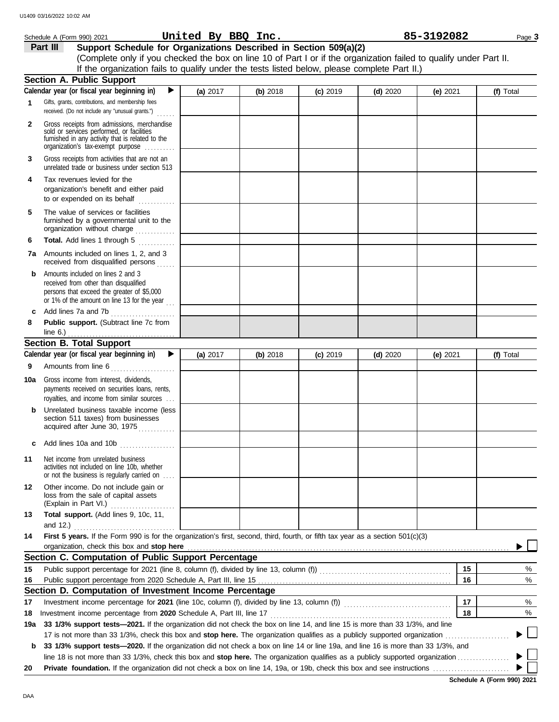|              | Schedule A (Form 990) 2021                                                                                                                                                        | United By BBQ Inc. |          |            |            | 85-3192082 | Page 3    |
|--------------|-----------------------------------------------------------------------------------------------------------------------------------------------------------------------------------|--------------------|----------|------------|------------|------------|-----------|
|              | Part III<br>Support Schedule for Organizations Described in Section 509(a)(2)                                                                                                     |                    |          |            |            |            |           |
|              | (Complete only if you checked the box on line 10 of Part I or if the organization failed to qualify under Part II.                                                                |                    |          |            |            |            |           |
|              | If the organization fails to qualify under the tests listed below, please complete Part II.)                                                                                      |                    |          |            |            |            |           |
|              | <b>Section A. Public Support</b>                                                                                                                                                  |                    |          |            |            |            |           |
|              | Calendar year (or fiscal year beginning in)<br>▶                                                                                                                                  | (a) 2017           | (b) 2018 | $(c)$ 2019 | $(d)$ 2020 | (e) $2021$ | (f) Total |
| 1            | Gifts, grants, contributions, and membership fees<br>received. (Do not include any "unusual grants.")<br>.                                                                        |                    |          |            |            |            |           |
| $\mathbf{2}$ | Gross receipts from admissions, merchandise<br>sold or services performed, or facilities<br>furnished in any activity that is related to the<br>organization's fax-exempt purpose |                    |          |            |            |            |           |
| 3            | Gross receipts from activities that are not an<br>unrelated trade or business under section 513                                                                                   |                    |          |            |            |            |           |
| 4            | Tax revenues levied for the<br>organization's benefit and either paid                                                                                                             |                    |          |            |            |            |           |
| 5            | The value of services or facilities<br>furnished by a governmental unit to the<br>organization without charge                                                                     |                    |          |            |            |            |           |
| 6            | Total. Add lines 1 through 5<br>an an Dùbhlachd an 1990.<br>Bhailtean an 1990 a bhailtean 1990 a bhailtean 1990 a bhailtean 1990 a bhailtean 1990 a bhailtean 1990 a bhail        |                    |          |            |            |            |           |
|              | 7a Amounts included on lines 1, 2, and 3<br>received from disqualified persons                                                                                                    |                    |          |            |            |            |           |
| b            | Amounts included on lines 2 and 3<br>received from other than disqualified<br>persons that exceed the greater of \$5,000<br>or 1% of the amount on line 13 for the year $\ldots$  |                    |          |            |            |            |           |
| c            | Add lines 7a and 7b                                                                                                                                                               |                    |          |            |            |            |           |
| 8            | Public support. (Subtract line 7c from<br>line $6.$ )                                                                                                                             |                    |          |            |            |            |           |
|              | <b>Section B. Total Support</b>                                                                                                                                                   |                    |          |            |            |            |           |
|              | Calendar year (or fiscal year beginning in)<br>▶                                                                                                                                  | (a) 2017           | (b) 2018 | $(c)$ 2019 | $(d)$ 2020 | (e) 2021   | (f) Total |
| 9            | Amounts from line 6                                                                                                                                                               |                    |          |            |            |            |           |
| 10a          | Gross income from interest, dividends,<br>payments received on securities loans, rents,<br>royalties, and income from similar sources                                             |                    |          |            |            |            |           |
|              | Unrelated business taxable income (less<br>section 511 taxes) from businesses<br>acquired after June 30, 1975                                                                     |                    |          |            |            |            |           |
|              | Add lines 10a and 10b                                                                                                                                                             |                    |          |            |            |            |           |
| 11           | Net income from unrelated business<br>activities not included on line 10b, whether<br>or not the business is regularly carried on                                                 |                    |          |            |            |            |           |
| 12           | Other income. Do not include gain or<br>loss from the sale of capital assets                                                                                                      |                    |          |            |            |            |           |
| 13           | Total support. (Add lines 9, 10c, 11,                                                                                                                                             |                    |          |            |            |            |           |
| 14           | and 12.) $\ldots$<br>First 5 years. If the Form 990 is for the organization's first, second, third, fourth, or fifth tax year as a section 501(c)(3)                              |                    |          |            |            |            |           |
|              | organization, check this box and stop here                                                                                                                                        |                    |          |            |            |            |           |
|              | Section C. Computation of Public Support Percentage                                                                                                                               |                    |          |            |            |            |           |
| 15           |                                                                                                                                                                                   |                    |          |            |            | 15         | %         |
| 16           |                                                                                                                                                                                   |                    |          |            |            | 16         | %         |
|              | Section D. Computation of Investment Income Percentage                                                                                                                            |                    |          |            |            |            |           |
| 17           | Investment income percentage for 2021 (line 10c, column (f), divided by line 13, column (f)) contational income percentage for 2021 (line 10c, column (f)                         |                    |          |            |            | 17         | %         |
| 18           |                                                                                                                                                                                   |                    |          |            |            | 18         | %         |
| 19a          | 33 1/3% support tests-2021. If the organization did not check the box on line 14, and line 15 is more than 33 1/3%, and line                                                      |                    |          |            |            |            |           |
|              |                                                                                                                                                                                   |                    |          |            |            |            |           |
| b            | 33 1/3% support tests-2020. If the organization did not check a box on line 14 or line 19a, and line 16 is more than 33 1/3%, and                                                 |                    |          |            |            |            |           |
| 20           |                                                                                                                                                                                   |                    |          |            |            |            |           |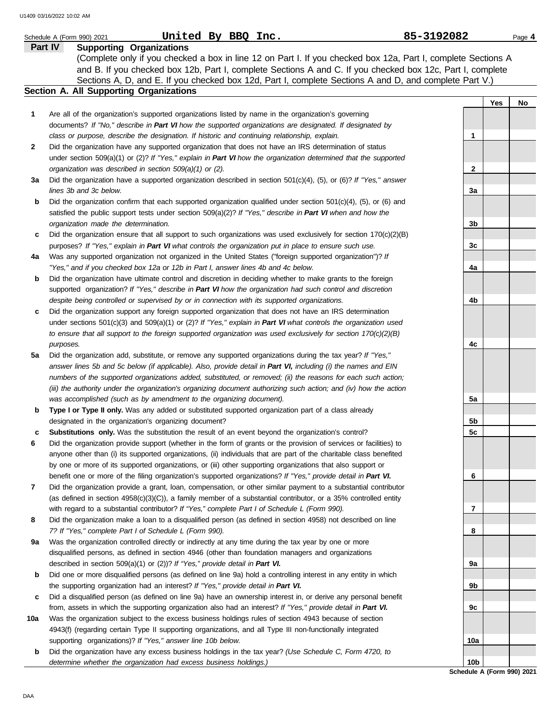|              | United By BBQ Inc.<br>Schedule A (Form 990) 2021                                                                                                                                                                            | 85-3192082      |     | Page 4 |
|--------------|-----------------------------------------------------------------------------------------------------------------------------------------------------------------------------------------------------------------------------|-----------------|-----|--------|
|              | Part IV<br><b>Supporting Organizations</b>                                                                                                                                                                                  |                 |     |        |
|              | (Complete only if you checked a box in line 12 on Part I. If you checked box 12a, Part I, complete Sections A<br>and B. If you checked box 12b, Part I, complete Sections A and C. If you checked box 12c, Part I, complete |                 |     |        |
|              | Sections A, D, and E. If you checked box 12d, Part I, complete Sections A and D, and complete Part V.)                                                                                                                      |                 |     |        |
|              | Section A. All Supporting Organizations                                                                                                                                                                                     |                 |     |        |
|              |                                                                                                                                                                                                                             |                 | Yes | No     |
| 1            | Are all of the organization's supported organizations listed by name in the organization's governing                                                                                                                        |                 |     |        |
|              | documents? If "No," describe in Part VI how the supported organizations are designated. If designated by                                                                                                                    |                 |     |        |
| $\mathbf{2}$ | class or purpose, describe the designation. If historic and continuing relationship, explain.<br>Did the organization have any supported organization that does not have an IRS determination of status                     | 1               |     |        |
|              | under section 509(a)(1) or (2)? If "Yes," explain in Part VI how the organization determined that the supported                                                                                                             |                 |     |        |
|              | organization was described in section 509(a)(1) or (2).                                                                                                                                                                     | $\mathbf{2}$    |     |        |
| За           | Did the organization have a supported organization described in section $501(c)(4)$ , (5), or (6)? If "Yes," answer                                                                                                         |                 |     |        |
|              | lines 3b and 3c below.                                                                                                                                                                                                      | 3a              |     |        |
| b            | Did the organization confirm that each supported organization qualified under section $501(c)(4)$ , $(5)$ , or $(6)$ and                                                                                                    |                 |     |        |
|              | satisfied the public support tests under section 509(a)(2)? If "Yes," describe in Part VI when and how the                                                                                                                  |                 |     |        |
|              | organization made the determination.                                                                                                                                                                                        | 3b              |     |        |
| c            | Did the organization ensure that all support to such organizations was used exclusively for section $170(c)(2)(B)$                                                                                                          |                 |     |        |
|              | purposes? If "Yes," explain in Part VI what controls the organization put in place to ensure such use.                                                                                                                      | 3c              |     |        |
| 4a           | Was any supported organization not organized in the United States ("foreign supported organization")? If                                                                                                                    |                 |     |        |
|              | "Yes," and if you checked box 12a or 12b in Part I, answer lines 4b and 4c below.                                                                                                                                           | 4a              |     |        |
| b            | Did the organization have ultimate control and discretion in deciding whether to make grants to the foreign                                                                                                                 |                 |     |        |
|              | supported organization? If "Yes," describe in Part VI how the organization had such control and discretion                                                                                                                  |                 |     |        |
|              | despite being controlled or supervised by or in connection with its supported organizations.                                                                                                                                | 4b              |     |        |
| c            | Did the organization support any foreign supported organization that does not have an IRS determination                                                                                                                     |                 |     |        |
|              | under sections $501(c)(3)$ and $509(a)(1)$ or (2)? If "Yes," explain in Part VI what controls the organization used                                                                                                         |                 |     |        |
|              | to ensure that all support to the foreign supported organization was used exclusively for section $170(c)(2)(B)$                                                                                                            |                 |     |        |
|              | purposes.                                                                                                                                                                                                                   | 4c              |     |        |
| 5a           | Did the organization add, substitute, or remove any supported organizations during the tax year? If "Yes,"                                                                                                                  |                 |     |        |
|              | answer lines 5b and 5c below (if applicable). Also, provide detail in Part VI, including (i) the names and EIN                                                                                                              |                 |     |        |
|              | numbers of the supported organizations added, substituted, or removed; (ii) the reasons for each such action;                                                                                                               |                 |     |        |
|              | (iii) the authority under the organization's organizing document authorizing such action; and (iv) how the action                                                                                                           |                 |     |        |
|              | was accomplished (such as by amendment to the organizing document).                                                                                                                                                         | 5a              |     |        |
| b            | Type I or Type II only. Was any added or substituted supported organization part of a class already                                                                                                                         |                 |     |        |
|              | designated in the organization's organizing document?                                                                                                                                                                       | 5b              |     |        |
| с            | <b>Substitutions only.</b> Was the substitution the result of an event beyond the organization's control?                                                                                                                   | 5 <sub>c</sub>  |     |        |
| 6            | Did the organization provide support (whether in the form of grants or the provision of services or facilities) to                                                                                                          |                 |     |        |
|              | anyone other than (i) its supported organizations, (ii) individuals that are part of the charitable class benefited                                                                                                         |                 |     |        |
|              | by one or more of its supported organizations, or (iii) other supporting organizations that also support or                                                                                                                 |                 |     |        |
|              | benefit one or more of the filing organization's supported organizations? If "Yes," provide detail in Part VI.                                                                                                              | 6               |     |        |
| 7            | Did the organization provide a grant, loan, compensation, or other similar payment to a substantial contributor                                                                                                             |                 |     |        |
|              | (as defined in section $4958(c)(3)(C)$ ), a family member of a substantial contributor, or a 35% controlled entity                                                                                                          |                 |     |        |
|              | with regard to a substantial contributor? If "Yes," complete Part I of Schedule L (Form 990).                                                                                                                               | 7               |     |        |
| 8            | Did the organization make a loan to a disqualified person (as defined in section 4958) not described on line                                                                                                                |                 |     |        |
|              | 7? If "Yes," complete Part I of Schedule L (Form 990).                                                                                                                                                                      | 8               |     |        |
| 9а           | Was the organization controlled directly or indirectly at any time during the tax year by one or more                                                                                                                       |                 |     |        |
|              | disqualified persons, as defined in section 4946 (other than foundation managers and organizations                                                                                                                          |                 |     |        |
|              | described in section 509(a)(1) or (2))? If "Yes," provide detail in Part VI.                                                                                                                                                | 9а              |     |        |
| b            | Did one or more disqualified persons (as defined on line 9a) hold a controlling interest in any entity in which                                                                                                             |                 |     |        |
|              | the supporting organization had an interest? If "Yes," provide detail in Part VI.                                                                                                                                           | 9b              |     |        |
| с            | Did a disqualified person (as defined on line 9a) have an ownership interest in, or derive any personal benefit                                                                                                             |                 |     |        |
|              | from, assets in which the supporting organization also had an interest? If "Yes," provide detail in Part VI.                                                                                                                | 9c              |     |        |
| 10a          | Was the organization subject to the excess business holdings rules of section 4943 because of section<br>4943(f) (regarding certain Type II supporting organizations, and all Type III non-functionally integrated          |                 |     |        |
|              | supporting organizations)? If "Yes," answer line 10b below.                                                                                                                                                                 | 10a             |     |        |
| b            | Did the organization have any excess business holdings in the tax year? (Use Schedule C, Form 4720, to                                                                                                                      |                 |     |        |
|              | determine whether the organization had excess business holdings.)                                                                                                                                                           | 10 <sub>b</sub> |     |        |
|              |                                                                                                                                                                                                                             |                 |     |        |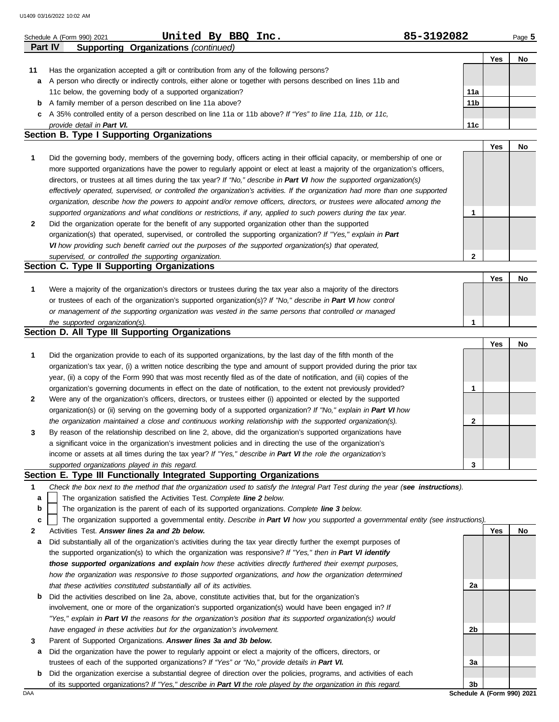|    | U1409 03/16/2022 10:02 AM                                                                                                                                        |            |     |        |
|----|------------------------------------------------------------------------------------------------------------------------------------------------------------------|------------|-----|--------|
|    | United By BBQ Inc.<br>Schedule A (Form 990) 2021                                                                                                                 | 85-3192082 |     | Page 5 |
|    | Part IV<br><b>Supporting Organizations (continued)</b>                                                                                                           |            |     |        |
|    |                                                                                                                                                                  |            | Yes | No     |
| 11 | Has the organization accepted a gift or contribution from any of the following persons?                                                                          |            |     |        |
| а  | A person who directly or indirectly controls, either alone or together with persons described on lines 11b and                                                   |            |     |        |
|    | 11c below, the governing body of a supported organization?                                                                                                       | 11a        |     |        |
| b  | A family member of a person described on line 11a above?                                                                                                         | 11b        |     |        |
| c  | A 35% controlled entity of a person described on line 11a or 11b above? If "Yes" to line 11a, 11b, or 11c,                                                       |            |     |        |
|    | provide detail in Part VI.<br><b>Section B. Type I Supporting Organizations</b>                                                                                  | 11c        |     |        |
|    |                                                                                                                                                                  |            | Yes | No     |
| 1  | Did the governing body, members of the governing body, officers acting in their official capacity, or membership of one or                                       |            |     |        |
|    | more supported organizations have the power to regularly appoint or elect at least a majority of the organization's officers,                                    |            |     |        |
|    | directors, or trustees at all times during the tax year? If "No," describe in Part VI how the supported organization(s)                                          |            |     |        |
|    |                                                                                                                                                                  |            |     |        |
|    | effectively operated, supervised, or controlled the organization's activities. If the organization had more than one supported                                   |            |     |        |
|    | organization, describe how the powers to appoint and/or remove officers, directors, or trustees were allocated among the                                         |            |     |        |
|    | supported organizations and what conditions or restrictions, if any, applied to such powers during the tax year.                                                 | 1          |     |        |
| 2  | Did the organization operate for the benefit of any supported organization other than the supported                                                              |            |     |        |
|    | organization(s) that operated, supervised, or controlled the supporting organization? If "Yes," explain in Part                                                  |            |     |        |
|    | VI how providing such benefit carried out the purposes of the supported organization(s) that operated,<br>supervised, or controlled the supporting organization. | 2          |     |        |
|    | <b>Section C. Type II Supporting Organizations</b>                                                                                                               |            |     |        |
|    |                                                                                                                                                                  |            | Yes | No     |
|    |                                                                                                                                                                  |            |     |        |
| 1  | Were a majority of the organization's directors or trustees during the tax year also a majority of the directors                                                 |            |     |        |
|    | or trustees of each of the organization's supported organization(s)? If "No," describe in Part VI how control                                                    |            |     |        |
|    | or management of the supporting organization was vested in the same persons that controlled or managed                                                           | 1          |     |        |
|    | the supported organization(s).<br>Section D. All Type III Supporting Organizations                                                                               |            |     |        |
|    |                                                                                                                                                                  |            | Yes | No     |
|    |                                                                                                                                                                  |            |     |        |
| 1  | Did the organization provide to each of its supported organizations, by the last day of the fifth month of the                                                   |            |     |        |
|    | organization's tax year, (i) a written notice describing the type and amount of support provided during the prior tax                                            |            |     |        |
|    | year, (ii) a copy of the Form 990 that was most recently filed as of the date of notification, and (iii) copies of the                                           |            |     |        |
|    | organization's governing documents in effect on the date of notification, to the extent not previously provided?                                                 | 1          |     |        |
| 2  | Were any of the organization's officers, directors, or trustees either (i) appointed or elected by the supported                                                 |            |     |        |
|    | organization(s) or (ii) serving on the governing body of a supported organization? If "No," explain in Part VI how                                               |            |     |        |
|    | the organization maintained a close and continuous working relationship with the supported organization(s).                                                      | 2          |     |        |
| 3  | By reason of the relationship described on line 2, above, did the organization's supported organizations have                                                    |            |     |        |
|    | a significant voice in the organization's investment policies and in directing the use of the organization's                                                     |            |     |        |
|    | income or assets at all times during the tax year? If "Yes," describe in Part VI the role the organization's                                                     |            |     |        |
|    | supported organizations played in this regard.                                                                                                                   | 3          |     |        |
|    | Section E. Type III Functionally Integrated Supporting Organizations                                                                                             |            |     |        |
| 1  | Check the box next to the method that the organization used to satisfy the Integral Part Test during the year (see instructions).                                |            |     |        |
| a  | The organization satisfied the Activities Test. Complete line 2 below.                                                                                           |            |     |        |
| b  | The organization is the parent of each of its supported organizations. Complete line 3 below.                                                                    |            |     |        |
| c  | The organization supported a governmental entity. Describe in Part VI how you supported a governmental entity (see instructions)                                 |            |     |        |
| 2  | Activities Test. Answer lines 2a and 2b below.                                                                                                                   |            | Yes | No     |
| а  | Did substantially all of the organization's activities during the tax year directly further the exempt purposes of                                               |            |     |        |
|    | the supported organization(s) to which the organization was responsive? If "Yes," then in Part VI identify                                                       |            |     |        |
|    | those supported organizations and explain how these activities directly furthered their exempt purposes,                                                         |            |     |        |
|    | how the organization was responsive to those supported organizations, and how the organization determined                                                        |            |     |        |
|    | that these activities constituted substantially all of its activities.                                                                                           | 2a         |     |        |
| b  | Did the activities described on line 2a, above, constitute activities that, but for the organization's                                                           |            |     |        |
|    | involvement, one or more of the organization's supported organization(s) would have been engaged in? If                                                          |            |     |        |
|    | "Yes," explain in Part VI the reasons for the organization's position that its supported organization(s) would                                                   |            |     |        |
|    | have engaged in these activities but for the organization's involvement.                                                                                         | 2b         |     |        |
| 3  | Parent of Supported Organizations. Answer lines 3a and 3b below.                                                                                                 |            |     |        |
|    |                                                                                                                                                                  |            |     |        |

- **a** Did the organization have the power to regularly appoint or elect a majority of the officers, directors, or trustees of each of the supported organizations? *If "Yes" or "No," provide details in Part VI.*
- DAA **Schedule A (Form 990) 2021 b** Did the organization exercise a substantial degree of direction over the policies, programs, and activities of each of its supported organizations? *If "Yes," describe in Part VI the role played by the organization in this regard.*

**3a**

**3b**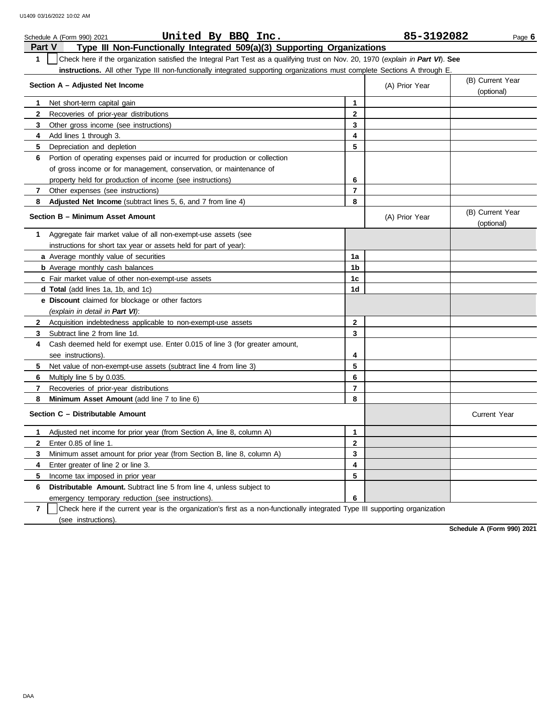| United By BBQ Inc.<br>Schedule A (Form 990) 2021                                                                                                 |              | 85-3192082     | Page 6                         |
|--------------------------------------------------------------------------------------------------------------------------------------------------|--------------|----------------|--------------------------------|
| Part V<br>Type III Non-Functionally Integrated 509(a)(3) Supporting Organizations                                                                |              |                |                                |
| Check here if the organization satisfied the Integral Part Test as a qualifying trust on Nov. 20, 1970 (explain in Part VI). See<br>$\mathbf{1}$ |              |                |                                |
| instructions. All other Type III non-functionally integrated supporting organizations must complete Sections A through E.                        |              |                |                                |
| Section A - Adjusted Net Income                                                                                                                  |              | (A) Prior Year | (B) Current Year<br>(optional) |
| Net short-term capital gain<br>1                                                                                                                 | 1            |                |                                |
| $\mathbf{2}$<br>Recoveries of prior-year distributions                                                                                           | $\mathbf{2}$ |                |                                |
| 3<br>Other gross income (see instructions)                                                                                                       | 3            |                |                                |
| Add lines 1 through 3.<br>4                                                                                                                      | 4            |                |                                |
| 5<br>Depreciation and depletion                                                                                                                  | 5            |                |                                |
| Portion of operating expenses paid or incurred for production or collection<br>6                                                                 |              |                |                                |
| of gross income or for management, conservation, or maintenance of                                                                               |              |                |                                |
| property held for production of income (see instructions)                                                                                        | 6            |                |                                |
| Other expenses (see instructions)<br>7                                                                                                           | 7            |                |                                |
| Adjusted Net Income (subtract lines 5, 6, and 7 from line 4)<br>8                                                                                | 8            |                |                                |
| Section B - Minimum Asset Amount                                                                                                                 |              | (A) Prior Year | (B) Current Year<br>(optional) |
| Aggregate fair market value of all non-exempt-use assets (see<br>1                                                                               |              |                |                                |
| instructions for short tax year or assets held for part of year):                                                                                |              |                |                                |
| a Average monthly value of securities                                                                                                            | 1a           |                |                                |
| <b>b</b> Average monthly cash balances                                                                                                           | 1b           |                |                                |
| c Fair market value of other non-exempt-use assets                                                                                               | 1c           |                |                                |
| <b>d Total</b> (add lines 1a, 1b, and 1c)                                                                                                        | 1d           |                |                                |
| <b>e</b> Discount claimed for blockage or other factors                                                                                          |              |                |                                |
| (explain in detail in Part VI):                                                                                                                  |              |                |                                |
| Acquisition indebtedness applicable to non-exempt-use assets<br>2                                                                                | $\mathbf{2}$ |                |                                |
| Subtract line 2 from line 1d.<br>3                                                                                                               | 3            |                |                                |
| Cash deemed held for exempt use. Enter 0.015 of line 3 (for greater amount,<br>4                                                                 |              |                |                                |
| see instructions)                                                                                                                                | 4            |                |                                |
| Net value of non-exempt-use assets (subtract line 4 from line 3)<br>5                                                                            | 5            |                |                                |
| 6<br>Multiply line 5 by 0.035.                                                                                                                   | 6            |                |                                |
| 7<br>Recoveries of prior-year distributions                                                                                                      | 7            |                |                                |
| 8<br><b>Minimum Asset Amount</b> (add line 7 to line 6)                                                                                          | 8            |                |                                |
| Section C - Distributable Amount                                                                                                                 |              |                | Current Year                   |
| Adjusted net income for prior year (from Section A, line 8, column A)<br>1                                                                       | $\mathbf{1}$ |                |                                |
| Enter 0.85 of line 1.<br>$\mathbf{2}$                                                                                                            | $\mathbf{2}$ |                |                                |
| Minimum asset amount for prior year (from Section B, line 8, column A)<br>3                                                                      | 3            |                |                                |
| 4<br>Enter greater of line 2 or line 3.                                                                                                          | 4            |                |                                |
| Income tax imposed in prior year<br>5                                                                                                            | 5            |                |                                |
| 6<br><b>Distributable Amount.</b> Subtract line 5 from line 4, unless subject to                                                                 |              |                |                                |
| emergency temporary reduction (see instructions).                                                                                                | 6            |                |                                |
| $\overline{7}$<br>Check here if the current year is the organization's first as a non-functionally integrated Type III supporting organization   |              |                |                                |

(see instructions).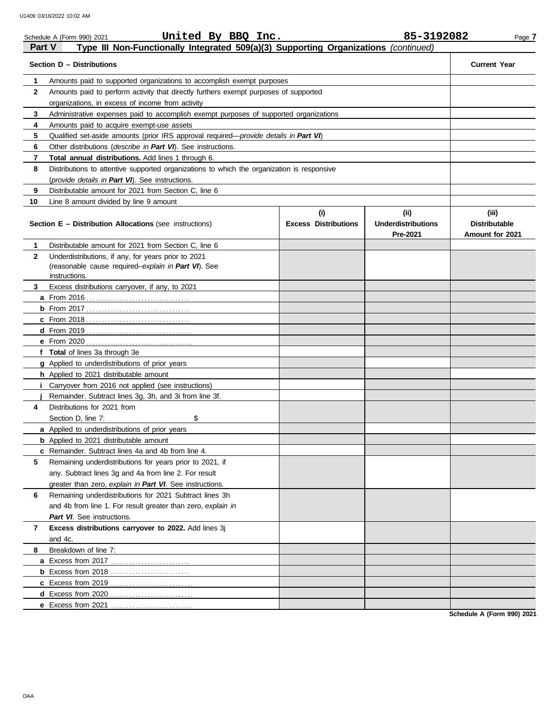| Part V            | United By BBQ Inc.<br>Schedule A (Form 990) 2021<br>Type III Non-Functionally Integrated 509(a)(3) Supporting Organizations (continued)  |                                    | 85-3192082                                    | Page 7                                           |
|-------------------|------------------------------------------------------------------------------------------------------------------------------------------|------------------------------------|-----------------------------------------------|--------------------------------------------------|
|                   | Section D - Distributions                                                                                                                |                                    |                                               | <b>Current Year</b>                              |
|                   |                                                                                                                                          |                                    |                                               |                                                  |
| 1<br>$\mathbf{2}$ | Amounts paid to supported organizations to accomplish exempt purposes                                                                    |                                    |                                               |                                                  |
|                   | Amounts paid to perform activity that directly furthers exempt purposes of supported<br>organizations, in excess of income from activity |                                    |                                               |                                                  |
| 3                 | Administrative expenses paid to accomplish exempt purposes of supported organizations                                                    |                                    |                                               |                                                  |
| 4                 | Amounts paid to acquire exempt-use assets                                                                                                |                                    |                                               |                                                  |
| 5                 | Qualified set-aside amounts (prior IRS approval required-provide details in Part VI)                                                     |                                    |                                               |                                                  |
|                   |                                                                                                                                          |                                    |                                               |                                                  |
| 6<br>7            | Other distributions (describe in Part VI). See instructions.<br>Total annual distributions. Add lines 1 through 6.                       |                                    |                                               |                                                  |
|                   |                                                                                                                                          |                                    |                                               |                                                  |
| 8                 | Distributions to attentive supported organizations to which the organization is responsive                                               |                                    |                                               |                                                  |
|                   | (provide details in Part VI). See instructions.                                                                                          |                                    |                                               |                                                  |
| 9                 | Distributable amount for 2021 from Section C, line 6                                                                                     |                                    |                                               |                                                  |
| 10                | Line 8 amount divided by line 9 amount                                                                                                   |                                    |                                               |                                                  |
|                   | <b>Section E - Distribution Allocations (see instructions)</b>                                                                           | (i)<br><b>Excess Distributions</b> | (ii)<br><b>Underdistributions</b><br>Pre-2021 | (iii)<br><b>Distributable</b><br>Amount for 2021 |
| 1                 | Distributable amount for 2021 from Section C, line 6                                                                                     |                                    |                                               |                                                  |
| $\mathbf{2}$      | Underdistributions, if any, for years prior to 2021                                                                                      |                                    |                                               |                                                  |
|                   | (reasonable cause required-explain in Part VI). See                                                                                      |                                    |                                               |                                                  |
|                   | instructions.                                                                                                                            |                                    |                                               |                                                  |
| 3                 | Excess distributions carryover, if any, to 2021                                                                                          |                                    |                                               |                                                  |
|                   |                                                                                                                                          |                                    |                                               |                                                  |
|                   |                                                                                                                                          |                                    |                                               |                                                  |
|                   |                                                                                                                                          |                                    |                                               |                                                  |
|                   |                                                                                                                                          |                                    |                                               |                                                  |
|                   |                                                                                                                                          |                                    |                                               |                                                  |
|                   | f Total of lines 3a through 3e                                                                                                           |                                    |                                               |                                                  |
|                   | g Applied to underdistributions of prior years                                                                                           |                                    |                                               |                                                  |
|                   | h Applied to 2021 distributable amount                                                                                                   |                                    |                                               |                                                  |
|                   | Carryover from 2016 not applied (see instructions)                                                                                       |                                    |                                               |                                                  |
|                   | Remainder. Subtract lines 3g, 3h, and 3i from line 3f.                                                                                   |                                    |                                               |                                                  |
| 4                 | Distributions for 2021 from                                                                                                              |                                    |                                               |                                                  |
|                   | \$<br>Section D, line 7:                                                                                                                 |                                    |                                               |                                                  |
|                   | a Applied to underdistributions of prior years                                                                                           |                                    |                                               |                                                  |
|                   | <b>b</b> Applied to 2021 distributable amount                                                                                            |                                    |                                               |                                                  |
|                   | <b>c</b> Remainder. Subtract lines 4a and 4b from line 4.                                                                                |                                    |                                               |                                                  |
| 5                 | Remaining underdistributions for years prior to 2021, if                                                                                 |                                    |                                               |                                                  |
|                   | any. Subtract lines 3g and 4a from line 2. For result                                                                                    |                                    |                                               |                                                  |
|                   | greater than zero, explain in Part VI. See instructions.                                                                                 |                                    |                                               |                                                  |
| 6                 | Remaining underdistributions for 2021 Subtract lines 3h                                                                                  |                                    |                                               |                                                  |
|                   | and 4b from line 1. For result greater than zero, explain in                                                                             |                                    |                                               |                                                  |
|                   | Part VI. See instructions.                                                                                                               |                                    |                                               |                                                  |
| 7                 | Excess distributions carryover to 2022. Add lines 3j                                                                                     |                                    |                                               |                                                  |
|                   | and 4c.                                                                                                                                  |                                    |                                               |                                                  |
| 8                 | Breakdown of line 7:                                                                                                                     |                                    |                                               |                                                  |
|                   |                                                                                                                                          |                                    |                                               |                                                  |
|                   |                                                                                                                                          |                                    |                                               |                                                  |
|                   |                                                                                                                                          |                                    |                                               |                                                  |
|                   |                                                                                                                                          |                                    |                                               |                                                  |
|                   |                                                                                                                                          |                                    |                                               |                                                  |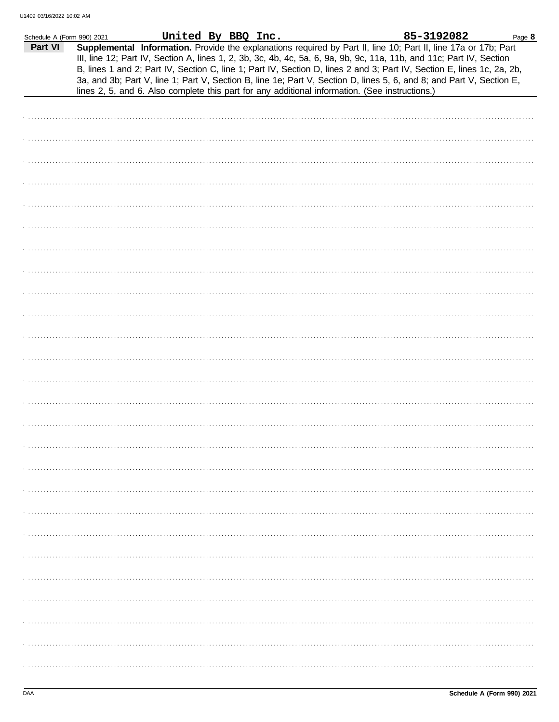| Schedule A (Form 990) 2021 |                                                                                                | United By BBQ Inc. |  | 85-3192082                                                                                                                                                                                                                                                                                                                                                                                                                                                                                | Page 8 |
|----------------------------|------------------------------------------------------------------------------------------------|--------------------|--|-------------------------------------------------------------------------------------------------------------------------------------------------------------------------------------------------------------------------------------------------------------------------------------------------------------------------------------------------------------------------------------------------------------------------------------------------------------------------------------------|--------|
| Part VI                    | lines 2, 5, and 6. Also complete this part for any additional information. (See instructions.) |                    |  | Supplemental Information. Provide the explanations required by Part II, line 10; Part II, line 17a or 17b; Part<br>III, line 12; Part IV, Section A, lines 1, 2, 3b, 3c, 4b, 4c, 5a, 6, 9a, 9b, 9c, 11a, 11b, and 11c; Part IV, Section<br>B, lines 1 and 2; Part IV, Section C, line 1; Part IV, Section D, lines 2 and 3; Part IV, Section E, lines 1c, 2a, 2b,<br>3a, and 3b; Part V, line 1; Part V, Section B, line 1e; Part V, Section D, lines 5, 6, and 8; and Part V, Section E, |        |
|                            |                                                                                                |                    |  |                                                                                                                                                                                                                                                                                                                                                                                                                                                                                           |        |
|                            |                                                                                                |                    |  |                                                                                                                                                                                                                                                                                                                                                                                                                                                                                           |        |
|                            |                                                                                                |                    |  |                                                                                                                                                                                                                                                                                                                                                                                                                                                                                           |        |
|                            |                                                                                                |                    |  |                                                                                                                                                                                                                                                                                                                                                                                                                                                                                           |        |
|                            |                                                                                                |                    |  |                                                                                                                                                                                                                                                                                                                                                                                                                                                                                           |        |
|                            |                                                                                                |                    |  |                                                                                                                                                                                                                                                                                                                                                                                                                                                                                           |        |
|                            |                                                                                                |                    |  |                                                                                                                                                                                                                                                                                                                                                                                                                                                                                           |        |
|                            |                                                                                                |                    |  |                                                                                                                                                                                                                                                                                                                                                                                                                                                                                           |        |
|                            |                                                                                                |                    |  |                                                                                                                                                                                                                                                                                                                                                                                                                                                                                           |        |
|                            |                                                                                                |                    |  |                                                                                                                                                                                                                                                                                                                                                                                                                                                                                           |        |
|                            |                                                                                                |                    |  |                                                                                                                                                                                                                                                                                                                                                                                                                                                                                           |        |
|                            |                                                                                                |                    |  |                                                                                                                                                                                                                                                                                                                                                                                                                                                                                           |        |
|                            |                                                                                                |                    |  |                                                                                                                                                                                                                                                                                                                                                                                                                                                                                           |        |
|                            |                                                                                                |                    |  |                                                                                                                                                                                                                                                                                                                                                                                                                                                                                           |        |
|                            |                                                                                                |                    |  |                                                                                                                                                                                                                                                                                                                                                                                                                                                                                           |        |
|                            |                                                                                                |                    |  |                                                                                                                                                                                                                                                                                                                                                                                                                                                                                           |        |
|                            |                                                                                                |                    |  |                                                                                                                                                                                                                                                                                                                                                                                                                                                                                           |        |
|                            |                                                                                                |                    |  |                                                                                                                                                                                                                                                                                                                                                                                                                                                                                           |        |
|                            |                                                                                                |                    |  |                                                                                                                                                                                                                                                                                                                                                                                                                                                                                           |        |
|                            |                                                                                                |                    |  |                                                                                                                                                                                                                                                                                                                                                                                                                                                                                           |        |
|                            |                                                                                                |                    |  |                                                                                                                                                                                                                                                                                                                                                                                                                                                                                           |        |
|                            |                                                                                                |                    |  |                                                                                                                                                                                                                                                                                                                                                                                                                                                                                           |        |
|                            |                                                                                                |                    |  |                                                                                                                                                                                                                                                                                                                                                                                                                                                                                           |        |
|                            |                                                                                                |                    |  |                                                                                                                                                                                                                                                                                                                                                                                                                                                                                           |        |
|                            |                                                                                                |                    |  |                                                                                                                                                                                                                                                                                                                                                                                                                                                                                           |        |
|                            |                                                                                                |                    |  |                                                                                                                                                                                                                                                                                                                                                                                                                                                                                           |        |
|                            |                                                                                                |                    |  |                                                                                                                                                                                                                                                                                                                                                                                                                                                                                           |        |
|                            |                                                                                                |                    |  |                                                                                                                                                                                                                                                                                                                                                                                                                                                                                           |        |
|                            |                                                                                                |                    |  |                                                                                                                                                                                                                                                                                                                                                                                                                                                                                           |        |
|                            |                                                                                                |                    |  |                                                                                                                                                                                                                                                                                                                                                                                                                                                                                           |        |
|                            |                                                                                                |                    |  |                                                                                                                                                                                                                                                                                                                                                                                                                                                                                           |        |
|                            |                                                                                                |                    |  |                                                                                                                                                                                                                                                                                                                                                                                                                                                                                           |        |
|                            |                                                                                                |                    |  |                                                                                                                                                                                                                                                                                                                                                                                                                                                                                           |        |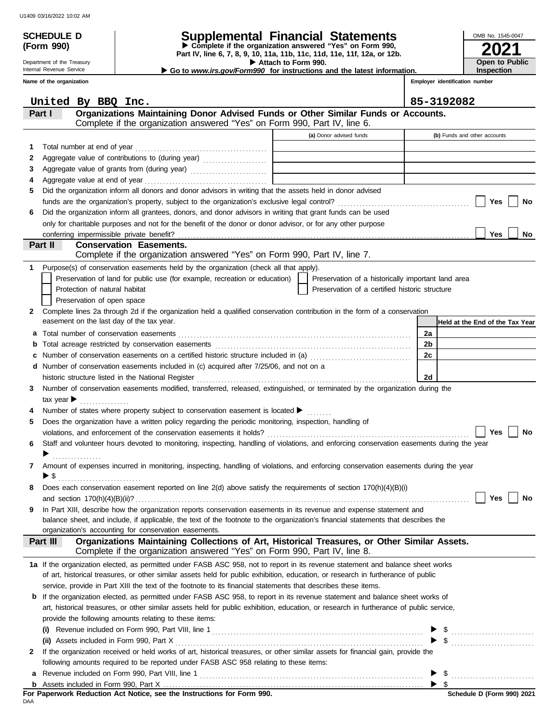**(Form 990)**

| Schedule d | <b>Supplemental Financial Statements</b> |
|------------|------------------------------------------|
|            |                                          |

**Part IV, line 6, 7, 8, 9, 10, 11a, 11b, 11c, 11d, 11e, 11f, 12a, or 12b.** u **Complete if the organization answered "Yes" on Form 990,**

▶ Attach to Form 990.

**2021** OMB No. 1545-0047 **Open to Public Inspection**

**Employer identification number**

▶ Go to *www.irs.gov/Form990* for instructions and the latest information.

Internal Revenue Service **Name of the organization**

Department of the Treasury

|              | United By BBQ Inc.                                                                                                                                                     |                                                    | 85-3192082                      |
|--------------|------------------------------------------------------------------------------------------------------------------------------------------------------------------------|----------------------------------------------------|---------------------------------|
|              | Organizations Maintaining Donor Advised Funds or Other Similar Funds or Accounts.<br>Part I                                                                            |                                                    |                                 |
|              | Complete if the organization answered "Yes" on Form 990, Part IV, line 6.                                                                                              |                                                    |                                 |
|              |                                                                                                                                                                        | (a) Donor advised funds                            | (b) Funds and other accounts    |
| 1.           | Total number at end of year                                                                                                                                            |                                                    |                                 |
| 2            | Aggregate value of contributions to (during year) [10] Aggregate value of contributions to (during year)                                                               |                                                    |                                 |
| 3            |                                                                                                                                                                        | <u> 1989 - Johann Barbara, martin d</u>            |                                 |
| 4            |                                                                                                                                                                        |                                                    |                                 |
| 5            | Did the organization inform all donors and donor advisors in writing that the assets held in donor advised                                                             |                                                    |                                 |
|              |                                                                                                                                                                        |                                                    | Yes<br>No                       |
| 6            | Did the organization inform all grantees, donors, and donor advisors in writing that grant funds can be used                                                           |                                                    |                                 |
|              | only for charitable purposes and not for the benefit of the donor or donor advisor, or for any other purpose                                                           |                                                    |                                 |
|              | conferring impermissible private benefit?                                                                                                                              |                                                    | <b>Yes</b><br>No                |
|              | <b>Conservation Easements.</b><br>Part II<br>Complete if the organization answered "Yes" on Form 990, Part IV, line 7.                                                 |                                                    |                                 |
|              |                                                                                                                                                                        |                                                    |                                 |
| 1.           | Purpose(s) of conservation easements held by the organization (check all that apply).                                                                                  |                                                    |                                 |
|              | Preservation of land for public use (for example, recreation or education)                                                                                             | Preservation of a historically important land area |                                 |
|              | Protection of natural habitat                                                                                                                                          | Preservation of a certified historic structure     |                                 |
|              | Preservation of open space                                                                                                                                             |                                                    |                                 |
| $\mathbf{2}$ | Complete lines 2a through 2d if the organization held a qualified conservation contribution in the form of a conservation<br>easement on the last day of the tax year. |                                                    |                                 |
|              |                                                                                                                                                                        |                                                    | Held at the End of the Tax Year |
| а            |                                                                                                                                                                        |                                                    | 2а<br>2 <sub>b</sub>            |
| b            | Number of conservation easements on a certified historic structure included in (a) [[[[[[[[[[[[[[[[[[[[[[[[[]]]]]]]]                                                   |                                                    | 2c                              |
| c<br>d       | Number of conservation easements included in (c) acquired after 7/25/06, and not on a                                                                                  |                                                    |                                 |
|              | historic structure listed in the National Register                                                                                                                     |                                                    | 2d                              |
| 3            | Number of conservation easements modified, transferred, released, extinguished, or terminated by the organization during the                                           |                                                    |                                 |
|              | tax year $\blacktriangleright$                                                                                                                                         |                                                    |                                 |
|              | Number of states where property subject to conservation easement is located $\blacktriangleright$                                                                      |                                                    |                                 |
| 5            | Does the organization have a written policy regarding the periodic monitoring, inspection, handling of                                                                 |                                                    |                                 |
|              |                                                                                                                                                                        |                                                    | Yes<br>No                       |
| 6            | Staff and volunteer hours devoted to monitoring, inspecting, handling of violations, and enforcing conservation easements during the year                              |                                                    |                                 |
|              | . <b>.</b> .                                                                                                                                                           |                                                    |                                 |
| 7            | Amount of expenses incurred in monitoring, inspecting, handling of violations, and enforcing conservation easements during the year                                    |                                                    |                                 |
|              | ▶ \$                                                                                                                                                                   |                                                    |                                 |
| 8            | Does each conservation easement reported on line 2(d) above satisfy the requirements of section 170(h)(4)(B)(i)                                                        |                                                    |                                 |
|              | and section 170(h)(4)(B)(ii)?                                                                                                                                          |                                                    | Yes<br>No                       |
|              | In Part XIII, describe how the organization reports conservation easements in its revenue and expense statement and                                                    |                                                    |                                 |
|              | balance sheet, and include, if applicable, the text of the footnote to the organization's financial statements that describes the                                      |                                                    |                                 |
|              | organization's accounting for conservation easements.                                                                                                                  |                                                    |                                 |
|              | Organizations Maintaining Collections of Art, Historical Treasures, or Other Similar Assets.<br>Part III                                                               |                                                    |                                 |
|              | Complete if the organization answered "Yes" on Form 990, Part IV, line 8.                                                                                              |                                                    |                                 |
|              | 1a If the organization elected, as permitted under FASB ASC 958, not to report in its revenue statement and balance sheet works                                        |                                                    |                                 |
|              | of art, historical treasures, or other similar assets held for public exhibition, education, or research in furtherance of public                                      |                                                    |                                 |
|              | service, provide in Part XIII the text of the footnote to its financial statements that describes these items.                                                         |                                                    |                                 |
|              | <b>b</b> If the organization elected, as permitted under FASB ASC 958, to report in its revenue statement and balance sheet works of                                   |                                                    |                                 |
|              | art, historical treasures, or other similar assets held for public exhibition, education, or research in furtherance of public service,                                |                                                    |                                 |
|              | provide the following amounts relating to these items:                                                                                                                 |                                                    |                                 |
|              |                                                                                                                                                                        |                                                    |                                 |
|              | If the organization received or held works of art, historical treasures, or other similar assets for financial gain, provide the                                       |                                                    | $\frac{1}{2}$                   |
| 2            | following amounts required to be reported under FASB ASC 958 relating to these items:                                                                                  |                                                    |                                 |
|              |                                                                                                                                                                        |                                                    |                                 |
|              |                                                                                                                                                                        |                                                    | \$                              |
|              |                                                                                                                                                                        |                                                    | Schodule D (Ferm 000) 2024      |

DAA **For Paperwork Reduction Act Notice, see the Instructions for Form 990.**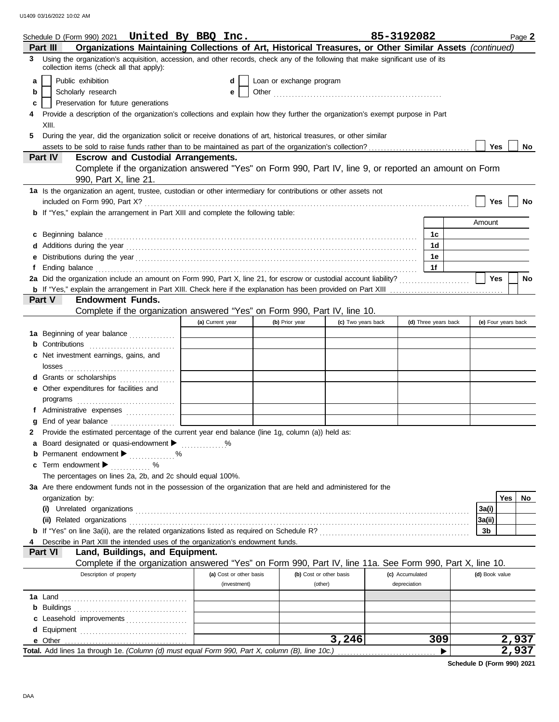|                         | Schedule D (Form 990) 2021  United By BBQ Inc.                                                                                                                              |                         |                          |                    | 85-3192082      |                      |                     | Page 2    |
|-------------------------|-----------------------------------------------------------------------------------------------------------------------------------------------------------------------------|-------------------------|--------------------------|--------------------|-----------------|----------------------|---------------------|-----------|
| Part III                | Organizations Maintaining Collections of Art, Historical Treasures, or Other Similar Assets (continued)                                                                     |                         |                          |                    |                 |                      |                     |           |
| 3.                      | Using the organization's acquisition, accession, and other records, check any of the following that make significant use of its<br>collection items (check all that apply): |                         |                          |                    |                 |                      |                     |           |
| Public exhibition<br>a  |                                                                                                                                                                             | d                       | Loan or exchange program |                    |                 |                      |                     |           |
| Scholarly research<br>b |                                                                                                                                                                             | е                       |                          |                    |                 |                      |                     |           |
| c                       | Preservation for future generations                                                                                                                                         |                         |                          |                    |                 |                      |                     |           |
| XIII.                   | Provide a description of the organization's collections and explain how they further the organization's exempt purpose in Part                                              |                         |                          |                    |                 |                      |                     |           |
| 5                       | During the year, did the organization solicit or receive donations of art, historical treasures, or other similar                                                           |                         |                          |                    |                 |                      |                     |           |
|                         |                                                                                                                                                                             |                         |                          |                    |                 |                      | <b>Yes</b>          | <b>No</b> |
| Part IV                 | <b>Escrow and Custodial Arrangements.</b>                                                                                                                                   |                         |                          |                    |                 |                      |                     |           |
|                         | Complete if the organization answered "Yes" on Form 990, Part IV, line 9, or reported an amount on Form<br>990, Part X, line 21.                                            |                         |                          |                    |                 |                      |                     |           |
|                         | 1a Is the organization an agent, trustee, custodian or other intermediary for contributions or other assets not                                                             |                         |                          |                    |                 |                      |                     |           |
|                         |                                                                                                                                                                             |                         |                          |                    |                 |                      | Yes                 | No        |
|                         | <b>b</b> If "Yes," explain the arrangement in Part XIII and complete the following table:                                                                                   |                         |                          |                    |                 |                      |                     |           |
|                         |                                                                                                                                                                             |                         |                          |                    |                 |                      | Amount              |           |
| c                       |                                                                                                                                                                             |                         |                          |                    |                 | 1с.                  |                     |           |
|                         |                                                                                                                                                                             |                         |                          |                    |                 | 1d                   |                     |           |
|                         |                                                                                                                                                                             |                         |                          |                    |                 | 1е                   |                     |           |
| f                       |                                                                                                                                                                             |                         |                          |                    |                 | 1f                   |                     |           |
|                         | 2a Did the organization include an amount on Form 990, Part X, line 21, for escrow or custodial account liability?                                                          |                         |                          |                    |                 |                      | Yes                 | <b>No</b> |
|                         |                                                                                                                                                                             |                         |                          |                    |                 |                      |                     |           |
| Part V                  | <b>Endowment Funds.</b>                                                                                                                                                     |                         |                          |                    |                 |                      |                     |           |
|                         | Complete if the organization answered "Yes" on Form 990, Part IV, line 10.                                                                                                  |                         |                          |                    |                 |                      |                     |           |
|                         |                                                                                                                                                                             | (a) Current year        | (b) Prior year           | (c) Two years back |                 | (d) Three years back | (e) Four years back |           |
|                         | 1a Beginning of year balance                                                                                                                                                |                         |                          |                    |                 |                      |                     |           |
|                         | <b>b</b> Contributions <b>contributions</b>                                                                                                                                 |                         |                          |                    |                 |                      |                     |           |
|                         | c Net investment earnings, gains, and                                                                                                                                       |                         |                          |                    |                 |                      |                     |           |
|                         |                                                                                                                                                                             |                         |                          |                    |                 |                      |                     |           |
|                         | d Grants or scholarships                                                                                                                                                    |                         |                          |                    |                 |                      |                     |           |
|                         | e Other expenditures for facilities and                                                                                                                                     |                         |                          |                    |                 |                      |                     |           |
|                         |                                                                                                                                                                             |                         |                          |                    |                 |                      |                     |           |
|                         | f Administrative expenses                                                                                                                                                   |                         |                          |                    |                 |                      |                     |           |
| a                       |                                                                                                                                                                             |                         |                          |                    |                 |                      |                     |           |
|                         | 2 Provide the estimated percentage of the current year end balance (line 1g, column (a)) held as:                                                                           |                         |                          |                    |                 |                      |                     |           |
|                         | a Board designated or quasi-endowment >                                                                                                                                     |                         |                          |                    |                 |                      |                     |           |
| b                       | Permanent endowment values and water                                                                                                                                        |                         |                          |                    |                 |                      |                     |           |
| Term endowment ▶<br>С   | .                                                                                                                                                                           |                         |                          |                    |                 |                      |                     |           |
|                         | The percentages on lines 2a, 2b, and 2c should equal 100%.                                                                                                                  |                         |                          |                    |                 |                      |                     |           |
|                         | 3a Are there endowment funds not in the possession of the organization that are held and administered for the                                                               |                         |                          |                    |                 |                      |                     | Yes<br>No |
| organization by:        |                                                                                                                                                                             |                         |                          |                    |                 |                      |                     |           |
|                         |                                                                                                                                                                             |                         |                          |                    |                 |                      | 3a(i)<br>3a(ii)     |           |
|                         |                                                                                                                                                                             |                         |                          |                    |                 |                      | 3b                  |           |
|                         | Describe in Part XIII the intended uses of the organization's endowment funds.                                                                                              |                         |                          |                    |                 |                      |                     |           |
| Part VI                 | Land, Buildings, and Equipment.                                                                                                                                             |                         |                          |                    |                 |                      |                     |           |
|                         | Complete if the organization answered "Yes" on Form 990, Part IV, line 11a. See Form 990, Part X, line 10.                                                                  |                         |                          |                    |                 |                      |                     |           |
|                         | Description of property                                                                                                                                                     | (a) Cost or other basis | (b) Cost or other basis  |                    | (c) Accumulated |                      | (d) Book value      |           |
|                         |                                                                                                                                                                             | (investment)            | (other)                  |                    | depreciation    |                      |                     |           |
|                         |                                                                                                                                                                             |                         |                          |                    |                 |                      |                     |           |
|                         |                                                                                                                                                                             |                         |                          |                    |                 |                      |                     |           |
|                         | c Leasehold improvements                                                                                                                                                    |                         |                          |                    |                 |                      |                     |           |
|                         |                                                                                                                                                                             |                         |                          |                    |                 |                      |                     |           |
|                         |                                                                                                                                                                             |                         |                          | 3,246              |                 | 309                  |                     | 2,937     |
|                         | Total. Add lines 1a through 1e. (Column (d) must equal Form 990, Part X, column (B), line 10c.)                                                                             |                         |                          |                    |                 |                      |                     | 2,937     |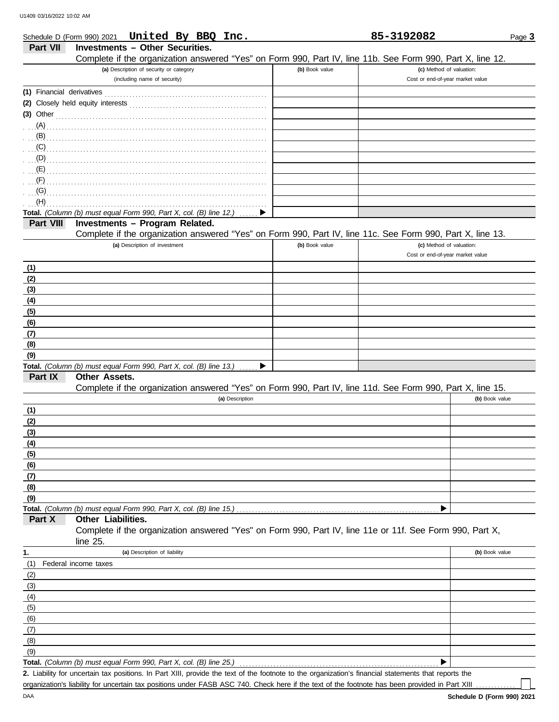|                           | United By BBQ Inc.<br>Schedule D (Form 990) 2021                                                           |                | 85-3192082                       | Page 3         |
|---------------------------|------------------------------------------------------------------------------------------------------------|----------------|----------------------------------|----------------|
| Part VII                  | <b>Investments - Other Securities.</b>                                                                     |                |                                  |                |
|                           | Complete if the organization answered "Yes" on Form 990, Part IV, line 11b. See Form 990, Part X, line 12. |                |                                  |                |
|                           | (a) Description of security or category                                                                    | (b) Book value | (c) Method of valuation:         |                |
|                           | (including name of security)                                                                               |                | Cost or end-of-year market value |                |
| (1) Financial derivatives |                                                                                                            |                |                                  |                |
|                           |                                                                                                            |                |                                  |                |
| $(3)$ Other               |                                                                                                            |                |                                  |                |
| (A)                       |                                                                                                            |                |                                  |                |
| (B)                       |                                                                                                            |                |                                  |                |
| (C)                       |                                                                                                            |                |                                  |                |
| (D)                       |                                                                                                            |                |                                  |                |
| (E)                       |                                                                                                            |                |                                  |                |
|                           |                                                                                                            |                |                                  |                |
| (F)                       |                                                                                                            |                |                                  |                |
| (G)                       |                                                                                                            |                |                                  |                |
| (H)                       |                                                                                                            |                |                                  |                |
|                           | Total. (Column (b) must equal Form 990, Part X, col. (B) line 12.)                                         |                |                                  |                |
| Part VIII                 | Investments - Program Related.                                                                             |                |                                  |                |
|                           | Complete if the organization answered "Yes" on Form 990, Part IV, line 11c. See Form 990, Part X, line 13. |                |                                  |                |
|                           | (a) Description of investment                                                                              | (b) Book value | (c) Method of valuation:         |                |
|                           |                                                                                                            |                | Cost or end-of-year market value |                |
| (1)                       |                                                                                                            |                |                                  |                |
| (2)                       |                                                                                                            |                |                                  |                |
| (3)                       |                                                                                                            |                |                                  |                |
| (4)                       |                                                                                                            |                |                                  |                |
| (5)                       |                                                                                                            |                |                                  |                |
| (6)                       |                                                                                                            |                |                                  |                |
| (7)                       |                                                                                                            |                |                                  |                |
| (8)                       |                                                                                                            |                |                                  |                |
| (9)                       |                                                                                                            |                |                                  |                |
|                           | Total. (Column (b) must equal Form 990, Part X, col. (B) line 13.)<br>▶                                    |                |                                  |                |
| Part IX                   | Other Assets.                                                                                              |                |                                  |                |
|                           | Complete if the organization answered "Yes" on Form 990, Part IV, line 11d. See Form 990, Part X, line 15. |                |                                  |                |
|                           | (a) Description                                                                                            |                |                                  | (b) Book value |
| (1)                       |                                                                                                            |                |                                  |                |
| (2)                       |                                                                                                            |                |                                  |                |
| (3)                       |                                                                                                            |                |                                  |                |
| (4)                       |                                                                                                            |                |                                  |                |
| (5)                       |                                                                                                            |                |                                  |                |
| (6)                       |                                                                                                            |                |                                  |                |
| (7)                       |                                                                                                            |                |                                  |                |
| (8)                       |                                                                                                            |                |                                  |                |
| (9)                       |                                                                                                            |                |                                  |                |
|                           | Total. (Column (b) must equal Form 990, Part X, col. (B) line 15.)                                         |                |                                  |                |
| Part X                    | Other Liabilities.                                                                                         |                |                                  |                |
|                           | Complete if the organization answered "Yes" on Form 990, Part IV, line 11e or 11f. See Form 990, Part X,   |                |                                  |                |
|                           | line 25.                                                                                                   |                |                                  |                |
|                           | (a) Description of liability                                                                               |                |                                  | (b) Book value |
| 1.                        | Federal income taxes                                                                                       |                |                                  |                |
| (1)                       |                                                                                                            |                |                                  |                |
| (2)                       |                                                                                                            |                |                                  |                |
| (3)                       |                                                                                                            |                |                                  |                |
| (4)                       |                                                                                                            |                |                                  |                |
| (5)                       |                                                                                                            |                |                                  |                |
| (6)                       |                                                                                                            |                |                                  |                |
| (7)                       |                                                                                                            |                |                                  |                |
| (8)                       |                                                                                                            |                |                                  |                |
| (9)                       |                                                                                                            |                |                                  |                |
|                           | Total. (Column (b) must equal Form 990, Part X, col. (B) line 25.)                                         |                | ▶                                |                |

Liability for uncertain tax positions. In Part XIII, provide the text of the footnote to the organization's financial statements that reports the **2.** organization's liability for uncertain tax positions under FASB ASC 740. Check here if the text of the footnote has been provided in Part XIII ...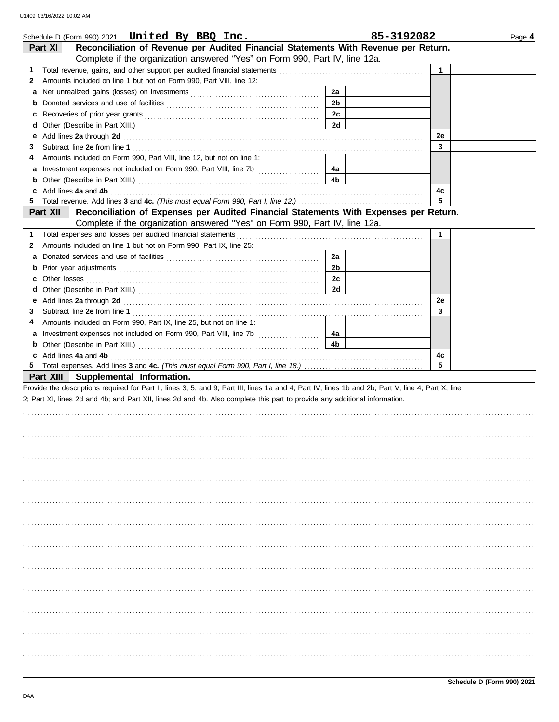|          | Schedule D (Form 990) 2021 United By BBQ Inc.                                                                                                                                                                                  | 85-3192082     |              | Page 4 |
|----------|--------------------------------------------------------------------------------------------------------------------------------------------------------------------------------------------------------------------------------|----------------|--------------|--------|
| Part XI  | Reconciliation of Revenue per Audited Financial Statements With Revenue per Return.                                                                                                                                            |                |              |        |
|          | Complete if the organization answered "Yes" on Form 990, Part IV, line 12a.                                                                                                                                                    |                |              |        |
| 1.       |                                                                                                                                                                                                                                |                | $\mathbf 1$  |        |
| 2        | Amounts included on line 1 but not on Form 990, Part VIII, line 12:                                                                                                                                                            |                |              |        |
| а        |                                                                                                                                                                                                                                | 2a             |              |        |
| b        |                                                                                                                                                                                                                                | 2 <sub>b</sub> |              |        |
| с        |                                                                                                                                                                                                                                | 2 <sub>c</sub> |              |        |
| d        |                                                                                                                                                                                                                                | 2d             |              |        |
| е        | Add lines 2a through 2d [11] Additional Contract of Additional Contract of Additional Contract of Additional Contract of Additional Contract of Additional Contract of Additional Contract of Additional Contract of Additiona |                | 2e           |        |
| 3        |                                                                                                                                                                                                                                |                | $\mathbf{3}$ |        |
|          | Amounts included on Form 990, Part VIII, line 12, but not on line 1:                                                                                                                                                           |                |              |        |
|          | Investment expenses not included on Form 990, Part VIII, line 7b [                                                                                                                                                             | 4а             |              |        |
| b        |                                                                                                                                                                                                                                | 4 <sub>b</sub> |              |        |
|          | c Add lines 4a and 4b                                                                                                                                                                                                          |                | 4c           |        |
| 5.       |                                                                                                                                                                                                                                |                | 5            |        |
| Part XII | Reconciliation of Expenses per Audited Financial Statements With Expenses per Return.                                                                                                                                          |                |              |        |
|          | Complete if the organization answered "Yes" on Form 990, Part IV, line 12a.                                                                                                                                                    |                |              |        |
| 1        |                                                                                                                                                                                                                                |                | $\mathbf{1}$ |        |
| 2        | Amounts included on line 1 but not on Form 990, Part IX, line 25:                                                                                                                                                              |                |              |        |
| a        |                                                                                                                                                                                                                                | 2a             |              |        |
| b        |                                                                                                                                                                                                                                | 2 <sub>b</sub> |              |        |
| с        |                                                                                                                                                                                                                                | 2c             |              |        |
| d        |                                                                                                                                                                                                                                |                |              |        |
| е        |                                                                                                                                                                                                                                |                | 2e           |        |
| 3        |                                                                                                                                                                                                                                |                | 3            |        |
| 4        | Amounts included on Form 990, Part IX, line 25, but not on line 1:                                                                                                                                                             |                |              |        |
|          |                                                                                                                                                                                                                                | 4a             |              |        |
|          |                                                                                                                                                                                                                                | 4 <sub>b</sub> |              |        |
|          | c Add lines 4a and 4b (a) and the contract of the contract of the contract of the contract of the contract of the contract of the contract of the contract of the contract of the contract of the contract of the contract of  |                | 4c           |        |
| 5        |                                                                                                                                                                                                                                |                | 5            |        |
|          | Part XIII Supplemental Information.                                                                                                                                                                                            |                |              |        |
|          | Provide the descriptions required for Part II, lines 3, 5, and 9; Part III, lines 1a and 4; Part IV, lines 1b and 2b; Part V, line 4; Part X, line                                                                             |                |              |        |
|          | 2; Part XI, lines 2d and 4b; and Part XII, lines 2d and 4b. Also complete this part to provide any additional information.                                                                                                     |                |              |        |
|          |                                                                                                                                                                                                                                |                |              |        |
|          |                                                                                                                                                                                                                                |                |              |        |
|          |                                                                                                                                                                                                                                |                |              |        |
|          |                                                                                                                                                                                                                                |                |              |        |
|          |                                                                                                                                                                                                                                |                |              |        |
|          |                                                                                                                                                                                                                                |                |              |        |
|          |                                                                                                                                                                                                                                |                |              |        |
|          |                                                                                                                                                                                                                                |                |              |        |
|          |                                                                                                                                                                                                                                |                |              |        |
|          |                                                                                                                                                                                                                                |                |              |        |
|          |                                                                                                                                                                                                                                |                |              |        |
|          |                                                                                                                                                                                                                                |                |              |        |
|          |                                                                                                                                                                                                                                |                |              |        |
|          |                                                                                                                                                                                                                                |                |              |        |
|          |                                                                                                                                                                                                                                |                |              |        |
|          |                                                                                                                                                                                                                                |                |              |        |
|          |                                                                                                                                                                                                                                |                |              |        |
|          |                                                                                                                                                                                                                                |                |              |        |
|          |                                                                                                                                                                                                                                |                |              |        |
|          |                                                                                                                                                                                                                                |                |              |        |
|          |                                                                                                                                                                                                                                |                |              |        |
|          |                                                                                                                                                                                                                                |                |              |        |
|          |                                                                                                                                                                                                                                |                |              |        |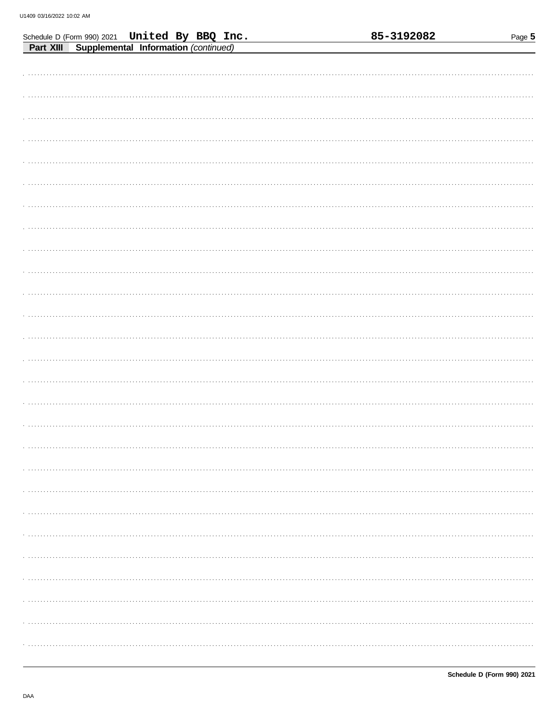|                                                                                                 | 85-3192082<br>Page 5 |
|-------------------------------------------------------------------------------------------------|----------------------|
| Schedule D (Form 990) 2021 United By BBQ Inc.<br>Part XIII Supplemental Information (continued) |                      |
|                                                                                                 |                      |
|                                                                                                 |                      |
|                                                                                                 |                      |
|                                                                                                 | .                    |
|                                                                                                 |                      |
|                                                                                                 |                      |
|                                                                                                 |                      |
|                                                                                                 |                      |
|                                                                                                 |                      |
|                                                                                                 |                      |
|                                                                                                 |                      |
|                                                                                                 |                      |
|                                                                                                 |                      |
|                                                                                                 |                      |
|                                                                                                 |                      |
|                                                                                                 |                      |
|                                                                                                 |                      |
|                                                                                                 |                      |
|                                                                                                 |                      |
|                                                                                                 |                      |
|                                                                                                 |                      |
|                                                                                                 |                      |
|                                                                                                 |                      |
|                                                                                                 |                      |
|                                                                                                 |                      |
|                                                                                                 |                      |
|                                                                                                 |                      |
|                                                                                                 |                      |
|                                                                                                 |                      |
|                                                                                                 |                      |
|                                                                                                 |                      |
|                                                                                                 |                      |
|                                                                                                 |                      |
|                                                                                                 |                      |
|                                                                                                 |                      |
|                                                                                                 |                      |
|                                                                                                 |                      |
|                                                                                                 |                      |
|                                                                                                 |                      |
|                                                                                                 |                      |
|                                                                                                 |                      |
|                                                                                                 |                      |
|                                                                                                 |                      |
|                                                                                                 |                      |
|                                                                                                 |                      |
|                                                                                                 |                      |
|                                                                                                 |                      |
|                                                                                                 |                      |
|                                                                                                 |                      |
|                                                                                                 |                      |
|                                                                                                 |                      |
|                                                                                                 |                      |
|                                                                                                 |                      |
|                                                                                                 |                      |

85-3192082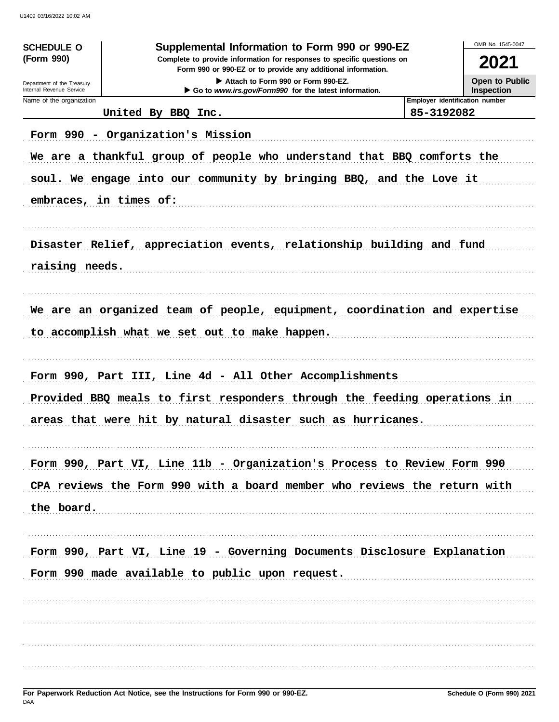| <b>SCHEDULE O</b><br>(Form 990)<br>Department of the Treasury<br>Internal Revenue Service | Supplemental Information to Form 990 or 990-EZ<br>Complete to provide information for responses to specific questions on<br>Form 990 or 990-EZ or to provide any additional information.<br>Attach to Form 990 or Form 990-EZ.<br>Go to www.irs.gov/Form990 for the latest information. |                                              | OMB No. 1545-0047<br>2021<br>Open to Public<br><b>Inspection</b> |
|-------------------------------------------------------------------------------------------|-----------------------------------------------------------------------------------------------------------------------------------------------------------------------------------------------------------------------------------------------------------------------------------------|----------------------------------------------|------------------------------------------------------------------|
| Name of the organization                                                                  | United By BBQ Inc.                                                                                                                                                                                                                                                                      | Employer identification number<br>85-3192082 |                                                                  |
|                                                                                           | Form 990 - Organization's Mission<br>We are a thankful group of people who understand that BBQ comforts the                                                                                                                                                                             |                                              |                                                                  |
|                                                                                           | soul. We engage into our community by bringing BBQ, and the Love it<br>embraces, in times of:                                                                                                                                                                                           |                                              |                                                                  |
|                                                                                           | Disaster Relief, appreciation events, relationship building and fund                                                                                                                                                                                                                    |                                              |                                                                  |
| raising needs.                                                                            |                                                                                                                                                                                                                                                                                         |                                              |                                                                  |
|                                                                                           | We are an organized team of people, equipment, coordination and expertise<br>to accomplish what we set out to make happen.                                                                                                                                                              |                                              |                                                                  |
|                                                                                           | Form 990, Part III, Line 4d - All Other Accomplishments                                                                                                                                                                                                                                 |                                              |                                                                  |
|                                                                                           | Provided BBQ meals to first responders through the feeding operations in<br>areas that were hit by natural disaster such as hurricanes.                                                                                                                                                 |                                              |                                                                  |
|                                                                                           | Form 990, Part VI, Line 11b - Organization's Process to Review Form 990                                                                                                                                                                                                                 |                                              |                                                                  |
| the board.                                                                                | CPA reviews the Form 990 with a board member who reviews the return with                                                                                                                                                                                                                |                                              |                                                                  |
|                                                                                           | Form 990, Part VI, Line 19 - Governing Documents Disclosure Explanation<br>Form 990 made available to public upon request.                                                                                                                                                              |                                              |                                                                  |
|                                                                                           |                                                                                                                                                                                                                                                                                         |                                              |                                                                  |
|                                                                                           |                                                                                                                                                                                                                                                                                         |                                              |                                                                  |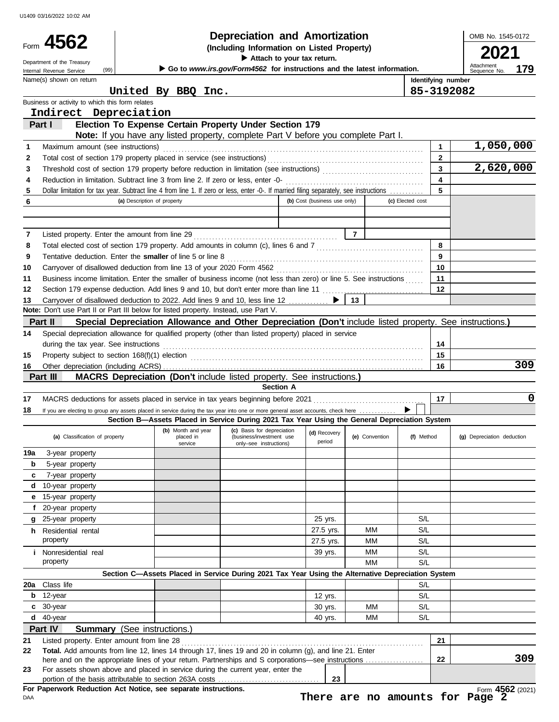|                | Form 4562                                                                                                                                                                             |                             | Depreciation and Amortization                                                                            |                              |                |                  |                         | OMB No. 1545-0172                 |
|----------------|---------------------------------------------------------------------------------------------------------------------------------------------------------------------------------------|-----------------------------|----------------------------------------------------------------------------------------------------------|------------------------------|----------------|------------------|-------------------------|-----------------------------------|
|                |                                                                                                                                                                                       |                             | (Including Information on Listed Property)<br>Attach to your tax return.                                 |                              |                |                  |                         |                                   |
|                | Department of the Treasury<br>(99)<br>Internal Revenue Service                                                                                                                        |                             | Go to www.irs.gov/Form4562 for instructions and the latest information.                                  |                              |                |                  |                         | Attachment<br>179<br>Sequence No. |
|                | Name(s) shown on return                                                                                                                                                               |                             |                                                                                                          |                              |                |                  | Identifying number      |                                   |
|                |                                                                                                                                                                                       | United By BBQ Inc.          |                                                                                                          |                              |                |                  |                         | 85-3192082                        |
|                | Business or activity to which this form relates                                                                                                                                       |                             |                                                                                                          |                              |                |                  |                         |                                   |
|                | Indirect Depreciation                                                                                                                                                                 |                             |                                                                                                          |                              |                |                  |                         |                                   |
|                | Part I                                                                                                                                                                                |                             | Election To Expense Certain Property Under Section 179                                                   |                              |                |                  |                         |                                   |
|                |                                                                                                                                                                                       |                             | Note: If you have any listed property, complete Part V before you complete Part I.                       |                              |                |                  |                         |                                   |
| 1              | Maximum amount (see instructions)                                                                                                                                                     |                             |                                                                                                          |                              |                |                  | $\mathbf{1}$            | 1,050,000                         |
| 2              |                                                                                                                                                                                       |                             |                                                                                                          |                              |                |                  | $\overline{2}$          |                                   |
| 3              |                                                                                                                                                                                       |                             |                                                                                                          |                              |                |                  | $\overline{\mathbf{3}}$ | 2,620,000                         |
| 4              |                                                                                                                                                                                       |                             |                                                                                                          |                              |                |                  | $\overline{\mathbf{4}}$ |                                   |
| 5              | Dollar limitation for tax year. Subtract line 4 from line 1. If zero or less, enter -0-. If married filing separately, see instructions                                               |                             |                                                                                                          |                              |                |                  | 5                       |                                   |
| 6              |                                                                                                                                                                                       | (a) Description of property |                                                                                                          | (b) Cost (business use only) |                | (c) Elected cost |                         |                                   |
|                |                                                                                                                                                                                       |                             |                                                                                                          |                              |                |                  |                         |                                   |
|                |                                                                                                                                                                                       |                             |                                                                                                          |                              |                |                  |                         |                                   |
| 7              | Listed property. Enter the amount from line 29                                                                                                                                        |                             |                                                                                                          |                              | $\overline{7}$ |                  |                         |                                   |
| 8              |                                                                                                                                                                                       |                             |                                                                                                          |                              |                |                  | 8                       |                                   |
| 9              |                                                                                                                                                                                       |                             |                                                                                                          |                              |                |                  | 9                       |                                   |
| 10             | Carryover of disallowed deduction from line 13 of your 2020 Form 4562                                                                                                                 |                             |                                                                                                          |                              |                |                  | 10                      |                                   |
| 11             | Business income limitation. Enter the smaller of business income (not less than zero) or line 5. See instructions                                                                     |                             |                                                                                                          |                              |                |                  | 11                      |                                   |
| 12             | Section 179 expense deduction. Add lines 9 and 10, but don't enter more than line 11                                                                                                  |                             |                                                                                                          |                              |                |                  | 12                      |                                   |
| 13             | Carryover of disallowed deduction to 2022. Add lines 9 and 10, less line 12                                                                                                           |                             |                                                                                                          |                              | l 13           |                  |                         |                                   |
|                | Note: Don't use Part II or Part III below for listed property. Instead, use Part V.                                                                                                   |                             |                                                                                                          |                              |                |                  |                         |                                   |
|                | Part II                                                                                                                                                                               |                             | Special Depreciation Allowance and Other Depreciation (Don't include listed property. See instructions.) |                              |                |                  |                         |                                   |
| 14             | Special depreciation allowance for qualified property (other than listed property) placed in service                                                                                  |                             |                                                                                                          |                              |                |                  |                         |                                   |
|                | during the tax year. See instructions                                                                                                                                                 |                             |                                                                                                          |                              |                |                  | 14                      |                                   |
| 15             |                                                                                                                                                                                       |                             |                                                                                                          |                              |                |                  | 15                      |                                   |
| 16             |                                                                                                                                                                                       |                             |                                                                                                          |                              |                |                  | 16                      | 309                               |
|                | Part III                                                                                                                                                                              |                             | <b>MACRS Depreciation (Don't include listed property. See instructions.)</b>                             |                              |                |                  |                         |                                   |
|                |                                                                                                                                                                                       |                             | <b>Section A</b>                                                                                         |                              |                |                  |                         |                                   |
| 17             |                                                                                                                                                                                       |                             |                                                                                                          |                              |                |                  |                         |                                   |
|                |                                                                                                                                                                                       |                             |                                                                                                          |                              |                |                  | 17                      | 0                                 |
| 18             |                                                                                                                                                                                       |                             |                                                                                                          |                              |                | ▶                |                         |                                   |
|                | If you are electing to group any assets placed in service during the tax year into one or more general asset accounts, check here                                                     |                             | Section B-Assets Placed in Service During 2021 Tax Year Using the General Depreciation System            |                              |                |                  |                         |                                   |
|                |                                                                                                                                                                                       | (b) Month and year          | (c) Basis for depreciation                                                                               |                              |                |                  |                         |                                   |
|                | (a) Classification of property                                                                                                                                                        | placed in                   | (business/investment use                                                                                 | (d) Recovery<br>period       | (e) Convention | (f) Method       |                         | (g) Depreciation deduction        |
|                |                                                                                                                                                                                       | service                     | only-see instructions)                                                                                   |                              |                |                  |                         |                                   |
| b              | 3-year property                                                                                                                                                                       |                             |                                                                                                          |                              |                |                  |                         |                                   |
| c              | 5-year property                                                                                                                                                                       |                             |                                                                                                          |                              |                |                  |                         |                                   |
|                | 7-year property                                                                                                                                                                       |                             |                                                                                                          |                              |                |                  |                         |                                   |
|                | 10-year property<br>d.                                                                                                                                                                |                             |                                                                                                          |                              |                |                  |                         |                                   |
|                | e 15-year property                                                                                                                                                                    |                             |                                                                                                          |                              |                |                  |                         |                                   |
|                | f 20-year property                                                                                                                                                                    |                             |                                                                                                          |                              |                |                  |                         |                                   |
|                | g 25-year property                                                                                                                                                                    |                             |                                                                                                          | 25 yrs.                      |                | S/L              |                         |                                   |
|                | <b>h</b> Residential rental                                                                                                                                                           |                             |                                                                                                          | 27.5 yrs.                    | МM             | S/L              |                         |                                   |
|                | property                                                                                                                                                                              |                             |                                                                                                          | 27.5 yrs.                    | МM             | S/L              |                         |                                   |
| 19a            | <i>i</i> Nonresidential real                                                                                                                                                          |                             |                                                                                                          | 39 yrs.                      | MМ             | S/L              |                         |                                   |
|                | property                                                                                                                                                                              |                             |                                                                                                          |                              | MМ             | S/L              |                         |                                   |
|                |                                                                                                                                                                                       |                             | Section C-Assets Placed in Service During 2021 Tax Year Using the Alternative Depreciation System        |                              |                |                  |                         |                                   |
|                | 20a Class life                                                                                                                                                                        |                             |                                                                                                          |                              |                | S/L              |                         |                                   |
|                | $b$ 12-year                                                                                                                                                                           |                             |                                                                                                          | 12 yrs.                      |                | S/L              |                         |                                   |
|                | c 30-year                                                                                                                                                                             |                             |                                                                                                          | 30 yrs.                      | МM             | S/L              |                         |                                   |
|                | $d$ 40-year                                                                                                                                                                           |                             |                                                                                                          | 40 yrs.                      | <b>MM</b>      | S/L              |                         |                                   |
|                | Part IV<br>Summary (See instructions.)                                                                                                                                                |                             |                                                                                                          |                              |                |                  |                         |                                   |
|                | Listed property. Enter amount from line 28                                                                                                                                            |                             |                                                                                                          |                              |                |                  | 21                      |                                   |
|                | Total. Add amounts from line 12, lines 14 through 17, lines 19 and 20 in column (g), and line 21. Enter                                                                               |                             |                                                                                                          |                              |                |                  |                         |                                   |
| 21<br>22<br>23 | here and on the appropriate lines of your return. Partnerships and S corporations—see instructions<br>For assets shown above and placed in service during the current year, enter the |                             |                                                                                                          |                              |                |                  | 22                      | 309                               |

DAA **For Paperwork Reduction Act Notice, see separate instructions.**

Form **4562** (2021) **There are no amounts for Page 2**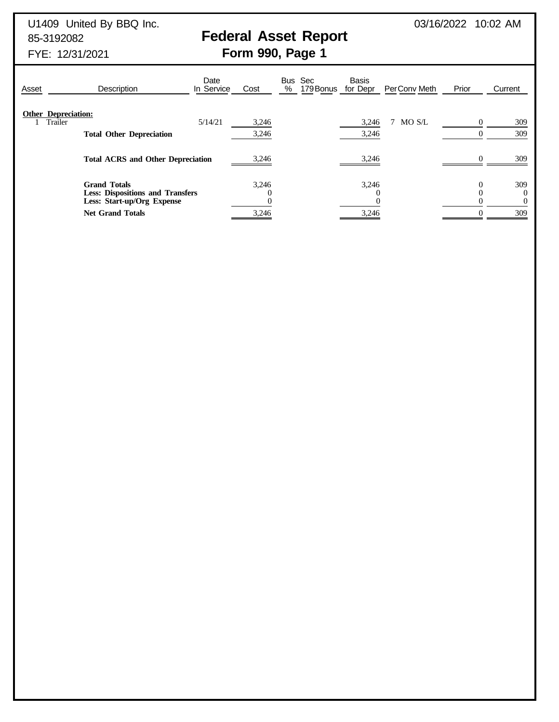U1409 United By BBQ Inc. **03/16/2022 10:02 AM** 

## 85-3192082 **Federal Asset Report**

FYE: 12/31/2021 **Form 990, Page 1**

| <b>Description</b><br>Asset                                                                                             | Date<br>In Service                       | Cost           | Bus Sec<br>%<br>179 Bonus | Basis<br>for Depr | Per Conv Meth | Prior | Current                     |
|-------------------------------------------------------------------------------------------------------------------------|------------------------------------------|----------------|---------------------------|-------------------|---------------|-------|-----------------------------|
| <b>Other Depreciation:</b><br>Trailer<br><b>Total Other Depreciation</b>                                                | 5/14/21                                  | 3,246<br>3,246 |                           | 3,246<br>3,246    | MO S/L        |       | 309<br>309                  |
|                                                                                                                         | <b>Total ACRS and Other Depreciation</b> |                |                           | 3,246             |               |       | 309                         |
| <b>Grand Totals</b><br><b>Less: Dispositions and Transfers</b><br>Less: Start-up/Org Expense<br><b>Net Grand Totals</b> |                                          | 3.246<br>3,246 |                           | 3,246<br>3,246    |               |       | 309<br>$\Omega$<br>0<br>309 |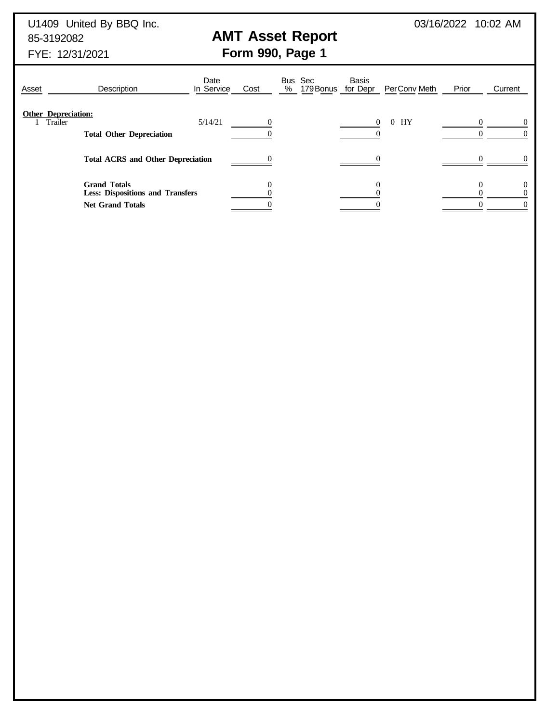U1409 United By BBQ Inc. **03/16/2022 10:02 AM** 85-3192082 **AMT Asset Report**

FYE: 12/31/2021 **Form 990, Page 1**

| Asset | Description                                                                               | Date<br>In Service | Cost     | Bus Sec<br>%<br>179 Bonus for Depr | Basis<br>Per Conv Meth     | Prior | Current |
|-------|-------------------------------------------------------------------------------------------|--------------------|----------|------------------------------------|----------------------------|-------|---------|
|       | <b>Other Depreciation:</b><br>Trailer<br><b>Total Other Depreciation</b>                  | 5/14/21            | $\Omega$ |                                    | HY<br>$\Omega$<br>$\theta$ |       |         |
|       | <b>Total ACRS and Other Depreciation</b>                                                  |                    |          |                                    |                            |       |         |
|       | <b>Grand Totals</b><br><b>Less: Dispositions and Transfers</b><br><b>Net Grand Totals</b> |                    |          |                                    |                            |       |         |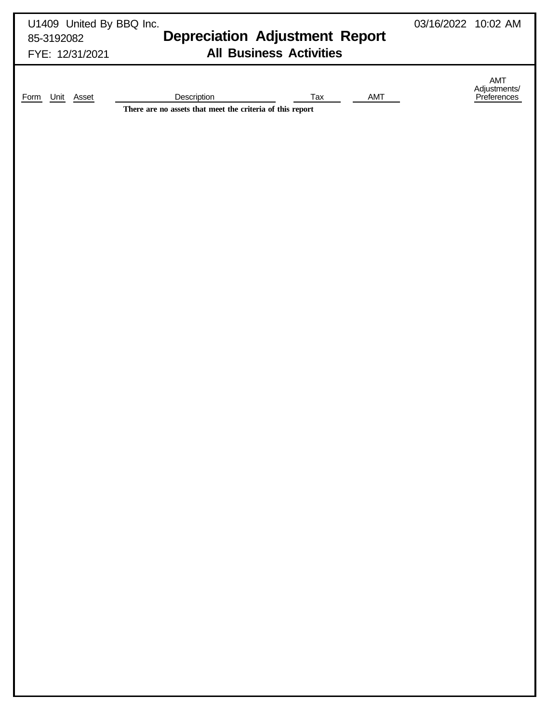| U1409 United By BBQ Inc.<br>85-3192082<br>FYE: 12/31/2021 | <b>Depreciation Adjustment Report</b><br><b>All Business Activities</b>                | 03/16/2022 10:02 AM |                                           |
|-----------------------------------------------------------|----------------------------------------------------------------------------------------|---------------------|-------------------------------------------|
| Unit Asset<br>Form                                        | AMT<br>Tax<br>Description<br>There are no assets that meet the criteria of this report |                     | AMT<br>Adjustments/<br><u>Preferences</u> |
|                                                           |                                                                                        |                     |                                           |
|                                                           |                                                                                        |                     |                                           |
|                                                           |                                                                                        |                     |                                           |
|                                                           |                                                                                        |                     |                                           |
|                                                           |                                                                                        |                     |                                           |
|                                                           |                                                                                        |                     |                                           |
|                                                           |                                                                                        |                     |                                           |
|                                                           |                                                                                        |                     |                                           |
|                                                           |                                                                                        |                     |                                           |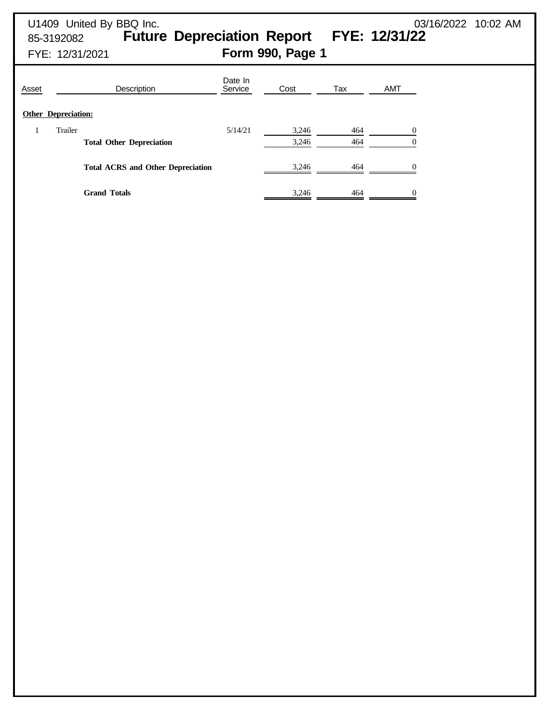# U1409 United By BBQ Inc. 03/16/2022 10:02 AM 85-3192082 **Future Depreciation Report FYE: 12/31/22** FYE: 12/31/2021 **Form 990, Page 1** Date In<br>Service Asset **Description Service** Cost Tax AMT **Other Depreciation:** 1 Trailer 6/14/21 3,246 464 0 **Total Other Depreciation** 3,246 464 0 Total ACRS and Other Depreciation **3,246** 464 0 **Grand Totals** 3,246 464 0